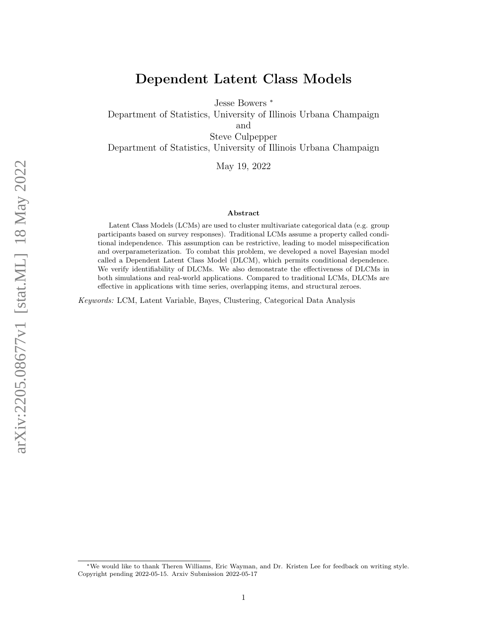# Dependent Latent Class Models

Jesse Bowers <sup>∗</sup>

Department of Statistics, University of Illinois Urbana Champaign

and

Steve Culpepper

Department of Statistics, University of Illinois Urbana Champaign

May 19, 2022

#### Abstract

Latent Class Models (LCMs) are used to cluster multivariate categorical data (e.g. group participants based on survey responses). Traditional LCMs assume a property called conditional independence. This assumption can be restrictive, leading to model misspecification and overparameterization. To combat this problem, we developed a novel Bayesian model called a Dependent Latent Class Model (DLCM), which permits conditional dependence. We verify identifiability of DLCMs. We also demonstrate the effectiveness of DLCMs in both simulations and real-world applications. Compared to traditional LCMs, DLCMs are effective in applications with time series, overlapping items, and structural zeroes.

Keywords: LCM, Latent Variable, Bayes, Clustering, Categorical Data Analysis

<sup>∗</sup>We would like to thank Theren Williams, Eric Wayman, and Dr. Kristen Lee for feedback on writing style. Copyright pending 2022-05-15. Arxiv Submission 2022-05-17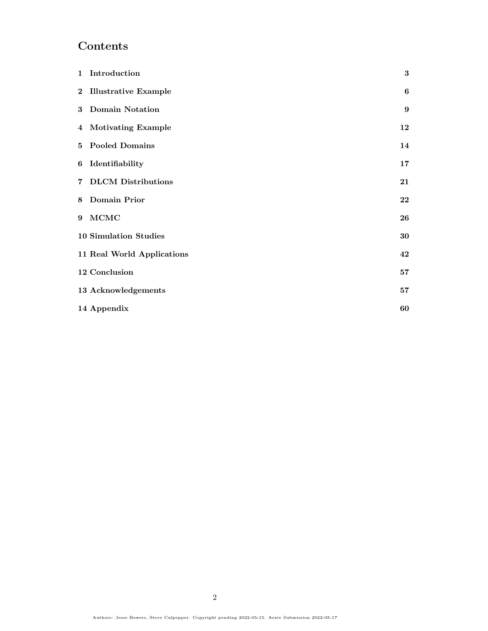# Contents

|   | 1 Introduction               | $\bf{3}$ |
|---|------------------------------|----------|
|   | 2 Illustrative Example       | 6        |
|   | 3 Domain Notation            | 9        |
|   | 4 Motivating Example         | 12       |
|   | 5 Pooled Domains             | 14       |
|   | 6 Identifiability            | 17       |
|   | 7 DLCM Distributions         | 21       |
|   | 8 Domain Prior               | 22       |
| 9 | $\bf MCMC$                   | 26       |
|   | <b>10 Simulation Studies</b> | 30       |
|   | 11 Real World Applications   | 42       |
|   | 12 Conclusion                | 57       |
|   | 13 Acknowledgements          | 57       |
|   | 14 Appendix                  | 60       |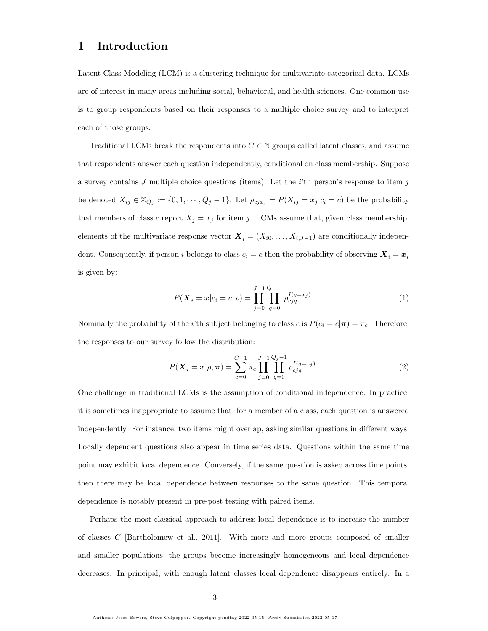# <span id="page-2-0"></span>1 Introduction

Latent Class Modeling (LCM) is a clustering technique for multivariate categorical data. LCMs are of interest in many areas including social, behavioral, and health sciences. One common use is to group respondents based on their responses to a multiple choice survey and to interpret each of those groups.

Traditional LCMs break the respondents into  $C \in \mathbb{N}$  groups called latent classes, and assume that respondents answer each question independently, conditional on class membership. Suppose a survey contains  $J$  multiple choice questions (items). Let the *i*'th person's response to item  $j$ be denoted  $X_{ij} \in \mathbb{Z}_{Q_j} := \{0, 1, \cdots, Q_j - 1\}$ . Let  $\rho_{c_j x_j} = P(X_{ij} = x_j | c_i = c)$  be the probability that members of class c report  $X_j = x_j$  for item j. LCMs assume that, given class membership, elements of the multivariate response vector  $\underline{\mathbf{X}}_i = (X_{i0}, \ldots, X_{i,J-1})$  are conditionally independent. Consequently, if person i belongs to class  $c_i = c$  then the probability of observing  $\underline{\mathbf{X}}_i = \underline{\mathbf{x}}_i$ is given by:

$$
P(\underline{\mathbf{X}}_i = \underline{\mathbf{x}} | c_i = c, \rho) = \prod_{j=0}^{J-1} \prod_{q=0}^{Q_j - 1} \rho_{cjq}^{I(q=x_j)}.
$$
 (1)

Nominally the probability of the *i*'th subject belonging to class c is  $P(c_i = c | \underline{\pi}) = \pi_c$ . Therefore, the responses to our survey follow the distribution:

$$
P(\underline{\mathbf{X}}_i = \underline{\mathbf{x}} | \rho, \underline{\pi}) = \sum_{c=0}^{C-1} \pi_c \prod_{j=0}^{J-1} \prod_{q=0}^{Q_j - 1} \rho_{cjq}^{I(q=x_j)}.
$$
 (2)

One challenge in traditional LCMs is the assumption of conditional independence. In practice, it is sometimes inappropriate to assume that, for a member of a class, each question is answered independently. For instance, two items might overlap, asking similar questions in different ways. Locally dependent questions also appear in time series data. Questions within the same time point may exhibit local dependence. Conversely, if the same question is asked across time points, then there may be local dependence between responses to the same question. This temporal dependence is notably present in pre-post testing with paired items.

Perhaps the most classical approach to address local dependence is to increase the number of classes C [\[Bartholomew et al., 2011\]](#page-56-2). With more and more groups composed of smaller and smaller populations, the groups become increasingly homogeneous and local dependence decreases. In principal, with enough latent classes local dependence disappears entirely. In a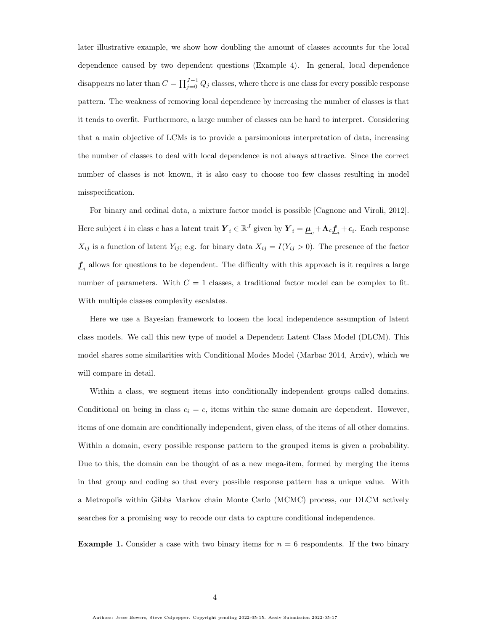later illustrative example, we show how doubling the amount of classes accounts for the local dependence caused by two dependent questions (Example [4\)](#page-11-1). In general, local dependence disappears no later than  $C = \prod_{j=0}^{J-1} Q_j$  classes, where there is one class for every possible response pattern. The weakness of removing local dependence by increasing the number of classes is that it tends to overfit. Furthermore, a large number of classes can be hard to interpret. Considering that a main objective of LCMs is to provide a parsimonious interpretation of data, increasing the number of classes to deal with local dependence is not always attractive. Since the correct number of classes is not known, it is also easy to choose too few classes resulting in model misspecification.

For binary and ordinal data, a mixture factor model is possible [\[Cagnone and Viroli, 2012\]](#page-56-3). Here subject *i* in class *c* has a latent trait  $\underline{Y}_i \in \mathbb{R}^J$  given by  $\underline{Y}_i = \underline{\mu}_c + \Lambda_c \underline{f}_i + \underline{\epsilon}_i$ . Each response  $X_{ij}$  is a function of latent  $Y_{ij}$ ; e.g. for binary data  $X_{ij} = I(Y_{ij} > 0)$ . The presence of the factor  $\underline{f}_i$  allows for questions to be dependent. The difficulty with this approach is it requires a large number of parameters. With  $C = 1$  classes, a traditional factor model can be complex to fit. With multiple classes complexity escalates.

Here we use a Bayesian framework to loosen the local independence assumption of latent class models. We call this new type of model a Dependent Latent Class Model (DLCM). This model shares some similarities with Conditional Modes Model (Marbac 2014, Arxiv), which we will compare in detail.

Within a class, we segment items into conditionally independent groups called domains. Conditional on being in class  $c_i = c$ , items within the same domain are dependent. However, items of one domain are conditionally independent, given class, of the items of all other domains. Within a domain, every possible response pattern to the grouped items is given a probability. Due to this, the domain can be thought of as a new mega-item, formed by merging the items in that group and coding so that every possible response pattern has a unique value. With a Metropolis within Gibbs Markov chain Monte Carlo (MCMC) process, our DLCM actively searches for a promising way to recode our data to capture conditional independence.

**Example 1.** Consider a case with two binary items for  $n = 6$  respondents. If the two binary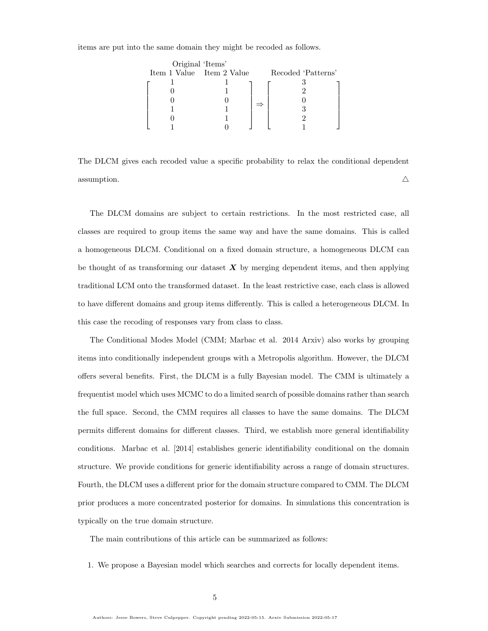items are put into the same domain they might be recoded as follows.

| Original 'Items'          |  |                    |
|---------------------------|--|--------------------|
| Item 1 Value Item 2 Value |  | Recoded 'Patterns' |
|                           |  |                    |
|                           |  |                    |
|                           |  |                    |
|                           |  |                    |
|                           |  |                    |
|                           |  |                    |

The DLCM gives each recoded value a specific probability to relax the conditional dependent assumption.  $\triangle$ 

The DLCM domains are subject to certain restrictions. In the most restricted case, all classes are required to group items the same way and have the same domains. This is called a homogeneous DLCM. Conditional on a fixed domain structure, a homogeneous DLCM can be thought of as transforming our dataset  $\boldsymbol{X}$  by merging dependent items, and then applying traditional LCM onto the transformed dataset. In the least restrictive case, each class is allowed to have different domains and group items differently. This is called a heterogeneous DLCM. In this case the recoding of responses vary from class to class.

The Conditional Modes Model (CMM; [Marbac et al. 2014](#page-58-0) Arxiv) also works by grouping items into conditionally independent groups with a Metropolis algorithm. However, the DLCM offers several benefits. First, the DLCM is a fully Bayesian model. The CMM is ultimately a frequentist model which uses MCMC to do a limited search of possible domains rather than search the full space. Second, the CMM requires all classes to have the same domains. The DLCM permits different domains for different classes. Third, we establish more general identifiability conditions. [Marbac et al.](#page-58-0) [\[2014\]](#page-58-0) establishes generic identifiability conditional on the domain structure. We provide conditions for generic identifiability across a range of domain structures. Fourth, the DLCM uses a different prior for the domain structure compared to CMM. The DLCM prior produces a more concentrated posterior for domains. In simulations this concentration is typically on the true domain structure.

The main contributions of this article can be summarized as follows:

1. We propose a Bayesian model which searches and corrects for locally dependent items.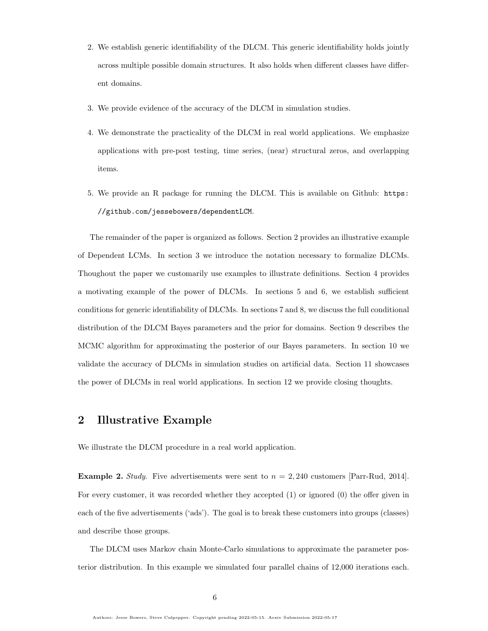- 2. We establish generic identifiability of the DLCM. This generic identifiability holds jointly across multiple possible domain structures. It also holds when different classes have different domains.
- 3. We provide evidence of the accuracy of the DLCM in simulation studies.
- 4. We demonstrate the practicality of the DLCM in real world applications. We emphasize applications with pre-post testing, time series, (near) structural zeros, and overlapping items.
- 5. We provide an R package for running the DLCM. This is available on Github: [https:](https://github.com/jessebowers/dependentLCM) [//github.com/jessebowers/dependentLCM](https://github.com/jessebowers/dependentLCM).

The remainder of the paper is organized as follows. Section 2 provides an illustrative example of Dependent LCMs. In section 3 we introduce the notation necessary to formalize DLCMs. Thoughout the paper we customarily use examples to illustrate definitions. Section 4 provides a motivating example of the power of DLCMs. In sections 5 and 6, we establish sufficient conditions for generic identifiability of DLCMs. In sections 7 and 8, we discuss the full conditional distribution of the DLCM Bayes parameters and the prior for domains. Section 9 describes the MCMC algorithm for approximating the posterior of our Bayes parameters. In section 10 we validate the accuracy of DLCMs in simulation studies on artificial data. Section 11 showcases the power of DLCMs in real world applications. In section 12 we provide closing thoughts.

# <span id="page-5-0"></span>2 Illustrative Example

We illustrate the DLCM procedure in a real world application.

**Example 2.** Study. Five advertisements were sent to  $n = 2,240$  customers [\[Parr-Rud, 2014\]](#page-58-1). For every customer, it was recorded whether they accepted (1) or ignored (0) the offer given in each of the five advertisements ('ads'). The goal is to break these customers into groups (classes) and describe those groups.

The DLCM uses Markov chain Monte-Carlo simulations to approximate the parameter posterior distribution. In this example we simulated four parallel chains of 12,000 iterations each.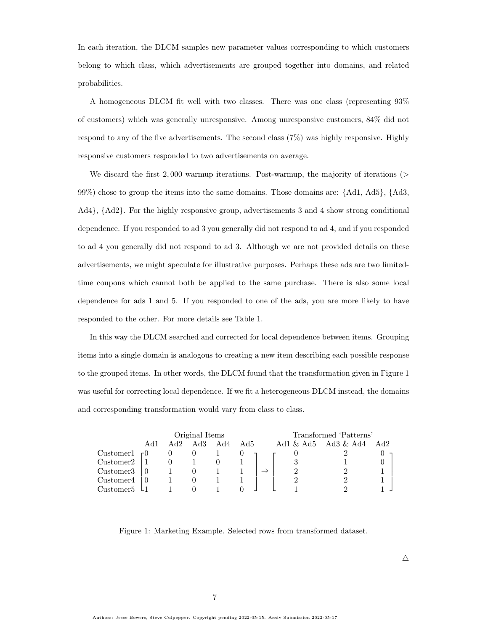In each iteration, the DLCM samples new parameter values corresponding to which customers belong to which class, which advertisements are grouped together into domains, and related probabilities.

A homogeneous DLCM fit well with two classes. There was one class (representing 93% of customers) which was generally unresponsive. Among unresponsive customers, 84% did not respond to any of the five advertisements. The second class (7%) was highly responsive. Highly responsive customers responded to two advertisements on average.

We discard the first  $2,000$  warmup iterations. Post-warmup, the majority of iterations ( $>$ 99%) chose to group the items into the same domains. Those domains are: {Ad1, Ad5}, {Ad3, Ad4}, {Ad2}. For the highly responsive group, advertisements 3 and 4 show strong conditional dependence. If you responded to ad 3 you generally did not respond to ad 4, and if you responded to ad 4 you generally did not respond to ad 3. Although we are not provided details on these advertisements, we might speculate for illustrative purposes. Perhaps these ads are two limitedtime coupons which cannot both be applied to the same purchase. There is also some local dependence for ads 1 and 5. If you responded to one of the ads, you are more likely to have responded to the other. For more details see Table [1.](#page-7-0)

In this way the DLCM searched and corrected for local dependence between items. Grouping items into a single domain is analogous to creating a new item describing each possible response to the grouped items. In other words, the DLCM found that the transformation given in Figure [1](#page-6-0) was useful for correcting local dependence. If we fit a heterogeneous DLCM instead, the domains and corresponding transformation would vary from class to class.

|                       | Original Items |     |     |        |     | Transformed 'Patterns' |              |              |     |
|-----------------------|----------------|-----|-----|--------|-----|------------------------|--------------|--------------|-----|
|                       | Ad1            | Ad2 | Ad3 | Ad $4$ | Ad5 |                        | Ad1 $\&$ Ad5 | $Ad3 \& Ad4$ | Ad2 |
| Customer1 $\tau$ 0    |                |     |     |        |     |                        |              |              |     |
| Customer <sub>2</sub> |                |     |     |        |     |                        |              |              |     |
| Customer <sub>3</sub> |                |     |     |        |     |                        |              |              |     |
| Customer4             |                |     |     |        |     |                        |              |              |     |
| Customer <sub>5</sub> |                |     |     |        |     |                        |              |              |     |

<span id="page-6-0"></span>Figure 1: Marketing Example. Selected rows from transformed dataset.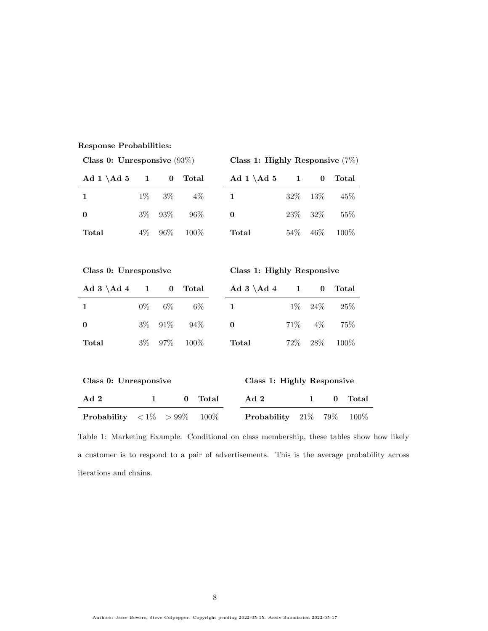#### Response Probabilities:

| Class 0: Unresponsive $(93\%)$ |         |                                    |                   | Class 1: Highly Responsive $(7\%)$ |              |              |                          |  |
|--------------------------------|---------|------------------------------------|-------------------|------------------------------------|--------------|--------------|--------------------------|--|
| Ad 1 $\Ad 5$                   |         | $\bf{0}$<br>$1 \quad \blacksquare$ | Total             | Ad 1 $\Ad 5$                       | $1 \quad$    | $\bf{0}$     | <b>Total</b>             |  |
| $\mathbf 1$                    | $1\%$   | $3\%$                              | $4\%$             | $\mathbf{1}$                       | $32\%$       | 13%          | 45%                      |  |
| $\bf{0}$                       | $3\%$   | 93%                                | 96%               | $\bf{0}$                           | $23\%$       | $32\%$       | 55%                      |  |
| Total                          | $4\%$   | $96\%$                             | $100\%$           | $\operatorname{\textsf{Total}}$    | $54\%$       | $46\%$       | 100\%                    |  |
|                                |         |                                    |                   |                                    |              |              |                          |  |
| Class 0: Unresponsive          |         |                                    |                   | Class 1: Highly Responsive         |              |              |                          |  |
| $Ad 3 \ Ad 4 1$                |         | $\bf{0}$                           | Total             | $Ad\ 3\ \Ad\ 4$                    | $\mathbf{1}$ | $\bf{0}$     | Total                    |  |
| $\mathbf 1$                    | $0\%$   | $6\%$                              | $6\%$             | $\mathbf{1}$                       | $1\%$        | 24%          | 25%                      |  |
| $\bf{0}$                       | $3\%$   | $91\%$                             | 94%               | $\bf{0}$                           | $71\%$       | $4\%$        | 75%                      |  |
| Total                          | $3\%$   | $97\%$                             | $100\%$           | Total                              | $72\%$       | 28\%         | 100%                     |  |
|                                |         |                                    |                   |                                    |              |              |                          |  |
| Class 0: Unresponsive          |         |                                    |                   | Class 1: Highly Responsive         |              |              |                          |  |
| Ad 2                           |         | $\mathbf 1$                        | $\bf{0}$<br>Total | Ad 2                               |              | $\mathbf{1}$ | <b>Total</b><br>$\bf{0}$ |  |
| Probability                    | $< 1\%$ | $> 99\%$                           | 100\%             | Probability                        |              | $21\%$       | 79%<br>100%              |  |

<span id="page-7-0"></span>Table 1: Marketing Example. Conditional on class membership, these tables show how likely a customer is to respond to a pair of advertisements. This is the average probability across iterations and chains.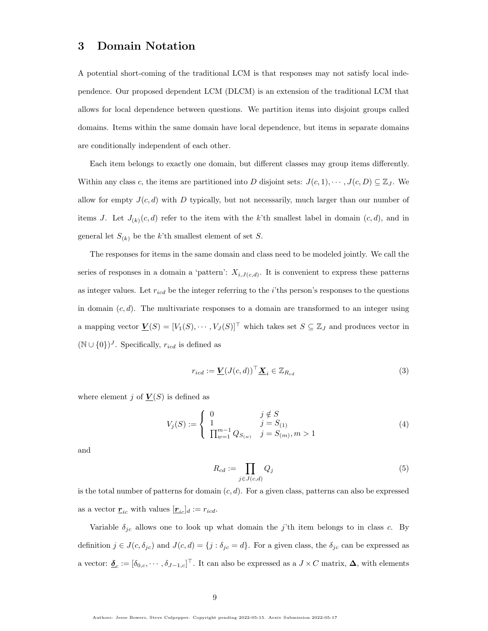# <span id="page-8-0"></span>3 Domain Notation

A potential short-coming of the traditional LCM is that responses may not satisfy local independence. Our proposed dependent LCM (DLCM) is an extension of the traditional LCM that allows for local dependence between questions. We partition items into disjoint groups called domains. Items within the same domain have local dependence, but items in separate domains are conditionally independent of each other.

Each item belongs to exactly one domain, but different classes may group items differently. Within any class c, the items are partitioned into D disjoint sets:  $J(c, 1), \dots, J(c, D) \subseteq \mathbb{Z}_J$ . We allow for empty  $J(c, d)$  with D typically, but not necessarily, much larger than our number of items J. Let  $J_{(k)}(c,d)$  refer to the item with the k'th smallest label in domain  $(c,d)$ , and in general let  $S_{(k)}$  be the k'th smallest element of set S.

The responses for items in the same domain and class need to be modeled jointly. We call the series of responses in a domain a 'pattern':  $X_{i,J(c,d)}$ . It is convenient to express these patterns as integer values. Let  $r_{icd}$  be the integer referring to the *i*'ths person's responses to the questions in domain  $(c, d)$ . The multivariate responses to a domain are transformed to an integer using a mapping vector  $\underline{V}(S) = [V_1(S), \cdots, V_J(S)]^\top$  which takes set  $S \subseteq \mathbb{Z}_J$  and produces vector in  $(N \cup \{0\})^J$ . Specifically,  $r_{icd}$  is defined as

$$
r_{icd} := \underline{\mathbf{V}}(J(c,d))^{\top} \underline{\mathbf{X}}_i \in \mathbb{Z}_{R_{cd}}
$$
\n(3)

where element j of  $\underline{V}(S)$  is defined as

$$
V_j(S) := \begin{cases} 0 & j \notin S \\ 1 & j = S_{(1)} \\ \prod_{w=1}^{m-1} Q_{S_{(w)}} & j = S_{(m)}, m > 1 \end{cases}
$$
(4)

and

$$
R_{cd} := \prod_{j \in J(c,d)} Q_j \tag{5}
$$

is the total number of patterns for domain  $(c, d)$ . For a given class, patterns can also be expressed as a vector  $\underline{\mathbf{r}}_{ic}$  with values  $[\underline{\mathbf{r}}_{ic}]_d := r_{icd}$ .

Variable  $\delta_{jc}$  allows one to look up what domain the j'th item belongs to in class c. By definition  $j \in J(c, \delta_{jc})$  and  $J(c, d) = \{j : \delta_{jc} = d\}$ . For a given class, the  $\delta_{jc}$  can be expressed as a vector:  $\underline{\delta}_c := [\delta_{0,c}, \cdots, \delta_{J-1,c}]^\top$ . It can also be expressed as a  $J \times C$  matrix,  $\Delta$ , with elements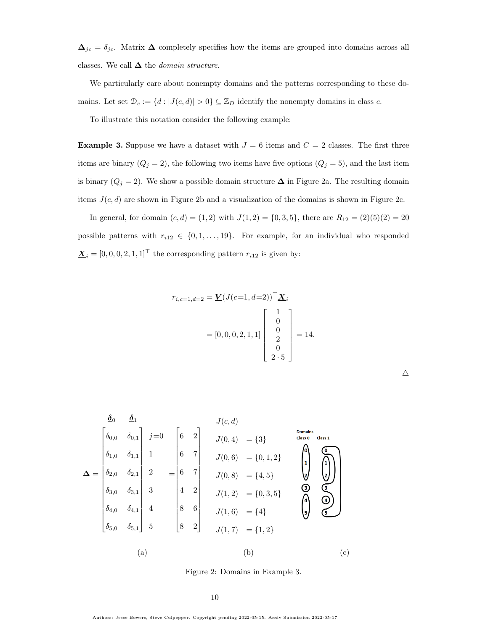$\Delta_{jc} = \delta_{jc}$ . Matrix  $\Delta$  completely specifies how the items are grouped into domains across all classes. We call  $\Delta$  the *domain structure*.

We particularly care about nonempty domains and the patterns corresponding to these domains. Let set  $\mathcal{D}_c := \{d : |J(c, d)| > 0\} \subseteq \mathbb{Z}_D$  identify the nonempty domains in class c.

To illustrate this notation consider the following example:

<span id="page-9-1"></span>**Example 3.** Suppose we have a dataset with  $J = 6$  items and  $C = 2$  classes. The first three items are binary  $(Q_j = 2)$ , the following two items have five options  $(Q_j = 5)$ , and the last item is binary ( $Q_j = 2$ ). We show a possible domain structure  $\Delta$  in Figure [2a](#page-9-0). The resulting domain items  $J(c, d)$  are shown in Figure [2b](#page-9-0) and a visualization of the domains is shown in Figure [2c](#page-9-0).

In general, for domain  $(c, d) = (1, 2)$  with  $J(1, 2) = \{0, 3, 5\}$ , there are  $R_{12} = (2)(5)(2) = 20$ possible patterns with  $r_{i12} \in \{0, 1, ..., 19\}$ . For example, for an individual who responded  $\underline{\mathbf{X}}_i = [0, 0, 0, 2, 1, 1]^\top$  the corresponding pattern  $r_{i12}$  is given by:

$$
r_{i,c=1,d=2} = \underline{V}(J(c=1,d=2))^{\top} \underline{X}_i
$$
  
= [0, 0, 0, 2, 1, 1] 
$$
\begin{bmatrix} 1 \\ 0 \\ 0 \\ 2 \\ 0 \\ 2 \cdot 5 \end{bmatrix} = 14.
$$

$$
\Delta = \begin{bmatrix}\n\delta_{0} & \delta_{1} \\
\delta_{0,0} & \delta_{0,1} \\
\delta_{1,0} & \delta_{1,1} \\
\delta_{2,0} & \delta_{2,1} \\
\delta_{3,0} & \delta_{3,1} \\
\delta_{4,0} & \delta_{4,1}\n\end{bmatrix}\n\begin{bmatrix}\n1 & 0 \\
2 & 0 \\
0 & 7 \\
1 & 0\n\end{bmatrix}\n\begin{bmatrix}\n6 & 2 \\
6 & 7 \\
0 & 7 \\
1 & 0\n\end{bmatrix}\n\begin{bmatrix}\n1 & 0 \\
0 & 0 \\
0 & 7 \\
0 & 7 \\
0 & 7\n\end{bmatrix}\n\begin{bmatrix}\n1 & 0 \\
0 & 0 \\
0 & 7 \\
0 & 7 \\
0 & 7\n\end{bmatrix}\n\begin{bmatrix}\n1 & 0 \\
0 & 0 \\
0 & 7 \\
0 & 7\n\end{bmatrix}\n\begin{bmatrix}\n1 & 0 \\
0 & 0 \\
0 & 7 \\
0 & 7\n\end{bmatrix}\n\begin{bmatrix}\n1 & 0 \\
0 & 0 \\
0 & 7 \\
0 & 7\n\end{bmatrix}\n\begin{bmatrix}\n1 & 0 \\
0 & 0 \\
0 & 7 \\
0 & 7\n\end{bmatrix}\n\begin{bmatrix}\n1 & 0 \\
0 & 0 \\
0 & 7 \\
0 & 7\n\end{bmatrix}\n\begin{bmatrix}\n1 & 0 \\
0 & 0 \\
0 & 7\n\end{bmatrix}\n\begin{bmatrix}\n1 & 0 \\
0 & 0 \\
0 & 7\n\end{bmatrix}\n\begin{bmatrix}\n1 & 0 \\
0 & 0 \\
0 & 7\n\end{bmatrix}\n\begin{bmatrix}\n1 & 0 \\
0 & 0 \\
0 & 7\n\end{bmatrix}\n\begin{bmatrix}\n1 & 0 \\
0 & 0 \\
0 & 7\n\end{bmatrix}\n\begin{bmatrix}\n1 & 0 \\
0 & 0 \\
0 & 7\n\end{bmatrix}\n\begin{bmatrix}\n1 & 0 \\
0 & 0 \\
0 & 7\n\end{bmatrix}\n\begin{bmatrix}\n1 & 0 \\
0 & 0 \\
0 & 7\n\end{bmatrix}\n\begin{bmatrix}\n1 & 0 \\
0 & 0 \\
0 & 7\n\end{bmatrix}\n\begin{bmatrix}\n1 & 0 \\
0 & 0 \\
0 & 7\n\end{bmatrix}\n\begin{bmatrix}\n1 & 0 \\
0 & 0 \\
0 & 7\n\end{bmatrix}\n\begin{bmatrix}\n1 & 0 \\
0 & 0
$$

<span id="page-9-0"></span>Figure 2: Domains in Example [3.](#page-9-1)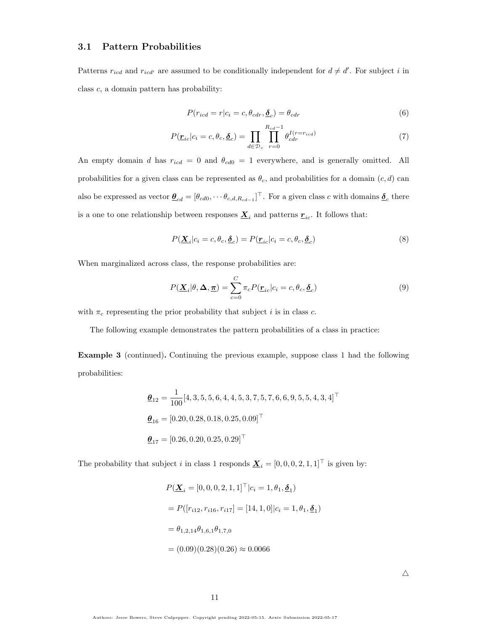### 3.1 Pattern Probabilities

Patterns  $r_{icd}$  and  $r_{icd'}$  are assumed to be conditionally independent for  $d \neq d'$ . For subject i in class c, a domain pattern has probability:

$$
P(r_{icd} = r | c_i = c, \theta_{cdr}, \underline{\delta}_c) = \theta_{cdr}
$$
\n<sup>(6)</sup>

$$
P(\underline{\mathbf{r}}_{ic}|c_i = c, \theta_c, \underline{\boldsymbol{\delta}}_c) = \prod_{d \in \mathcal{D}_c} \prod_{r=0}^{R_{cd}-1} \theta_{cdr}^{I(r=r_{icd})}
$$
(7)

An empty domain d has  $r_{icd} = 0$  and  $\theta_{cd0} = 1$  everywhere, and is generally omitted. All probabilities for a given class can be represented as  $\theta_c$ , and probabilities for a domain  $(c, d)$  can also be expressed as vector  $\underline{\theta}_{cd} = [\theta_{cd0}, \cdots \theta_{c,d,R_{cd-1}}]^\top$ . For a given class c with domains  $\underline{\delta}_c$  there is a one to one relationship between responses  $\underline{\mathbf{X}}_i$  and patterns  $\underline{\mathbf{r}}_{ic}$ . It follows that:

$$
P(\underline{\mathbf{X}}_i|c_i=c,\theta_c,\underline{\delta}_c) = P(\underline{\mathbf{r}}_{ic}|c_i=c,\theta_c,\underline{\delta}_c)
$$
\n(8)

When marginalized across class, the response probabilities are:

$$
P(\underline{\mathbf{X}}_i|\theta,\Delta,\underline{\boldsymbol{\pi}})=\sum_{c=0}^C \pi_c P(\underline{\boldsymbol{r}}_{ic}|c_i=c,\theta_c,\underline{\boldsymbol{\delta}}_c)
$$
\n(9)

with  $\pi_c$  representing the prior probability that subject i is in class c.

The following example demonstrates the pattern probabilities of a class in practice:

Example 3 (continued). Continuing the previous example, suppose class 1 had the following probabilities:

$$
\begin{aligned}\n\mathbf{\underline{\theta}}_{12} &= \frac{1}{100} [4, 3, 5, 5, 6, 4, 4, 5, 3, 7, 5, 7, 6, 6, 9, 5, 5, 4, 3, 4]^\top \\
\mathbf{\underline{\theta}}_{16} &= [0.20, 0.28, 0.18, 0.25, 0.09]^\top \\
\mathbf{\underline{\theta}}_{17} &= [0.26, 0.20, 0.25, 0.29]^\top\n\end{aligned}
$$

The probability that subject i in class 1 responds  $\underline{\mathbf{X}}_i = [0, 0, 0, 2, 1, 1]^\top$  is given by:

$$
P(\underline{\mathbf{X}}_i = [0, 0, 0, 2, 1, 1]^\top | c_i = 1, \theta_1, \underline{\delta}_1)
$$
  
=  $P([r_{i12}, r_{i16}, r_{i17}] = [14, 1, 0] | c_i = 1, \theta_1, \underline{\delta}_1)$   
=  $\theta_{1,2,14} \theta_{1,6,1} \theta_{1,7,0}$   
=  $(0.09)(0.28)(0.26) \approx 0.0066$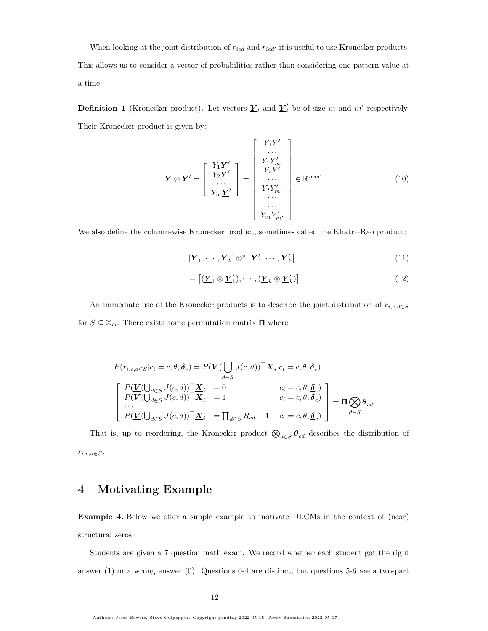When looking at the joint distribution of  $r_{icd}$  and  $r_{icd'}$  it is useful to use Kronecker products. This allows us to consider a vector of probabilities rather than considering one pattern value at a time.

**Definition 1** (Kronecker product). Let vectors  $\underline{Y}_l$  and  $\underline{Y}'_l$  be of size m and m' respectively. Their Kronecker product is given by:

$$
\underline{\mathbf{Y}} \otimes \underline{\mathbf{Y}}' = \begin{bmatrix} Y_1 \underline{\mathbf{Y}}' \\ Y_2 \underline{\mathbf{Y}}' \\ \vdots \\ Y_m \underline{\mathbf{Y}}' \end{bmatrix} = \begin{bmatrix} Y_1 Y_1' \\ Y_2 Y_1' \\ Y_2 Y_1' \\ \vdots \\ Y_2 Y_m' \\ \vdots \\ Y_m Y_{m'}' \end{bmatrix} \in \mathbb{R}^{mm'} \tag{10}
$$

We also define the column-wise Kronecker product, sometimes called the Khatri–Rao product:

$$
[\underline{\mathbf{Y}}_1, \cdots, \underline{\mathbf{Y}}_k] \otimes^* [\underline{\mathbf{Y}}'_1, \cdots, \underline{\mathbf{Y}}'_k]
$$
\n(11)

$$
= \left[ (\underline{\boldsymbol{Y}}_1 \otimes \underline{\boldsymbol{Y}}'_1), \cdots, (\underline{\boldsymbol{Y}}_k \otimes \underline{\boldsymbol{Y}}'_k) \right] \tag{12}
$$

An immediate use of the Kronecker products is to describe the joint distribution of  $r_{i,c,d \in S}$ for  $S \subseteq \mathbb{Z}_D$ . There exists some permutation matrix  $\Pi$  where:

$$
P(r_{i,c,d\in S}|c_i = c, \theta, \underline{\delta}_c) = P(\underline{V}(\bigcup_{d\in S} J(c,d))^{\top} \underline{X}_i|c_i = c, \theta, \underline{\delta}_c)
$$
  
\n
$$
\begin{bmatrix} P(\underline{V}(\bigcup_{d\in S} J(c,d))^{\top} \underline{X}_i = 0 & |c_i = c, \theta, \underline{\delta}_c) \\ P(\underline{V}(\bigcup_{d\in S} J(c,d))^{\top} \underline{X}_i = 1 & |c_i = c, \theta, \underline{\delta}_c) \\ \cdots \\ P(\underline{V}(\bigcup_{d\in S} J(c,d))^{\top} \underline{X}_i = \prod_{d\in S} R_{cd} - 1 & |c_i = c, \theta, \underline{\delta}_c) \end{bmatrix} = \Pi \bigotimes_{d\in S} \underline{\theta}_{cd}
$$

That is, up to reordering, the Kronecker product  $\bigotimes_{d\in S}\underline{\theta}_{cd}$  describes the distribution of  $r_{i,c,d \in S}$ .

# <span id="page-11-0"></span>4 Motivating Example

<span id="page-11-1"></span>Example 4. Below we offer a simple example to motivate DLCMs in the context of (near) structural zeros.

Students are given a 7 question math exam. We record whether each student got the right answer (1) or a wrong answer (0). Questions 0-4 are distinct, but questions 5-6 are a two-part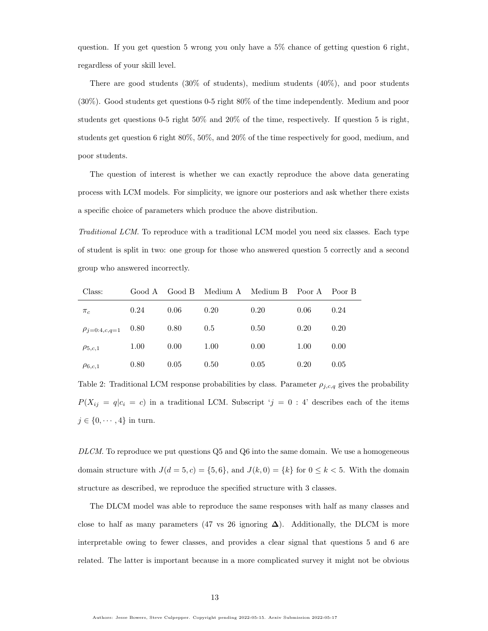question. If you get question 5 wrong you only have a 5% chance of getting question 6 right, regardless of your skill level.

There are good students (30% of students), medium students (40%), and poor students (30%). Good students get questions 0-5 right 80% of the time independently. Medium and poor students get questions 0-5 right 50% and 20% of the time, respectively. If question 5 is right, students get question 6 right 80%, 50%, and 20% of the time respectively for good, medium, and poor students.

The question of interest is whether we can exactly reproduce the above data generating process with LCM models. For simplicity, we ignore our posteriors and ask whether there exists a specific choice of parameters which produce the above distribution.

Traditional LCM. To reproduce with a traditional LCM model you need six classes. Each type of student is split in two: one group for those who answered question 5 correctly and a second group who answered incorrectly.

| Class:                    | Good A | Good B | Medium A Medium B |      | Poor A | Poor B |
|---------------------------|--------|--------|-------------------|------|--------|--------|
| $\pi_c$                   | 0.24   | 0.06   | 0.20              | 0.20 | 0.06   | 0.24   |
| $\rho_{j=0:4,c,q=1}$ 0.80 |        | 0.80   | 0.5               | 0.50 | 0.20   | 0.20   |
| $\rho_{5,c,1}$            | 1.00   | 0.00   | 1.00              | 0.00 | 1.00   | 0.00   |
| $\rho_{6,c,1}$            | 0.80   | 0.05   | 0.50              | 0.05 | 0.20   | 0.05   |

Table 2: Traditional LCM response probabilities by class. Parameter  $\rho_{j,c,q}$  gives the probability  $P(X_{ij} = q | c_i = c)$  in a traditional LCM. Subscript ' $j = 0$  : 4' describes each of the items  $j \in \{0, \cdots, 4\}$  in turn.

 $DLCM$ . To reproduce we put questions  $Q5$  and  $Q6$  into the same domain. We use a homogeneous domain structure with  $J(d = 5, c) = \{5, 6\}$ , and  $J(k, 0) = \{k\}$  for  $0 \le k < 5$ . With the domain structure as described, we reproduce the specified structure with 3 classes.

The DLCM model was able to reproduce the same responses with half as many classes and close to half as many parameters (47 vs 26 ignoring  $\Delta$ ). Additionally, the DLCM is more interpretable owing to fewer classes, and provides a clear signal that questions 5 and 6 are related. The latter is important because in a more complicated survey it might not be obvious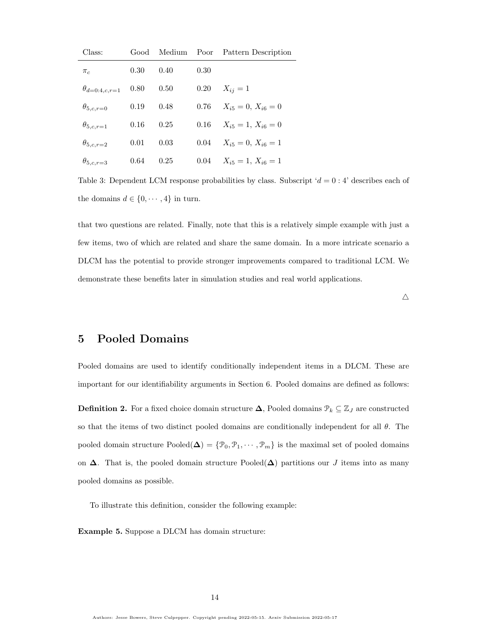| Class:                 |      |      |          | Good Medium Poor Pattern Description |
|------------------------|------|------|----------|--------------------------------------|
| $\pi_c$                | 0.30 | 0.40 | 0.30     |                                      |
| $\theta_{d=0:4,c,r=1}$ | 0.80 | 0.50 | $0.20\,$ | $X_{ij} = 1$                         |
| $\theta_{5,c,r=0}$     | 0.19 | 0.48 |          | 0.76 $X_{i5} = 0$ , $X_{i6} = 0$     |
| $\theta_{5,c,r=1}$     | 0.16 | 0.25 |          | 0.16 $X_{i5} = 1, X_{i6} = 0$        |
| $\theta_{5,c,r=2}$     | 0.01 | 0.03 |          | 0.04 $X_{i5} = 0, X_{i6} = 1$        |
| $\theta_{5,c,r=3}$     | 0.64 | 0.25 |          | 0.04 $X_{i5} = 1, X_{i6} = 1$        |

Table 3: Dependent LCM response probabilities by class. Subscript  $d = 0:4$  describes each of the domains  $d\in\{0,\cdots,4\}$  in turn.

that two questions are related. Finally, note that this is a relatively simple example with just a few items, two of which are related and share the same domain. In a more intricate scenario a DLCM has the potential to provide stronger improvements compared to traditional LCM. We demonstrate these benefits later in simulation studies and real world applications.

 $\triangle$ 

# <span id="page-13-0"></span>5 Pooled Domains

Pooled domains are used to identify conditionally independent items in a DLCM. These are important for our identifiability arguments in Section [6.](#page-16-0) Pooled domains are defined as follows:

**Definition 2.** For a fixed choice domain structure  $\Delta$ , Pooled domains  $\mathcal{P}_k \subseteq \mathbb{Z}_j$  are constructed so that the items of two distinct pooled domains are conditionally independent for all  $\theta$ . The pooled domain structure  $\text{Pooled}(\Delta) = \{\mathcal{P}_0, \mathcal{P}_1, \cdots, \mathcal{P}_m\}$  is the maximal set of pooled domains on  $\Delta$ . That is, the pooled domain structure Pooled( $\Delta$ ) partitions our J items into as many pooled domains as possible.

To illustrate this definition, consider the following example:

Example 5. Suppose a DLCM has domain structure: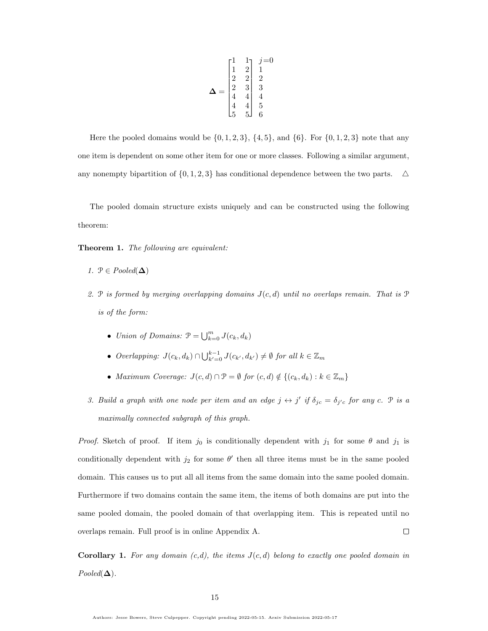$$
\mathbf{\Delta} = \begin{bmatrix} 1 & 1 & j = 0 \\ 1 & 2 & 1 \\ 2 & 2 & 2 \\ 2 & 3 & 3 \\ 4 & 4 & 4 \\ 4 & 4 & 5 \\ 5 & 5 & 6 \end{bmatrix}
$$

Here the pooled domains would be  $\{0, 1, 2, 3\}$ ,  $\{4, 5\}$ , and  $\{6\}$ . For  $\{0, 1, 2, 3\}$  note that any one item is dependent on some other item for one or more classes. Following a similar argument, any nonempty bipartition of  $\{0, 1, 2, 3\}$  has conditional dependence between the two parts.  $\Delta$ 

The pooled domain structure exists uniquely and can be constructed using the following theorem:

Theorem 1. The following are equivalent:

- 1.  $\mathcal{P} \in Pooled(\Delta)$
- 2. P is formed by merging overlapping domains  $J(c, d)$  until no overlaps remain. That is P is of the form:
	- Union of Domains:  $\mathcal{P} = \bigcup_{k=0}^{m} J(c_k, d_k)$
	- Overlapping:  $J(c_k, d_k) \cap \bigcup_{k'=0}^{k-1} J(c_{k'}, d_{k'}) \neq \emptyset$  for all  $k \in \mathbb{Z}_m$
	- Maximum Coverage:  $J(c,d) \cap \mathcal{P} = \emptyset$  for  $(c,d) \notin \{(c_k, d_k) : k \in \mathbb{Z}_m\}$
- 3. Build a graph with one node per item and an edge  $j \leftrightarrow j'$  if  $\delta_{jc} = \delta_{j'c}$  for any c.  $\mathcal P$  is a maximally connected subgraph of this graph.

*Proof.* Sketch of proof. If item  $j_0$  is conditionally dependent with  $j_1$  for some  $\theta$  and  $j_1$  is conditionally dependent with  $j_2$  for some  $\theta'$  then all three items must be in the same pooled domain. This causes us to put all all items from the same domain into the same pooled domain. Furthermore if two domains contain the same item, the items of both domains are put into the same pooled domain, the pooled domain of that overlapping item. This is repeated until no  $\Box$ overlaps remain. Full proof is in online Appendix [A.](#page-59-1)

**Corollary 1.** For any domain  $(c,d)$ , the items  $J(c,d)$  belong to exactly one pooled domain in  $Pooled(\Delta)$ .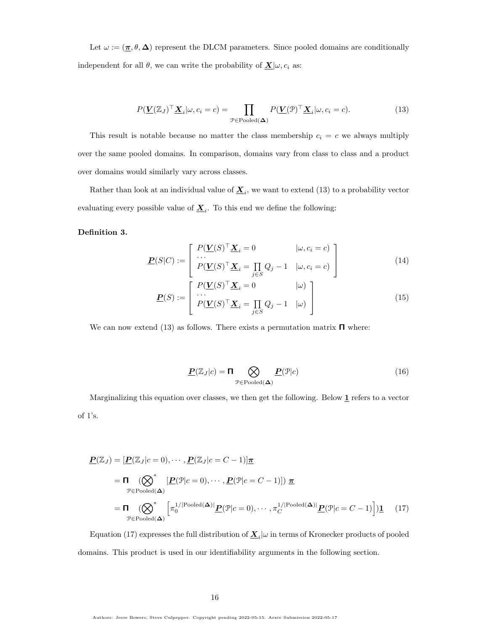Let  $\omega := (\underline{\pi}, \theta, \Delta)$  represent the DLCM parameters. Since pooled domains are conditionally independent for all  $\theta$ , we can write the probability of  $\underline{\mathbf{X}}|\omega, c_i$  as:

<span id="page-15-0"></span>
$$
P(\underline{\mathbf{V}}(\mathbb{Z}_{J})^{\top}\underline{\mathbf{X}}_{i}|\omega,c_{i}=c) = \prod_{\mathcal{P}\in\text{Pooled}(\Delta)} P(\underline{\mathbf{V}}(\mathcal{P})^{\top}\underline{\mathbf{X}}_{i}|\omega,c_{i}=c).
$$
 (13)

This result is notable because no matter the class membership  $c_i = c$  we always multiply over the same pooled domains. In comparison, domains vary from class to class and a product over domains would similarly vary across classes.

Rather than look at an individual value of  $\underline{\mathbf{X}}_i$ , we want to extend [\(13\)](#page-15-0) to a probability vector evaluating every possible value of  $\underline{\mathbf{X}}_i$ . To this end we define the following:

#### Definition 3.

$$
\underline{\mathbf{P}}(S|C) := \begin{bmatrix} P(\underline{\mathbf{V}}(S)^{\top} \underline{\mathbf{X}}_i = 0 & |\omega, c_i = c) \\ \cdots \\ P(\underline{\mathbf{V}}(S)^{\top} \underline{\mathbf{X}}_i = \prod_{j \in S} Q_j - 1 & |\omega, c_i = c) \end{bmatrix}
$$
(14)

$$
\underline{\boldsymbol{P}}(S) := \begin{bmatrix} P(\underline{\boldsymbol{V}}(S)^{\top} \underline{\boldsymbol{X}}_i = 0 & |\omega) \\ \cdots \\ P(\underline{\boldsymbol{V}}(S)^{\top} \underline{\boldsymbol{X}}_i = \prod_{j \in S} Q_j - 1 & |\omega) \end{bmatrix}
$$
(15)

We can now extend [\(13\)](#page-15-0) as follows. There exists a permutation matrix  $\Pi$  where:

<span id="page-15-1"></span>
$$
\underline{\boldsymbol{P}}(\mathbb{Z}_J|c) = \boldsymbol{\Pi} \bigotimes_{\mathcal{P} \in \text{Pooled}(\boldsymbol{\Delta})} \underline{\boldsymbol{P}}(\mathcal{P}|c) \tag{16}
$$

Marginalizing this equation over classes, we then get the following. Below  $1$  refers to a vector of 1's.

$$
\underline{\mathbf{P}}(\mathbb{Z}_J) = [\underline{\mathbf{P}}(\mathbb{Z}_J|c=0), \cdots, \underline{\mathbf{P}}(\mathbb{Z}_J|c=C-1)]\underline{\pi} \n= \Pi \left( \bigotimes_{\mathcal{P} \in \text{Pooled}(\Delta)}^* [\underline{\mathbf{P}}(\mathcal{P}|c=0), \cdots, \underline{\mathbf{P}}(\mathcal{P}|c=C-1)] \right) \underline{\pi} \n= \Pi \left( \bigotimes_{\mathcal{P} \in \text{Pooled}(\Delta)}^* [\pi_0^{1/|\text{Pooled}(\Delta)|} \underline{\mathbf{P}}(\mathcal{P}|c=0), \cdots, \pi_C^{1/|\text{Pooled}(\Delta)|} \underline{\mathbf{P}}(\mathcal{P}|c=C-1)] \right) \underline{\mathbf{1}} \tag{17}
$$

Equation [\(17\)](#page-15-1) expresses the full distribution of  $\underline{\boldsymbol{X}}_i|\omega$  in terms of Kronecker products of pooled domains. This product is used in our identifiability arguments in the following section.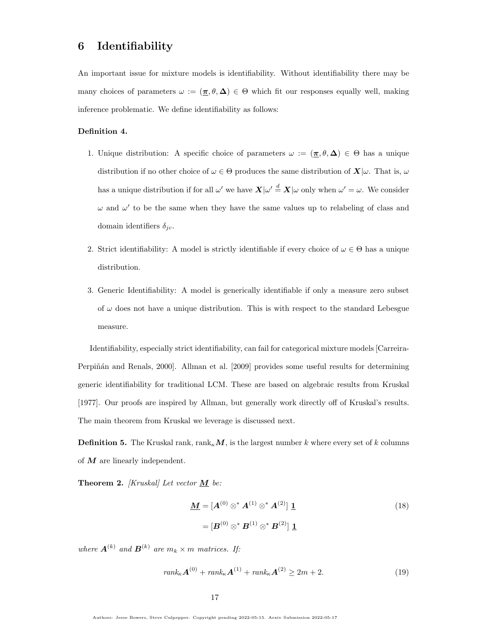# <span id="page-16-0"></span>6 Identifiability

An important issue for mixture models is identifiability. Without identifiability there may be many choices of parameters  $\omega := (\underline{\pi}, \theta, \Delta) \in \Theta$  which fit our responses equally well, making inference problematic. We define identifiability as follows:

#### Definition 4.

- 1. Unique distribution: A specific choice of parameters  $\omega := (\underline{\pi}, \theta, \Delta) \in \Theta$  has a unique distribution if no other choice of  $\omega \in \Theta$  produces the same distribution of  $\mathbf{X}|\omega$ . That is,  $\omega$ has a unique distribution if for all  $\omega'$  we have  $\bm{X}|\omega' \stackrel{d}{=} \bm{X}|\omega$  only when  $\omega' = \omega$ . We consider  $\omega$  and  $\omega'$  to be the same when they have the same values up to relabeling of class and domain identifiers  $\delta_{ic}$ .
- 2. Strict identifiability: A model is strictly identifiable if every choice of  $\omega \in \Theta$  has a unique distribution.
- 3. Generic Identifiability: A model is generically identifiable if only a measure zero subset of  $\omega$  does not have a unique distribution. This is with respect to the standard Lebesgue measure.

Identifiability, especially strict identifiability, can fail for categorical mixture models [\[Carreira-](#page-57-0)Perpiñán and Renals, 2000]. [Allman et al.](#page-56-4) [\[2009\]](#page-56-4) provides some useful results for determining generic identifiability for traditional LCM. These are based on algebraic results from [Kruskal](#page-57-1) [\[1977\]](#page-57-1). Our proofs are inspired by Allman, but generally work directly off of Kruskal's results. The main theorem from Kruskal we leverage is discussed next.

**Definition 5.** The Kruskal rank,  $rank_{\kappa}M$ , is the largest number k where every set of k columns of  $M$  are linearly independent.

Theorem 2. [Kruskal] Let vector  $M$  be:

<span id="page-16-1"></span>
$$
\underline{\mathbf{M}} = [\mathbf{A}^{(0)} \otimes^* \mathbf{A}^{(1)} \otimes^* \mathbf{A}^{(2)}] \underline{\mathbf{1}} = [\mathbf{B}^{(0)} \otimes^* \mathbf{B}^{(1)} \otimes^* \mathbf{B}^{(2)}] \underline{\mathbf{1}}.
$$
 (18)

where  $\mathbf{A}^{(k)}$  and  $\mathbf{B}^{(k)}$  are  $m_k \times m$  matrices. If:

$$
rank_{\kappa} \mathbf{A}^{(0)} + rank_{\kappa} \mathbf{A}^{(1)} + rank_{\kappa} \mathbf{A}^{(2)} \ge 2m + 2.
$$
 (19)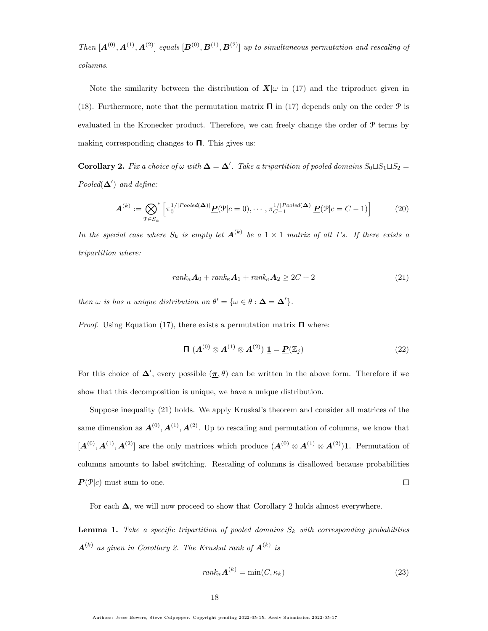Then  $[A^{(0)}, A^{(1)}, A^{(2)}]$  equals  $[B^{(0)}, B^{(1)}, B^{(2)}]$  up to simultaneous permutation and rescaling of columns.

Note the similarity between the distribution of  $X|\omega$  in [\(17\)](#page-15-1) and the triproduct given in [\(18\)](#page-16-1). Furthermore, note that the permutation matrix  $\Pi$  in [\(17\)](#page-15-1) depends only on the order  $\mathcal P$  is evaluated in the Kronecker product. Therefore, we can freely change the order of P terms by making corresponding changes to  $\Pi$ . This gives us:

<span id="page-17-1"></span>**Corollary 2.** Fix a choice of  $\omega$  with  $\Delta = \Delta'$ . Take a tripartition of pooled domains  $S_0 \sqcup S_1 \sqcup S_2 =$ Pooled $(\Delta')$  and define:

$$
\mathbf{A}^{(k)} := \bigotimes_{\mathcal{P} \in S_k}^* \left[ \pi_0^{1/|Pooled(\mathbf{\Delta})|} \underline{\mathbf{P}}(\mathcal{P}|c=0), \cdots, \pi_{C-1}^{1/|Pooled(\mathbf{\Delta})|} \underline{\mathbf{P}}(\mathcal{P}|c=C-1) \right]
$$
(20)

In the special case where  $S_k$  is empty let  $A^{(k)}$  be a  $1 \times 1$  matrix of all 1's. If there exists a tripartition where:

<span id="page-17-0"></span>
$$
rank_{\kappa} \mathbf{A}_0 + rank_{\kappa} \mathbf{A}_1 + rank_{\kappa} \mathbf{A}_2 \ge 2C + 2 \tag{21}
$$

then  $\omega$  is has a unique distribution on  $\theta' = {\omega \in \theta : \Delta = \Delta'}$ .

*Proof.* Using Equation [\(17\)](#page-15-1), there exists a permutation matrix  $\Pi$  where:

$$
\mathbf{\Pi}\ (A^{(0)} \otimes A^{(1)} \otimes A^{(2)})\ \underline{\mathbf{1}} = \underline{\mathbf{P}}(\mathbb{Z}_j) \tag{22}
$$

For this choice of  $\Delta'$ , every possible  $(\pi, \theta)$  can be written in the above form. Therefore if we show that this decomposition is unique, we have a unique distribution.

Suppose inequality [\(21\)](#page-17-0) holds. We apply Kruskal's theorem and consider all matrices of the same dimension as  $A^{(0)}, A^{(1)}, A^{(2)}$ . Up to rescaling and permutation of columns, we know that  $[A^{(0)}, A^{(1)}, A^{(2)}]$  are the only matrices which produce  $(A^{(0)} \otimes A^{(1)} \otimes A^{(2)})$ <sup>1</sup>. Permutation of columns amounts to label switching. Rescaling of columns is disallowed because probabilities  $\boldsymbol{P}(\mathcal{P}|c)$  must sum to one.  $\Box$ 

For each  $\Delta$ , we will now proceed to show that Corollary [2](#page-17-1) holds almost everywhere.

<span id="page-17-2"></span>**Lemma 1.** Take a specific tripartition of pooled domains  $S_k$  with corresponding probabilities  $\boldsymbol{A}^{(k)}$  as given in Corollary [2.](#page-17-1) The Kruskal rank of  $\boldsymbol{A}^{(k)}$  is

$$
rank_{\kappa} \mathbf{A}^{(k)} = \min(C, \kappa_k)
$$
\n(23)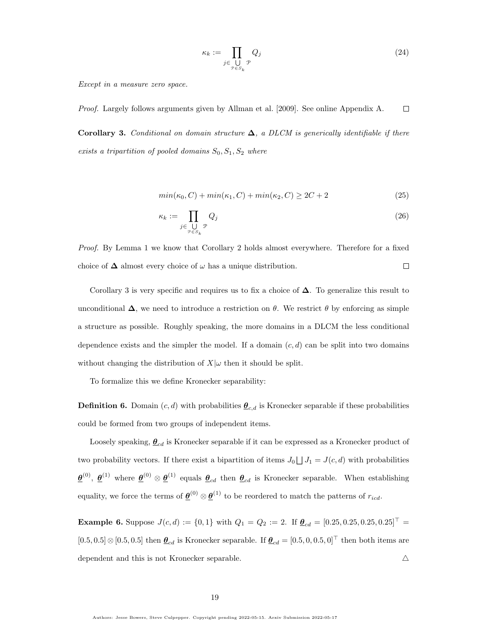$$
\kappa_k := \prod_{j \in \bigcup_{\mathcal{P} \in S_k} \mathcal{P}} Q_j \tag{24}
$$

Except in a measure zero space.

<span id="page-18-0"></span>Proof. Largely follows arguments given by [Allman et al.](#page-56-4) [\[2009\]](#page-56-4). See online Appendix [A.](#page-59-1)  $\Box$ Corollary 3. Conditional on domain structure  $\Delta$ , a DLCM is generically identifiable if there exists a tripartition of pooled domains  $S_0, S_1, S_2$  where

$$
min(\kappa_0, C) + min(\kappa_1, C) + min(\kappa_2, C) \ge 2C + 2
$$
\n
$$
(25)
$$

$$
\kappa_k := \prod_{j \in \bigcup_{\mathcal{P} \in S_k} \mathcal{P}} Q_j \tag{26}
$$

Proof. By Lemma [1](#page-17-2) we know that Corollary [2](#page-17-1) holds almost everywhere. Therefore for a fixed choice of  $\Delta$  almost every choice of  $\omega$  has a unique distribution.  $\Box$ 

Corollary [3](#page-18-0) is very specific and requires us to fix a choice of  $\Delta$ . To generalize this result to unconditional  $\Delta$ , we need to introduce a restriction on  $\theta$ . We restrict  $\theta$  by enforcing as simple a structure as possible. Roughly speaking, the more domains in a DLCM the less conditional dependence exists and the simpler the model. If a domain  $(c, d)$  can be split into two domains without changing the distribution of  $X|\omega$  then it should be split.

To formalize this we define Kronecker separability:

**Definition 6.** Domain  $(c, d)$  with probabilities  $\underline{\theta}_{c,d}$  is Kronecker separable if these probabilities could be formed from two groups of independent items.

Loosely speaking,  $\underline{\theta}_{cd}$  is Kronecker separable if it can be expressed as a Kronecker product of two probability vectors. If there exist a bipartition of items  $J_0 \bigsqcup J_1 = J(c, d)$  with probabilities  $\underline{\theta}^{(0)}, \underline{\theta}^{(1)}$  where  $\underline{\theta}^{(0)} \otimes \underline{\theta}^{(1)}$  equals  $\underline{\theta}_{cd}$  then  $\underline{\theta}_{cd}$  is Kronecker separable. When establishing equality, we force the terms of  $\underline{\theta}^{(0)} \otimes \underline{\theta}^{(1)}$  to be reordered to match the patterns of  $r_{icd}$ .

**Example 6.** Suppose  $J(c, d) := \{0, 1\}$  with  $Q_1 = Q_2 := 2$ . If  $\underline{\theta}_{cd} = [0.25, 0.25, 0.25, 0.25]$ <sup>T</sup> =  $[0.5, 0.5] \otimes [0.5, 0.5]$  then  $\underline{\theta}_{cd}$  is Kronecker separable. If  $\underline{\theta}_{cd} = [0.5, 0, 0.5, 0]^\top$  then both items are dependent and this is not Kronecker separable.  $\Delta$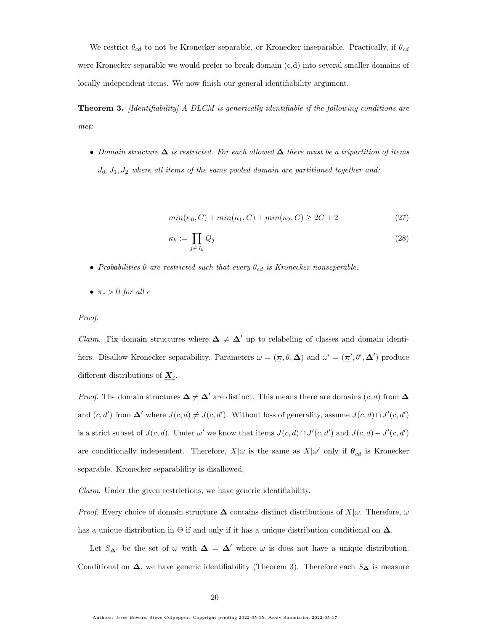We restrict  $\theta_{cd}$  to not be Kronecker separable, or Kronecker inseparable. Practically, if  $\theta_{cd}$ were Kronecker separable we would prefer to break domain (c,d) into several smaller domains of locally independent items. We now finish our general identifiability argument.

<span id="page-19-0"></span>**Theorem 3.** [Identifiability] A DLCM is generically identifiable if the following conditions are met:

• Domain structure  $\Delta$  is restricted. For each allowed  $\Delta$  there must be a tripartition of items  $J_0, J_1, J_2$  where all items of the same pooled domain are partitioned together and:

<span id="page-19-1"></span>
$$
min(\kappa_0, C) + min(\kappa_1, C) + min(\kappa_2, C) \ge 2C + 2
$$
\n(27)

$$
\kappa_k := \prod_{j \in J_k} Q_j \tag{28}
$$

- Probabilities  $\theta$  are restricted such that every  $\theta_{cd}$  is Kronecker nonseperable.
- $\pi_c > 0$  for all c

Proof.

*Claim.* Fix domain structures where  $\Delta \neq \Delta'$  up to relabeling of classes and domain identifiers. Disallow Kronecker separability. Parameters  $\omega = (\pi, \theta, \Delta)$  and  $\omega' = (\pi', \theta', \Delta')$  produce different distributions of  $\underline{\mathbf{X}}_i$ .

*Proof.* The domain structures  $\Delta \neq \Delta'$  are distinct. This means there are domains  $(c, d)$  from  $\Delta$ and  $(c, d')$  from  $\Delta'$  where  $J(c, d) \neq J(c, d')$ . Without loss of generality, assume  $J(c, d) \cap J'(c, d')$ is a strict subset of  $J(c, d)$ . Under  $\omega'$  we know that items  $J(c, d) \cap J'(c, d')$  and  $J(c, d) - J'(c, d')$ are conditionally independent. Therefore,  $X|\omega$  is the same as  $X|\omega'$  only if  $\underline{\theta}_{cd}$  is Kronecker separable. Kronecker separablility is disallowed.

Claim. Under the given restrictions, we have generic identifiability.

*Proof.* Every choice of domain structure  $\Delta$  contains distinct distributions of  $X|\omega$ . Therefore,  $\omega$ has a unique distribution in  $\Theta$  if and only if it has a unique distribution conditional on  $\Delta$ .

Let  $S_{\Delta}$  be the set of  $\omega$  with  $\Delta = \Delta'$  where  $\omega$  is does not have a unique distribution. Conditional on  $\Delta$ , we have generic identifiability (Theorem [3\)](#page-18-0). Therefore each  $S_{\Delta}$  is measure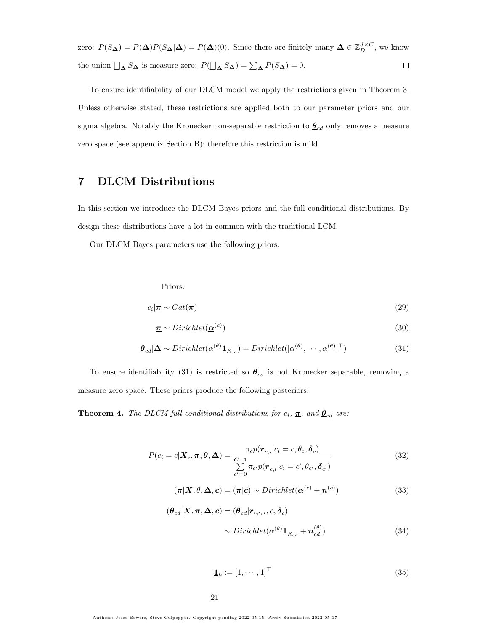zero:  $P(S_{\Delta}) = P(\Delta)P(S_{\Delta}|\Delta) = P(\Delta)(0)$ . Since there are finitely many  $\Delta \in \mathbb{Z}_{D}^{J \times C}$ , we know  $\Box$ the union  $\Box_{\Delta} S_{\Delta}$  is measure zero:  $P(\Box_{\Delta} S_{\Delta}) = \sum_{\Delta} P(S_{\Delta}) = 0$ .

To ensure identifiability of our DLCM model we apply the restrictions given in Theorem [3.](#page-19-0) Unless otherwise stated, these restrictions are applied both to our parameter priors and our sigma algebra. Notably the Kronecker non-separable restriction to  $\underline{\theta}_{cd}$  only removes a measure zero space (see appendix Section [B\)](#page-62-0); therefore this restriction is mild.

# <span id="page-20-0"></span>7 DLCM Distributions

In this section we introduce the DLCM Bayes priors and the full conditional distributions. By design these distributions have a lot in common with the traditional LCM.

Our DLCM Bayes parameters use the following priors:

Priors:

$$
c_i | \mathbf{\underline{\pi}} \sim \text{Cat}(\mathbf{\underline{\pi}}) \tag{29}
$$

<span id="page-20-1"></span>
$$
\underline{\boldsymbol{\pi}} \sim Dirichlet(\underline{\boldsymbol{\alpha}}^{(c)})
$$
\n(30)

$$
\underline{\boldsymbol{\theta}}_{cd} | \Delta \sim Dirichlet(\alpha^{(\theta)} \underline{\mathbf{1}}_{R_{cd}}) = Dirichlet([\alpha^{(\theta)}, \cdots, \alpha^{(\theta)}]^\top)
$$
(31)

To ensure identifiability [\(31\)](#page-20-1) is restricted so  $\underline{\theta}_{cd}$  is not Kronecker separable, removing a measure zero space. These priors produce the following posteriors:

<span id="page-20-2"></span>**Theorem 4.** The DLCM full conditional distributions for  $c_i$ ,  $\underline{\pi}$ , and  $\underline{\theta}_{cd}$  are:

$$
P(c_i = c | \underline{\mathbf{X}}_i, \underline{\boldsymbol{\pi}}, \boldsymbol{\theta}, \Delta) = \frac{\pi_c p(\underline{\boldsymbol{r}}_{c,i} | c_i = c, \theta_c, \underline{\boldsymbol{\delta}}_c)}{\sum\limits_{c'=0}^{C-1} \pi_{c'} p(\underline{\boldsymbol{r}}_{c,i} | c_i = c', \theta_{c'}, \underline{\boldsymbol{\delta}}_{c'})}
$$
(32)

$$
(\underline{\boldsymbol{\pi}}|\boldsymbol{X},\theta,\boldsymbol{\Delta},\underline{\boldsymbol{c}}) = (\underline{\boldsymbol{\pi}}|\underline{\boldsymbol{c}}) \sim Dirichlet(\underline{\boldsymbol{\alpha}}^{(c)} + \underline{\boldsymbol{n}}^{(c)})
$$
(33)

$$
(\underline{\theta}_{cd}|\mathbf{X}, \underline{\pi}, \Delta, \underline{c}) = (\underline{\theta}_{cd}|\mathbf{r}_{c,\cdot,d}, \underline{c}, \underline{\delta}_c)
$$
  
~  $\sim Dirichlet(\alpha^{(\theta)}\underline{\mathbf{1}}_{R_{cd}} + \underline{\mathbf{n}}_{cd}^{(\theta)})$  (34)

$$
\mathbf{\underline{1}}_k := [1, \cdots, 1]^\top \tag{35}
$$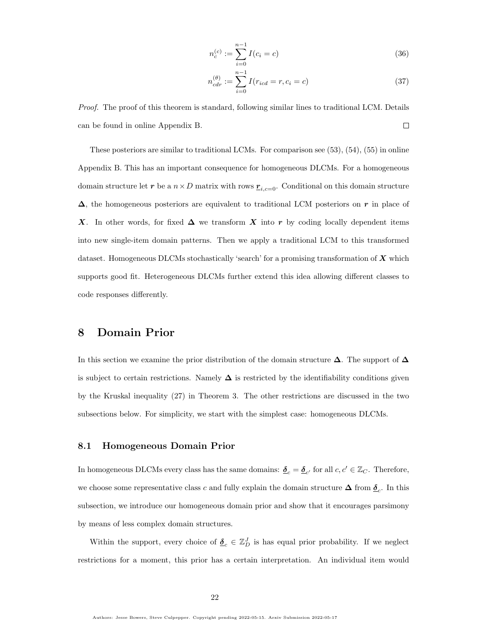$$
n_c^{(c)} := \sum_{i=0}^{n-1} I(c_i = c)
$$
\n(36)

$$
n_{cdr}^{(\theta)} := \sum_{i=0}^{n-1} I(r_{icd} = r, c_i = c)
$$
\n(37)

Proof. The proof of this theorem is standard, following similar lines to traditional LCM. Details can be found in online Appendix [B.](#page-62-0)  $\Box$ 

These posteriors are similar to traditional LCMs. For comparison see [\(53\)](#page-65-0), [\(54\)](#page-65-1), [\(55\)](#page-65-2) in online Appendix [B.](#page-62-0) This has an important consequence for homogeneous DLCMs. For a homogeneous domain structure let r be a  $n \times D$  matrix with rows  $\underline{r}_{i,c=0}$ . Conditional on this domain structure  $\Delta$ , the homogeneous posteriors are equivalent to traditional LCM posteriors on r in place of X. In other words, for fixed  $\Delta$  we transform X into r by coding locally dependent items into new single-item domain patterns. Then we apply a traditional LCM to this transformed dataset. Homogeneous DLCMs stochastically 'search' for a promising transformation of  $\boldsymbol{X}$  which supports good fit. Heterogeneous DLCMs further extend this idea allowing different classes to code responses differently.

# <span id="page-21-0"></span>8 Domain Prior

In this section we examine the prior distribution of the domain structure  $\Delta$ . The support of  $\Delta$ is subject to certain restrictions. Namely  $\Delta$  is restricted by the identifiability conditions given by the Kruskal inequality [\(27\)](#page-19-1) in Theorem [3.](#page-19-0) The other restrictions are discussed in the two subsections below. For simplicity, we start with the simplest case: homogeneous DLCMs.

#### 8.1 Homogeneous Domain Prior

In homogeneous DLCMs every class has the same domains:  $\underline{\delta}_c = \underline{\delta}_{c'}$  for all  $c, c' \in \mathbb{Z}_C$ . Therefore, we choose some representative class c and fully explain the domain structure  $\Delta$  from  $\underline{\delta}_c$ . In this subsection, we introduce our homogeneous domain prior and show that it encourages parsimony by means of less complex domain structures.

Within the support, every choice of  $\underline{\delta}_c \in \mathbb{Z}_D^J$  is has equal prior probability. If we neglect restrictions for a moment, this prior has a certain interpretation. An individual item would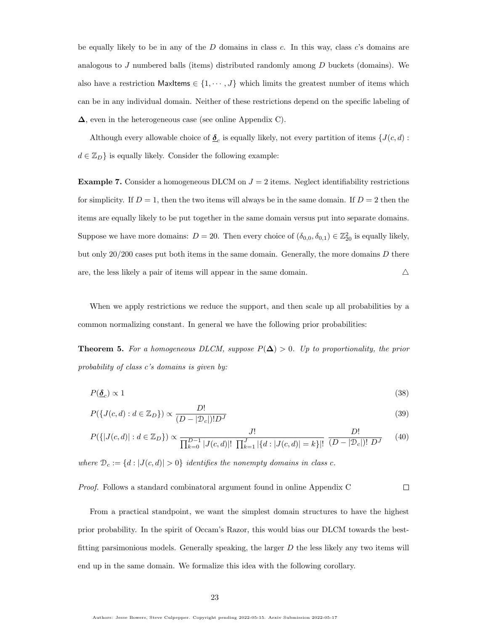be equally likely to be in any of the  $D$  domains in class  $c$ . In this way, class  $c$ 's domains are analogous to  $J$  numbered balls (items) distributed randomly among  $D$  buckets (domains). We also have a restriction  $\mathsf{MaxItems} \in \{1, \cdots, J\}$  which limits the greatest number of items which can be in any individual domain. Neither of these restrictions depend on the specific labeling of ∆, even in the heterogeneous case (see online Appendix [C\)](#page-65-3).

Although every allowable choice of  $\underline{\delta}_c$  is equally likely, not every partition of items  $\{J(c, d) :$  $d \in \mathbb{Z}_D$  is equally likely. Consider the following example:

**Example 7.** Consider a homogeneous DLCM on  $J = 2$  items. Neglect identifiability restrictions for simplicity. If  $D = 1$ , then the two items will always be in the same domain. If  $D = 2$  then the items are equally likely to be put together in the same domain versus put into separate domains. Suppose we have more domains:  $D = 20$ . Then every choice of  $(\delta_{0,0}, \delta_{0,1}) \in \mathbb{Z}_{20}^2$  is equally likely, but only  $20/200$  cases put both items in the same domain. Generally, the more domains  $D$  there are, the less likely a pair of items will appear in the same domain.  $\triangle$ 

When we apply restrictions we reduce the support, and then scale up all probabilities by a common normalizing constant. In general we have the following prior probabilities:

<span id="page-22-0"></span>**Theorem 5.** For a homogeneous DLCM, suppose  $P(\Delta) > 0$ . Up to proportionality, the prior probability of class c's domains is given by:

$$
P(\underline{\delta}_c) \propto 1\tag{38}
$$

$$
P(\lbrace J(c,d) : d \in \mathbb{Z}_D \rbrace) \propto \frac{D!}{(D - |\mathcal{D}_c|)! D^J}
$$
\n(39)

$$
P(\{|J(c,d)|:d\in\mathbb{Z}_D\}) \propto \frac{J!}{\prod_{k=0}^{D-1}|J(c,d)|! \prod_{k=1}^J |\{d:|J(c,d)|=k\}|!} \frac{D!}{(D-|\mathcal{D}_c|)! \ D^J}
$$
(40)

where  $\mathcal{D}_c := \{d : |J(c, d)| > 0\}$  identifies the nonempty domains in class c.

#### Proof. Follows a standard combinatoral argument found in online Appendix [C](#page-65-3)  $\Box$

From a practical standpoint, we want the simplest domain structures to have the highest prior probability. In the spirit of Occam's Razor, this would bias our DLCM towards the bestfitting parsimonious models. Generally speaking, the larger  $D$  the less likely any two items will end up in the same domain. We formalize this idea with the following corollary.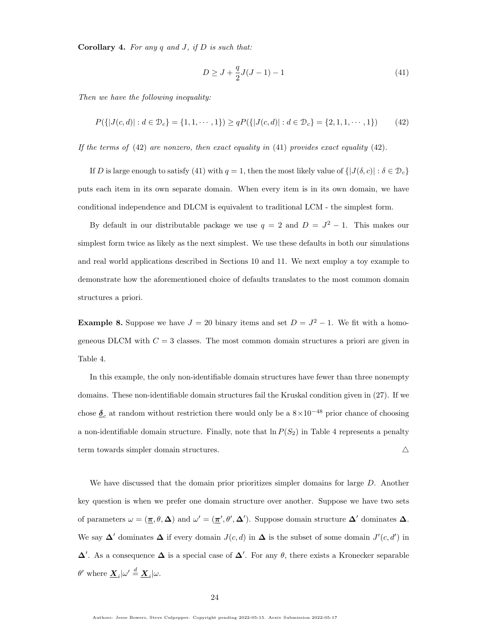**Corollary 4.** For any  $q$  and  $J$ , if  $D$  is such that:

<span id="page-23-1"></span><span id="page-23-0"></span>
$$
D \ge J + \frac{q}{2}J(J-1) - 1\tag{41}
$$

Then we have the following inequality:

$$
P({ |J(c, d)| : d \in \mathcal{D}_c} = {1, 1, \cdots, 1}) \ge qP({ |J(c, d)| : d \in \mathcal{D}_c} = {2, 1, 1, \cdots, 1})
$$
(42)

If the terms of  $(42)$  are nonzero, then exact equality in  $(41)$  provides exact equality  $(42)$ .

If D is large enough to satisfy [\(41\)](#page-23-1) with  $q = 1$ , then the most likely value of  $\{|J(\delta, c)| : \delta \in \mathcal{D}_c\}$ puts each item in its own separate domain. When every item is in its own domain, we have conditional independence and DLCM is equivalent to traditional LCM - the simplest form.

By default in our distributable package we use  $q = 2$  and  $D = J^2 - 1$ . This makes our simplest form twice as likely as the next simplest. We use these defaults in both our simulations and real world applications described in Sections [10](#page-29-0) and [11.](#page-41-0) We next employ a toy example to demonstrate how the aforementioned choice of defaults translates to the most common domain structures a priori.

<span id="page-23-2"></span>**Example 8.** Suppose we have  $J = 20$  binary items and set  $D = J^2 - 1$ . We fit with a homogeneous DLCM with  $C = 3$  classes. The most common domain structures a priori are given in Table [4.](#page-24-0)

In this example, the only non-identifiable domain structures have fewer than three nonempty domains. These non-identifiable domain structures fail the Kruskal condition given in [\(27\)](#page-19-1). If we chose  $\delta_c$  at random without restriction there would only be a  $8 \times 10^{-48}$  prior chance of choosing a non-identifiable domain structure. Finally, note that  $\ln P(S_2)$  in Table [4](#page-24-0) represents a penalty term towards simpler domain structures.  $\triangle$ 

We have discussed that the domain prior prioritizes simpler domains for large D. Another key question is when we prefer one domain structure over another. Suppose we have two sets of parameters  $\omega = (\pi, \theta, \Delta)$  and  $\omega' = (\pi', \theta', \Delta')$ . Suppose domain structure  $\Delta'$  dominates  $\Delta$ . We say  $\Delta'$  dominates  $\Delta$  if every domain  $J(c, d)$  in  $\Delta$  is the subset of some domain  $J'(c, d')$  in  $\Delta'$ . As a consequence  $\Delta$  is a special case of  $\Delta'$ . For any  $\theta$ , there exists a Kronecker separable  $\theta'$  where  $\underline{\mathbf{X}}_i|\omega'\stackrel{d}{=}\underline{\mathbf{X}}_i|\omega.$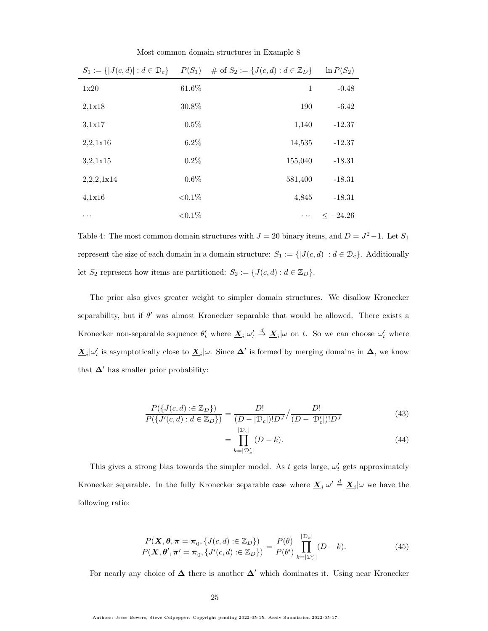Most common domain structures in Example [8](#page-23-2)

| $S_1 := \{  J(c,d)  : d \in \mathcal{D}_c \}$ | $P(S_1)$   | # of $S_2 := \{J(c,d) : d \in \mathbb{Z}_D\}$ | $\ln P(S_2)$  |
|-----------------------------------------------|------------|-----------------------------------------------|---------------|
| 1x20                                          | 61.6%      | 1                                             | $-0.48$       |
| 2,1x18                                        | 30.8%      | 190                                           | $-6.42$       |
| 3.1x17                                        | $0.5\%$    | 1,140                                         | $-12.37$      |
| 2,2,1x16                                      | $6.2\%$    | 14,535                                        | $-12.37$      |
| 3,2,1x15                                      | 0.2%       | 155,040                                       | $-18.31$      |
| 2,2,2,1x14                                    | $0.6\%$    | 581,400                                       | $-18.31$      |
| 4.1x16                                        | ${<}0.1\%$ | 4,845                                         | $-18.31$      |
| .                                             | ${<}0.1\%$ | $\cdots$                                      | $\leq -24.26$ |

<span id="page-24-0"></span>Table 4: The most common domain structures with  $J = 20$  binary items, and  $D = J^2 - 1$ . Let  $S_1$ represent the size of each domain in a domain structure:  $S_1 := \{ |J(c, d)| : d \in \mathcal{D}_c \}$ . Additionally let  $S_2$  represent how items are partitioned:  $S_2 := \{J(c, d) : d \in \mathbb{Z}_D\}.$ 

The prior also gives greater weight to simpler domain structures. We disallow Kronecker separability, but if  $\theta'$  was almost Kronecker separable that would be allowed. There exists a Kronecker non-separable sequence  $\theta'_t$  where  $\underline{\mathbf{X}}_i|\omega'_t$  $\stackrel{d}{\rightarrow} \underline{\mathbf{X}}_i|\omega$  on t. So we can choose  $\omega'_t$  where  $\underline{\mathbf{X}}_i|\omega'_t$  is asymptotically close to  $\underline{\mathbf{X}}_i|\omega$ . Since  $\Delta'$  is formed by merging domains in  $\Delta$ , we know that  $\Delta'$  has smaller prior probability:

$$
\frac{P(\{J(c,d) : \in \mathbb{Z}_D\})}{P(\{J'(c,d) : d \in \mathbb{Z}_D\})} = \frac{D!}{(D - |\mathcal{D}_c|)! D^J} / \frac{D!}{(D - |\mathcal{D}'_c|)! D^J}
$$
(43)

$$
= \prod_{k=|\mathcal{D}_c|}^{|\mathcal{D}_c|} (D - k). \tag{44}
$$

This gives a strong bias towards the simpler model. As t gets large,  $\omega'_t$  gets approximately Kronecker separable. In the fully Kronecker separable case where  $\underline{\mathbf{X}}_i|\omega' \stackrel{d}{=} \underline{\mathbf{X}}_i|\omega$  we have the following ratio:

$$
\frac{P(\mathbf{X}, \mathbf{\underline{\theta}}, \mathbf{\underline{\pi}} = \mathbf{\underline{\pi}}_0, \{J(c, d) : \in \mathbb{Z}_D\})}{P(\mathbf{X}, \mathbf{\underline{\theta}}', \mathbf{\underline{\pi}}' = \mathbf{\underline{\pi}}_0, \{J'(c, d) : \in \mathbb{Z}_D\})} = \frac{P(\theta)}{P(\theta')} \prod_{k=|\mathcal{D}'_c|}^{|\mathcal{D}_c|} (D - k). \tag{45}
$$

For nearly any choice of  $\Delta$  there is another  $\Delta'$  which dominates it. Using near Kronecker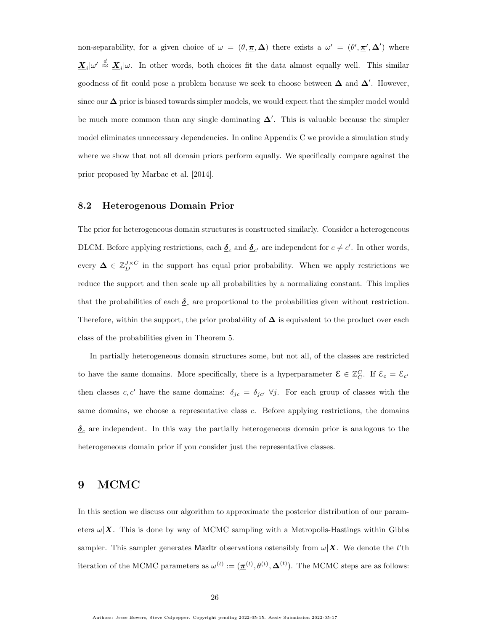non-separability, for a given choice of  $\omega = (\theta, \pi, \Delta)$  there exists a  $\omega' = (\theta', \pi', \Delta')$  where  $\underline{\mathbf{X}}_i|\omega' \stackrel{d}{\approx} \underline{\mathbf{X}}_i|\omega$ . In other words, both choices fit the data almost equally well. This similar goodness of fit could pose a problem because we seek to choose between  $\Delta$  and  $\Delta'$ . However, since our  $\Delta$  prior is biased towards simpler models, we would expect that the simpler model would be much more common than any single dominating  $\Delta'$ . This is valuable because the simpler model eliminates unnecessary dependencies. In online Appendix [C](#page-65-3) we provide a simulation study where we show that not all domain priors perform equally. We specifically compare against the prior proposed by [Marbac et al.](#page-58-0) [\[2014\]](#page-58-0).

## 8.2 Heterogenous Domain Prior

The prior for heterogeneous domain structures is constructed similarly. Consider a heterogeneous DLCM. Before applying restrictions, each  $\underline{\delta}_c$  and  $\underline{\delta}_{c'}$  are independent for  $c \neq c'$ . In other words, every  $\Delta \in \mathbb{Z}_{D}^{J \times C}$  in the support has equal prior probability. When we apply restrictions we reduce the support and then scale up all probabilities by a normalizing constant. This implies that the probabilities of each  $\underline{\delta}_c$  are proportional to the probabilities given without restriction. Therefore, within the support, the prior probability of  $\Delta$  is equivalent to the product over each class of the probabilities given in Theorem [5.](#page-22-0)

In partially heterogeneous domain structures some, but not all, of the classes are restricted to have the same domains. More specifically, there is a hyperparameter  $\underline{\mathcal{E}} \in \mathbb{Z}_C^C$ . If  $\mathcal{E}_c = \mathcal{E}_{c'}$ then classes c, c' have the same domains:  $\delta_{jc} = \delta_{jc'} \ \forall j$ . For each group of classes with the same domains, we choose a representative class c. Before applying restrictions, the domains  $\underline{\delta}_c$  are independent. In this way the partially heterogeneous domain prior is analogous to the heterogeneous domain prior if you consider just the representative classes.

# <span id="page-25-0"></span>9 MCMC

In this section we discuss our algorithm to approximate the posterior distribution of our parameters  $\omega|\mathbf{X}$ . This is done by way of MCMC sampling with a Metropolis-Hastings within Gibbs sampler. This sampler generates MaxItr observations ostensibly from  $\omega|\mathbf{X}$ . We denote the t'th iteration of the MCMC parameters as  $\omega^{(t)} := (\underline{\pi}^{(t)}, \theta^{(t)}, \Delta^{(t)})$ . The MCMC steps are as follows: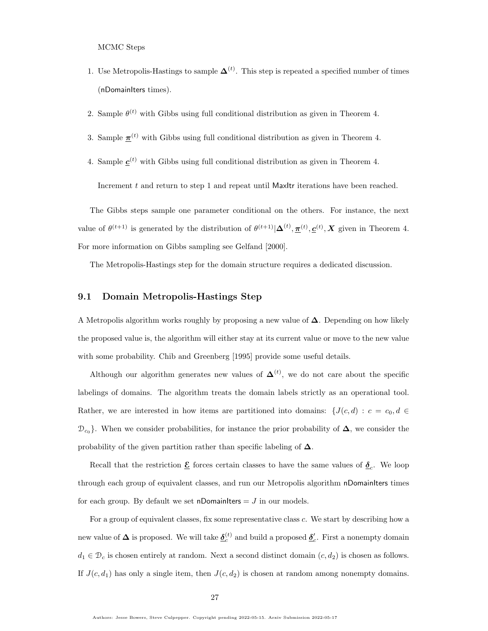MCMC Steps

- 1. Use Metropolis-Hastings to sample  $\mathbf{\Delta}^{(t)}$ . This step is repeated a specified number of times (nDomainIters times).
- 2. Sample  $\theta^{(t)}$  with Gibbs using full conditional distribution as given in Theorem [4.](#page-20-2)
- 3. Sample  $\pi^{(t)}$  with Gibbs using full conditional distribution as given in Theorem [4.](#page-20-2)
- 4. Sample  $\underline{c}^{(t)}$  with Gibbs using full conditional distribution as given in Theorem [4.](#page-20-2)

Increment  $t$  and return to step 1 and repeat until MaxItr iterations have been reached.

The Gibbs steps sample one parameter conditional on the others. For instance, the next value of  $\theta^{(t+1)}$  is generated by the distribution of  $\theta^{(t+1)}|\mathbf{\Delta}^{(t)}, \mathbf{\underline{\pi}}^{(t)}, \mathbf{\underline{c}}^{(t)}, \mathbf{X}$  given in Theorem [4.](#page-20-2) For more information on Gibbs sampling see [Gelfand](#page-57-2) [\[2000\]](#page-57-2).

The Metropolis-Hastings step for the domain structure requires a dedicated discussion.

#### 9.1 Domain Metropolis-Hastings Step

A Metropolis algorithm works roughly by proposing a new value of ∆. Depending on how likely the proposed value is, the algorithm will either stay at its current value or move to the new value with some probability. [Chib and Greenberg](#page-57-3) [\[1995\]](#page-57-3) provide some useful details.

Although our algorithm generates new values of  $\mathbf{\Delta}^{(t)}$ , we do not care about the specific labelings of domains. The algorithm treats the domain labels strictly as an operational tool. Rather, we are interested in how items are partitioned into domains:  $\{J(c, d) : c = c_0, d \in$  $\mathcal{D}_{c_0}$ . When we consider probabilities, for instance the prior probability of  $\Delta$ , we consider the probability of the given partition rather than specific labeling of  $\Delta$ .

Recall that the restriction  $\underline{\mathcal{E}}$  forces certain classes to have the same values of  $\underline{\delta}_c$ . We loop through each group of equivalent classes, and run our Metropolis algorithm nDomainIters times for each group. By default we set nDomainIters  $= J$  in our models.

For a group of equivalent classes, fix some representative class c. We start by describing how a new value of  $\Delta$  is proposed. We will take  $\underline{\delta}^{(t)}_c$  and build a proposed  $\underline{\delta}'_c$ . First a nonempty domain  $d_1 \in \mathcal{D}_c$  is chosen entirely at random. Next a second distinct domain  $(c, d_2)$  is chosen as follows. If  $J(c, d_1)$  has only a single item, then  $J(c, d_2)$  is chosen at random among nonempty domains.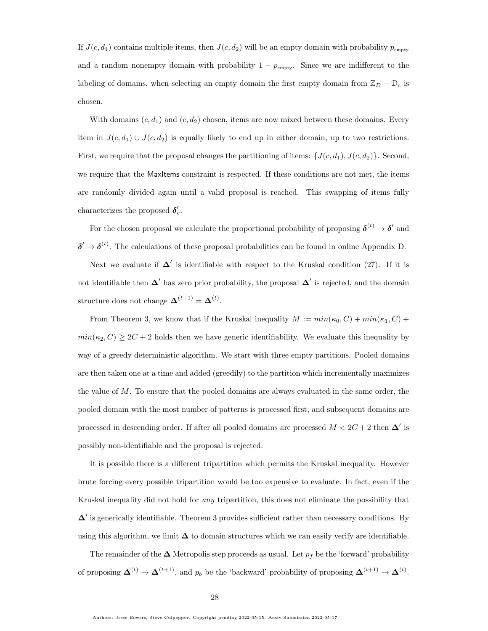If  $J(c, d_1)$  contains multiple items, then  $J(c, d_2)$  will be an empty domain with probability  $p_{\text{empty}}$ and a random nonempty domain with probability  $1 - p_{\text{empty}}$ . Since we are indifferent to the labeling of domains, when selecting an empty domain the first empty domain from  $\mathbb{Z}_D - \mathbb{D}_c$  is chosen.

With domains  $(c, d_1)$  and  $(c, d_2)$  chosen, items are now mixed between these domains. Every item in  $J(c, d_1) \cup J(c, d_2)$  is equally likely to end up in either domain, up to two restrictions. First, we require that the proposal changes the partitioning of items:  $\{J(c, d_1), J(c, d_2)\}$ . Second, we require that the MaxItems constraint is respected. If these conditions are not met, the items are randomly divided again until a valid proposal is reached. This swapping of items fully characterizes the proposed  $\underline{\delta}'_c$ .

For the chosen proposal we calculate the proportional probability of proposing  $\underline{\delta}^{(t)} \to \underline{\delta}'$  and  $\underline{\delta}' \to \underline{\delta}^{(t)}$ . The calculations of these proposal probabilities can be found in online Appendix [D.](#page-68-0)

Next we evaluate if  $\Delta'$  is identifiable with respect to the Kruskal condition [\(27\)](#page-19-1). If it is not identifiable then  $\Delta'$  has zero prior probability, the proposal  $\Delta'$  is rejected, and the domain structure does not change  $\mathbf{\Delta}^{(t+1)} = \mathbf{\Delta}^{(t)}$ .

From Theorem [3,](#page-19-0) we know that if the Kruskal inequality  $M := min(\kappa_0, C) + min(\kappa_1, C) +$  $min(\kappa_2, C) \geq 2C + 2$  holds then we have generic identifiability. We evaluate this inequality by way of a greedy deterministic algorithm. We start with three empty partitions. Pooled domains are then taken one at a time and added (greedily) to the partition which incrementally maximizes the value of M. To ensure that the pooled domains are always evaluated in the same order, the pooled domain with the most number of patterns is processed first, and subsequent domains are processed in descending order. If after all pooled domains are processed  $M < 2C + 2$  then  $\Delta'$  is possibly non-identifiable and the proposal is rejected.

It is possible there is a different tripartition which permits the Kruskal inequality. However brute forcing every possible tripartition would be too expensive to evaluate. In fact, even if the Kruskal inequality did not hold for any tripartition, this does not eliminate the possibility that  $\Delta'$  is generically identifiable. Theorem [3](#page-19-0) provides sufficient rather than necessary conditions. By using this algorithm, we limit  $\Delta$  to domain structures which we can easily verify are identifiable.

The remainder of the  $\Delta$  Metropolis step proceeds as usual. Let  $p_f$  be the 'forward' probability of proposing  $\mathbf{\Delta}^{(t)} \to \mathbf{\Delta}^{(t+1)}$ , and  $p_b$  be the 'backward' probability of proposing  $\mathbf{\Delta}^{(t+1)} \to \mathbf{\Delta}^{(t)}$ .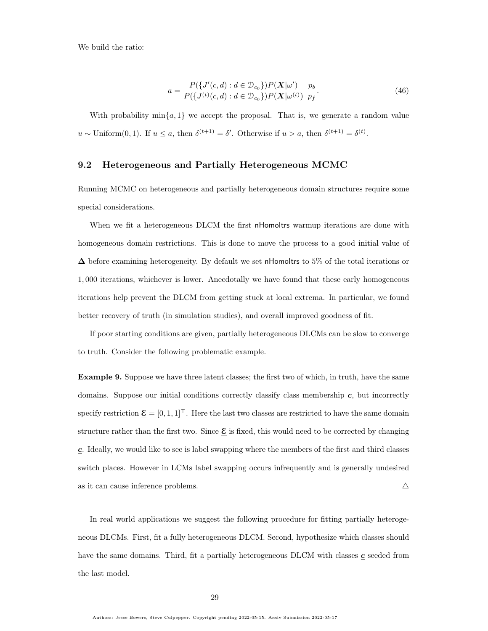We build the ratio:

$$
a = \frac{P(\lbrace J'(c,d) : d \in \mathcal{D}_{c_0} \rbrace) P(\mathbf{X}|\omega')}{P(\lbrace J^{(t)}(c,d) : d \in \mathcal{D}_{c_0} \rbrace) P(\mathbf{X}|\omega^{(t)})} \frac{p_b}{p_f}.
$$
(46)

With probability  $\min\{a, 1\}$  we accept the proposal. That is, we generate a random value  $u \sim \text{Uniform}(0, 1)$ . If  $u \leq a$ , then  $\delta^{(t+1)} = \delta'$ . Otherwise if  $u > a$ , then  $\delta^{(t+1)} = \delta^{(t)}$ .

## 9.2 Heterogeneous and Partially Heterogeneous MCMC

Running MCMC on heterogeneous and partially heterogeneous domain structures require some special considerations.

When we fit a heterogeneous DLCM the first nHomoltrs warmup iterations are done with homogeneous domain restrictions. This is done to move the process to a good initial value of  $\Delta$  before examining heterogeneity. By default we set nHomoltrs to 5% of the total iterations or 1, 000 iterations, whichever is lower. Anecdotally we have found that these early homogeneous iterations help prevent the DLCM from getting stuck at local extrema. In particular, we found better recovery of truth (in simulation studies), and overall improved goodness of fit.

If poor starting conditions are given, partially heterogeneous DLCMs can be slow to converge to truth. Consider the following problematic example.

<span id="page-28-0"></span>Example 9. Suppose we have three latent classes; the first two of which, in truth, have the same domains. Suppose our initial conditions correctly classify class membership  $\underline{c}$ , but incorrectly specify restriction  $\underline{\mathcal{E}} = [0, 1, 1]^T$ . Here the last two classes are restricted to have the same domain structure rather than the first two. Since  $\underline{\mathcal{E}}$  is fixed, this would need to be corrected by changing c. Ideally, we would like to see is label swapping where the members of the first and third classes switch places. However in LCMs label swapping occurs infrequently and is generally undesired as it can cause inference problems.  $\triangle$ 

In real world applications we suggest the following procedure for fitting partially heterogeneous DLCMs. First, fit a fully heterogeneous DLCM. Second, hypothesize which classes should have the same domains. Third, fit a partially heterogeneous DLCM with classes  $\mathbf c$  seeded from the last model.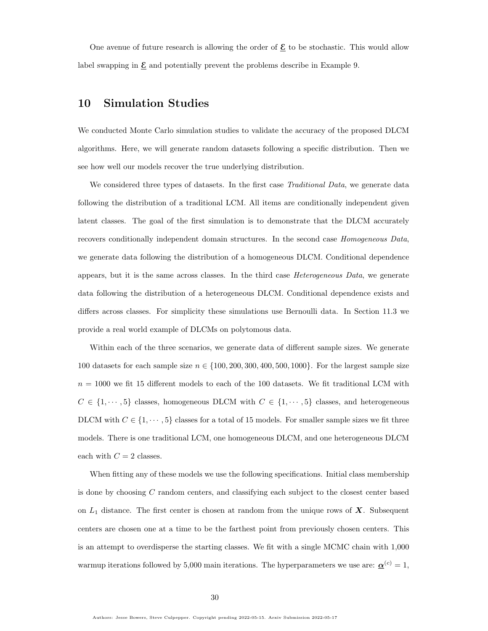One avenue of future research is allowing the order of  $\underline{\mathcal{E}}$  to be stochastic. This would allow label swapping in  $\underline{\mathcal{E}}$  and potentially prevent the problems describe in Example [9.](#page-28-0)

# <span id="page-29-0"></span>10 Simulation Studies

We conducted Monte Carlo simulation studies to validate the accuracy of the proposed DLCM algorithms. Here, we will generate random datasets following a specific distribution. Then we see how well our models recover the true underlying distribution.

We considered three types of datasets. In the first case Traditional Data, we generate data following the distribution of a traditional LCM. All items are conditionally independent given latent classes. The goal of the first simulation is to demonstrate that the DLCM accurately recovers conditionally independent domain structures. In the second case Homogeneous Data, we generate data following the distribution of a homogeneous DLCM. Conditional dependence appears, but it is the same across classes. In the third case *Heterogeneous Data*, we generate data following the distribution of a heterogeneous DLCM. Conditional dependence exists and differs across classes. For simplicity these simulations use Bernoulli data. In Section [11.3](#page-51-0) we provide a real world example of DLCMs on polytomous data.

Within each of the three scenarios, we generate data of different sample sizes. We generate 100 datasets for each sample size  $n \in \{100, 200, 300, 400, 500, 1000\}$ . For the largest sample size  $n = 1000$  we fit 15 different models to each of the 100 datasets. We fit traditional LCM with  $C$   $\in$   $\{1, \cdots, 5\}$  classes, homogeneous DLCM with  $C$   $\in$   $\{1, \cdots, 5\}$  classes, and heterogeneous DLCM with  $C \in \{1, \cdots, 5\}$  classes for a total of 15 models. For smaller sample sizes we fit three models. There is one traditional LCM, one homogeneous DLCM, and one heterogeneous DLCM each with  $C = 2$  classes.

When fitting any of these models we use the following specifications. Initial class membership is done by choosing C random centers, and classifying each subject to the closest center based on  $L_1$  distance. The first center is chosen at random from the unique rows of  $\boldsymbol{X}$ . Subsequent centers are chosen one at a time to be the farthest point from previously chosen centers. This is an attempt to overdisperse the starting classes. We fit with a single MCMC chain with 1,000 warmup iterations followed by 5,000 main iterations. The hyperparameters we use are:  $\underline{\alpha}^{(c)} = 1$ ,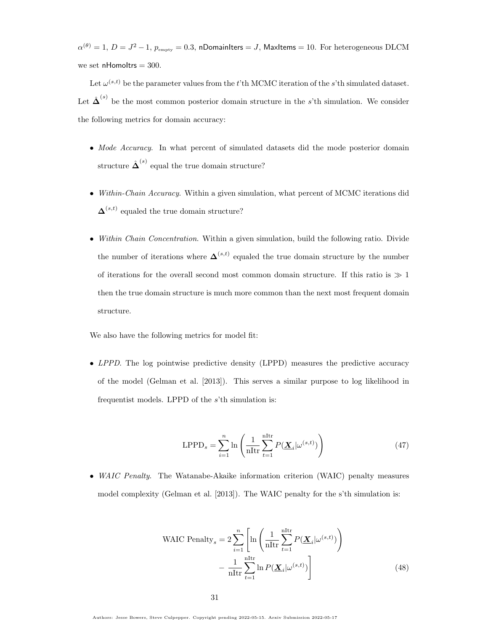$\alpha^{(\theta)}=1,\,D=J^2-1,\,p_{\rm empty}=0.3,$  nDomainIters  $=J,$  MaxItems  $=10.$  For heterogeneous DLCM we set nHomoltrs  $= 300$ .

Let  $\omega^{(s,t)}$  be the parameter values from the t'th MCMC iteration of the s'th simulated dataset. Let  $\hat{\mathbf{\Delta}}^{(s)}$  be the most common posterior domain structure in the s'th simulation. We consider the following metrics for domain accuracy:

- Mode Accuracy. In what percent of simulated datasets did the mode posterior domain structure  $\hat{\mathbf{\Delta}}^{(s)}$  equal the true domain structure?
- Within-Chain Accuracy. Within a given simulation, what percent of MCMC iterations did  $\mathbf{\Delta}^{(s,t)}$  equaled the true domain structure?
- Within Chain Concentration. Within a given simulation, build the following ratio. Divide the number of iterations where  $\mathbf{\Delta}^{(s,t)}$  equaled the true domain structure by the number of iterations for the overall second most common domain structure. If this ratio is  $\gg 1$ then the true domain structure is much more common than the next most frequent domain structure.

We also have the following metrics for model fit:

• LPPD. The log pointwise predictive density (LPPD) measures the predictive accuracy of the model [\(Gelman et al.](#page-57-4) [\[2013\]](#page-57-4)). This serves a similar purpose to log likelihood in frequentist models. LPPD of the s'th simulation is:

$$
LPPD_s = \sum_{i=1}^{n} \ln \left( \frac{1}{n\text{Itr}} \sum_{t=1}^{n\text{Itr}} P(\mathbf{\underline{X}}_i | \omega^{(s,t)}) \right)
$$
(47)

• WAIC Penalty. The Watanabe-Akaike information criterion (WAIC) penalty measures model complexity [\(Gelman et al.](#page-57-4) [\[2013\]](#page-57-4)). The WAIC penalty for the s'th simulation is:

WAIC Penalty<sub>s</sub> = 
$$
2\sum_{i=1}^{n} \left[ \ln \left( \frac{1}{n\pi} \sum_{t=1}^{\text{nItr}} P(\underline{\mathbf{X}}_i | \omega^{(s,t)}) \right) - \frac{1}{n\pi} \sum_{t=1}^{\text{nItr}} \ln P(\underline{\mathbf{X}}_i | \omega^{(s,t)}) \right]
$$
(48)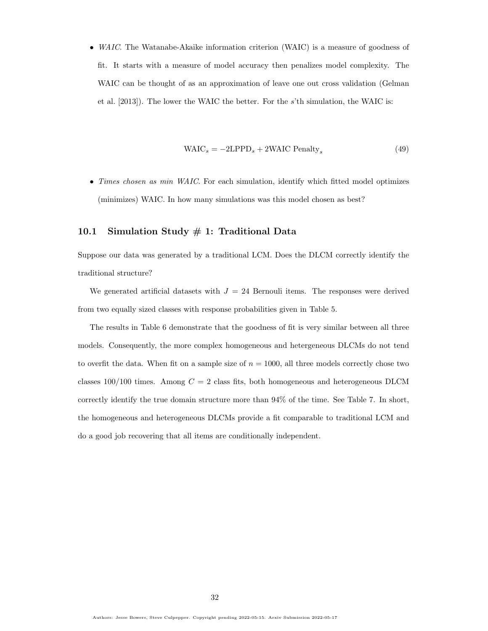• *WAIC*. The Watanabe-Akaike information criterion (WAIC) is a measure of goodness of fit. It starts with a measure of model accuracy then penalizes model complexity. The WAIC can be thought of as an approximation of leave one out cross validation [\(Gelman](#page-57-4) [et al.](#page-57-4) [\[2013\]](#page-57-4)). The lower the WAIC the better. For the s'th simulation, the WAIC is:

$$
WAIC_s = -2LPPD_s + 2WAIC Penalty_s \tag{49}
$$

• Times chosen as min WAIC. For each simulation, identify which fitted model optimizes (minimizes) WAIC. In how many simulations was this model chosen as best?

## 10.1 Simulation Study  $\#$  1: Traditional Data

Suppose our data was generated by a traditional LCM. Does the DLCM correctly identify the traditional structure?

We generated artificial datasets with  $J = 24$  Bernouli items. The responses were derived from two equally sized classes with response probabilities given in Table [5.](#page-32-0)

The results in Table [6](#page-32-1) demonstrate that the goodness of fit is very similar between all three models. Consequently, the more complex homogeneous and hetergeneous DLCMs do not tend to overfit the data. When fit on a sample size of  $n = 1000$ , all three models correctly chose two classes  $100/100$  times. Among  $C = 2$  class fits, both homogeneous and heterogeneous DLCM correctly identify the true domain structure more than 94% of the time. See Table [7.](#page-32-2) In short, the homogeneous and heterogeneous DLCMs provide a fit comparable to traditional LCM and do a good job recovering that all items are conditionally independent.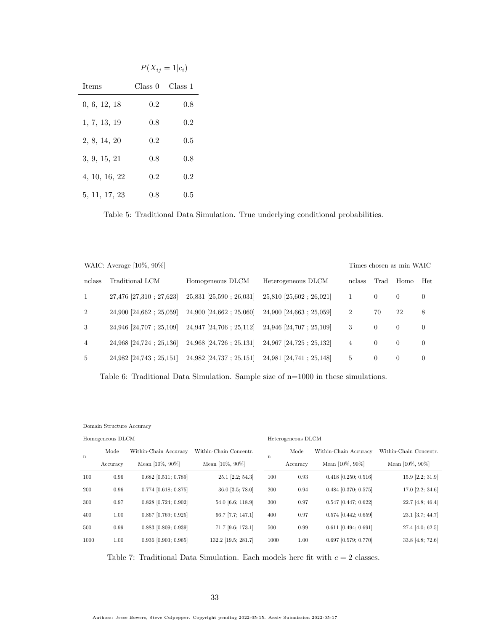|               | $P(X_{ij} = 1   c_i)$ |         |  |  |  |  |
|---------------|-----------------------|---------|--|--|--|--|
| <b>Items</b>  | Class 0               | Class 1 |  |  |  |  |
| 0, 6, 12, 18  | 0.2                   | 0.8     |  |  |  |  |
| 1, 7, 13, 19  | 0.8                   | 0.2     |  |  |  |  |
| 2, 8, 14, 20  | 0.2                   | 0.5     |  |  |  |  |
| 3, 9, 15, 21  | 0.8                   | 0.8     |  |  |  |  |
| 4, 10, 16, 22 | 0.2                   | $0.2\,$ |  |  |  |  |
| 5, 11, 17, 23 | 0.8                   | 0.5     |  |  |  |  |

<span id="page-32-0"></span>Table 5: Traditional Data Simulation. True underlying conditional probabilities.

| Traditional LCM            | Homogeneous DLCM                 | Heterogeneous DLCM               | nclass         | Trad           | Homo     | Het                      |
|----------------------------|----------------------------------|----------------------------------|----------------|----------------|----------|--------------------------|
| 27,476 [27,310 ; 27,623]   | $25,831$ [ $25,590$ ; $26,031$ ] | $25,810$ [ $25,602$ ; $26,021$ ] | 1              | $\overline{0}$ | $\theta$ | $\overline{0}$           |
| $24,900$ [24,662 : 25,059] | $24,900$ [24,662; 25,060]        | $24,900$ [24,663 : 25,059]       | $\overline{2}$ | 70             | 22       | 8                        |
| $24,946$ [24,707; 25,109]  | $24,947$ [24,706; 25,112]        | $24,946$ [24,707; 25,109]        | 3              | $\Omega$       | $\Omega$ | $\overline{0}$           |
| 24,968 [24,724 : 25,136]   | $24,968$ [24,726; 25,131]        | $24,967$ [24,725; 25,132]        | 4              | $\Omega$       | $\theta$ | $\theta$                 |
| $24,982$ [24,743; 25,151]  | $24,982$ [24,737; 25,151]        | $24,981$ [24,741; 25,148]        | 5              | $\overline{0}$ | $\theta$ | $\overline{0}$           |
|                            | WAIC: Average $[10\%, 90\%]$     |                                  |                |                |          | Times chosen as min WAIC |

<span id="page-32-1"></span>Table 6: Traditional Data Simulation. Sample size of n=1000 in these simulations.

Domain Structure Accuracy

| Homogeneous DLCM |          |                        |                           |      | Heterogeneous DLCM |                        |                        |  |  |
|------------------|----------|------------------------|---------------------------|------|--------------------|------------------------|------------------------|--|--|
| n                | Mode     | Within-Chain Accuracy  | Within-Chain Concentr.    | n    | Mode               | Within-Chain Accuracy  | Within-Chain Concentr. |  |  |
|                  | Accuracy | Mean $[10\%, 90\%]$    | Mean $[10\%, 90\%]$       |      | Accuracy           | Mean [10%, 90%]        | Mean [10\%, 90\%]      |  |  |
| 100              | 0.96     | $0.682$ [0.511; 0.789] | $25.1$ [ $2.2$ ; $54.3$ ] | 100  | 0.93               | $0.418$ [0.250; 0.516] | $15.9$ [2.2; 31.9]     |  |  |
| 200              | 0.96     | $0.774$ [0.618; 0.875] | $36.0$ [ $3.5$ ; 78.0]    | 200  | 0.94               | $0.484$ [0.370; 0.575] | 17.0 [2.2; 34.6]       |  |  |
| 300              | 0.97     | $0.828$ [0.724; 0.902] | 54.0 [6.6; 118.9]         | 300  | 0.97               | $0.547$ [0.447; 0.622] | 22.7 [4.8; 46.4]       |  |  |
| 400              | 1.00     | $0.867$ [0.769; 0.925] | $66.7$ [7.7; 147.1]       | 400  | 0.97               | $0.574$ [0.442; 0.659] | 23.1 [3.7; 44.7]       |  |  |
| 500              | 0.99     | $0.883$ [0.809; 0.939] | 71.7 [9.6; 173.1]         | 500  | 0.99               | $0.611$ [0.494; 0.691] | $27.4$ [4.0; 62.5]     |  |  |
| 1000             | 1.00     | $0.936$ [0.903; 0.965] | 132.2 [19.5; 281.7]       | 1000 | 1.00               | $0.697$ [0.579; 0.770] | 33.8 [4.8; 72.6]       |  |  |

<span id="page-32-2"></span>Table 7: Traditional Data Simulation. Each models here fit with  $c = 2$  classes.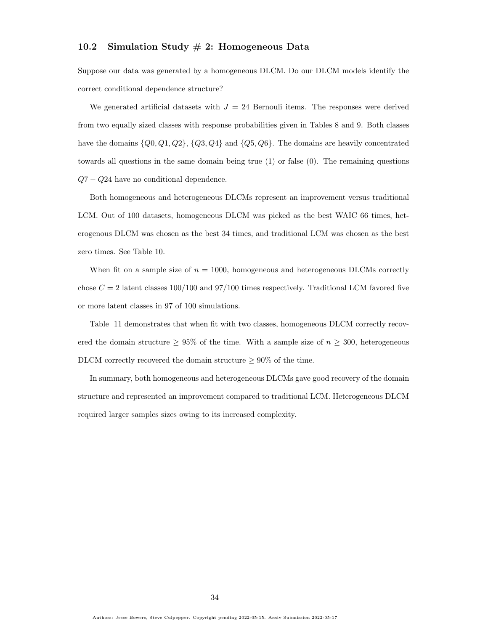## 10.2 Simulation Study  $\#$  2: Homogeneous Data

Suppose our data was generated by a homogeneous DLCM. Do our DLCM models identify the correct conditional dependence structure?

We generated artificial datasets with  $J = 24$  Bernouli items. The responses were derived from two equally sized classes with response probabilities given in Tables [8](#page-34-0) and [9.](#page-35-0) Both classes have the domains  $\{Q_0, Q_1, Q_2\}$ ,  $\{Q_3, Q_4\}$  and  $\{Q_5, Q_6\}$ . The domains are heavily concentrated towards all questions in the same domain being true (1) or false (0). The remaining questions  $Q7 - Q24$  have no conditional dependence.

Both homogeneous and heterogeneous DLCMs represent an improvement versus traditional LCM. Out of 100 datasets, homogeneous DLCM was picked as the best WAIC 66 times, heterogenous DLCM was chosen as the best 34 times, and traditional LCM was chosen as the best zero times. See Table [10.](#page-36-0)

When fit on a sample size of  $n = 1000$ , homogeneous and heterogeneous DLCMs correctly chose  $C = 2$  latent classes 100/100 and 97/100 times respectively. Traditional LCM favored five or more latent classes in 97 of 100 simulations.

Table [11](#page-36-1) demonstrates that when fit with two classes, homogeneous DLCM correctly recovered the domain structure  $\geq 95\%$  of the time. With a sample size of  $n \geq 300$ , heterogeneous DLCM correctly recovered the domain structure  $\geq 90\%$  of the time.

In summary, both homogeneous and heterogeneous DLCMs gave good recovery of the domain structure and represented an improvement compared to traditional LCM. Heterogeneous DLCM required larger samples sizes owing to its increased complexity.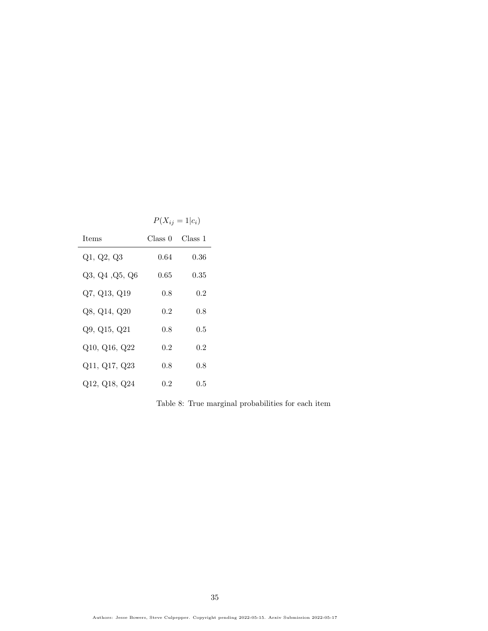|                | $P(X_{ij} = 1   c_i)$ |         |
|----------------|-----------------------|---------|
| <b>Items</b>   | Class 0               | Class 1 |
| Q1, Q2, Q3     | 0.64                  | 0.36    |
| Q3, Q4, Q5, Q6 | 0.65                  | 0.35    |
| Q7, Q13, Q19   | 0.8                   | 0.2     |
| Q8, Q14, Q20   | 0.2                   | 0.8     |
| Q9, Q15, Q21   | 0.8                   | $0.5\,$ |
| Q10, Q16, Q22  | 0.2                   | 0.2     |
| Q11, Q17, Q23  | 0.8                   | 0.8     |
| Q12, Q18, Q24  | 0.2                   | $0.5\,$ |

<span id="page-34-0"></span>Table 8: True marginal probabilities for each item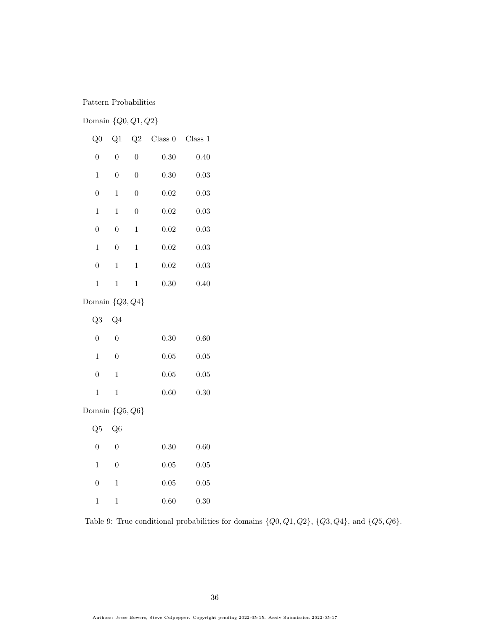## Pattern Probabilities

# Domain {Q0, Q1, Q2}

|                    | Q <sub>0</sub> | Q1               | Q2             | Class 0  | Class 1    |  |
|--------------------|----------------|------------------|----------------|----------|------------|--|
|                    | $\overline{0}$ | $\overline{0}$   | $\overline{0}$ | $0.30\,$ | 0.40       |  |
|                    | $\mathbf{1}$   | $\boldsymbol{0}$ | $\overline{0}$ | $0.30\,$ | $\rm 0.03$ |  |
|                    | $\overline{0}$ | $\mathbf{1}$     | $\overline{0}$ | $0.02\,$ | 0.03       |  |
|                    | $\mathbf{1}$   | $\mathbf{1}$     | $\overline{0}$ | $0.02\,$ | 0.03       |  |
|                    | $\overline{0}$ | $\overline{0}$   | $\,1$          | $0.02\,$ | 0.03       |  |
|                    | $\mathbf{1}$   | $\boldsymbol{0}$ | $\,1$          | $0.02\,$ | 0.03       |  |
|                    | $\overline{0}$ | $\mathbf{1}$     | $\mathbf{1}$   | $0.02\,$ | $\rm 0.03$ |  |
|                    | $\mathbf{1}$   | $\mathbf{1}$     | $\mathbf 1$    | $0.30\,$ | 0.40       |  |
| Domain $\{Q3,Q4\}$ |                |                  |                |          |            |  |
|                    | Q <sub>3</sub> | Q <sub>4</sub>   |                |          |            |  |
|                    | $\overline{0}$ | $\overline{0}$   |                | $0.30\,$ | 0.60       |  |
|                    | $\mathbf{1}$   | $\boldsymbol{0}$ |                | $0.05\,$ | $0.05\,$   |  |
|                    | $\overline{0}$ | $\mathbf{1}$     |                | $0.05\,$ | $0.05\,$   |  |
|                    | $\mathbf{1}$   | $\mathbf{1}$     |                | $0.60\,$ | 0.30       |  |
| Domain $\{Q5,Q6\}$ |                |                  |                |          |            |  |
|                    | Q5             | Q <sub>6</sub>   |                |          |            |  |
|                    | $\overline{0}$ | $\overline{0}$   |                | $0.30\,$ | 0.60       |  |
|                    | $\mathbf{1}$   | $\boldsymbol{0}$ |                | $0.05\,$ | $0.05\,$   |  |
|                    | $\overline{0}$ | $\mathbf{1}$     |                | 0.05     | 0.05       |  |

<span id="page-35-0"></span> $1 \qquad 1 \qquad \qquad 0.60 \qquad \quad 0.30$ 

Table 9: True conditional probabilities for domains  $\{Q0,Q1,Q2\}$ ,  $\{Q3,Q4\}$ , and  $\{Q5,Q6\}$ .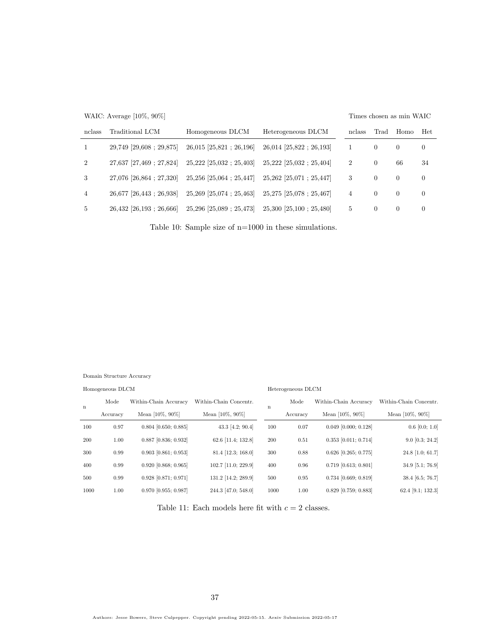|                | WAIC: Average $[10\%, 90\%]$     |                                  |                                  |                |          | Times chosen as min WAIC |            |
|----------------|----------------------------------|----------------------------------|----------------------------------|----------------|----------|--------------------------|------------|
| nclass         | Traditional LCM                  | Homogeneous DLCM                 | Heterogeneous DLCM               | nclass         | Trad     | Homo                     | <b>Het</b> |
| 1              | $29,749$ [29,608; 29,875]        | $26,015$ [ $25,821$ ; $26,196$ ] | $26,014$ [ $25,822$ ; $26,193$ ] |                | $\theta$ | $\Omega$                 | $\left($   |
| $\overline{2}$ | 27,637 [27,469 ; 27,824]         | $25,222$ [ $25,032$ ; $25,403$ ] | $25,222$ [ $25,032$ ; $25,404$ ] | $\overline{2}$ | $\theta$ | 66                       | 34         |
| 3              | 27,076 [26,864 : 27,320]         | $25,256$ [ $25,064$ ; $25,447$ ] | $25,262$ [25,071 : 25,447]       | 3              | $\theta$ | $\Omega$                 | $\theta$   |
| $\overline{4}$ | 26,677 [26,443 : 26,938]         | $25,269$ [ $25,074$ ; $25,463$ ] | $25,275$ [25,078 : 25,467]       | $\overline{4}$ | $\theta$ | $\Omega$                 | $\Omega$   |
| 5              | $26,432$ [ $26,193$ ; $26,666$ ] | $25,296$ [ $25,089$ ; $25,473$ ] | $25,300$ [ $25,100$ ; $25,480$ ] | 5              | $\theta$ | $\Omega$                 | $\left($   |

Table 10: Sample size of n=1000 in these simulations.

Domain Structure Accuracy

Homogeneous DLCM

#### Heterogeneous DLCM

| $\mathbf n$ | Mode     | Within-Chain Accuracy  | Within-Chain Concentr. | n    | Mode     | Within-Chain Accuracy  | Within-Chain Concentr. |
|-------------|----------|------------------------|------------------------|------|----------|------------------------|------------------------|
|             | Accuracy | Mean $[10\%, 90\%]$    | Mean $[10\%, 90\%]$    |      | Accuracy | Mean $[10\%, 90\%]$    | Mean $[10\%, 90\%]$    |
| 100         | 0.97     | $0.804$ [0.650; 0.885] | 43.3 [4.2; 90.4]       | 100  | 0.07     | $0.049$ [0.000; 0.128] | $0.6$ [0.0; 1.0]       |
| 200         | 1.00     | $0.887$ [0.836; 0.932] | 62.6 [11.4; 132.8]     | 200  | 0.51     | $0.353$ [0.011; 0.714] | $9.0$ [0.3; 24.2]      |
| 300         | 0.99     | $0.903$ [0.861; 0.953] | 81.4 [12.3; 168.0]     | 300  | 0.88     | $0.626$ [0.265; 0.775] | $24.8$ [1.0; 61.7]     |
| 400         | 0.99     | $0.920$ [0.868; 0.965] | 102.7 [11.0: 229.9]    | 400  | 0.96     | $0.719$ [0.613; 0.801] | $34.9$ [5.1; 76.9]     |
| 500         | 0.99     | $0.928$ [0.871; 0.971] | 131.2 [14.2; 289.9]    | 500  | 0.95     | $0.734$ [0.669; 0.819] | $38.4$ [6.5; 76.7]     |
| 1000        | 1.00     | $0.970$ [0.955; 0.987] | 244.3 [47.0; 548.0]    | 1000 | 1.00     | $0.829$ [0.759; 0.883] | $62.4$ [9.1; 132.3]    |

Table 11: Each models here fit with  $c = 2$  classes.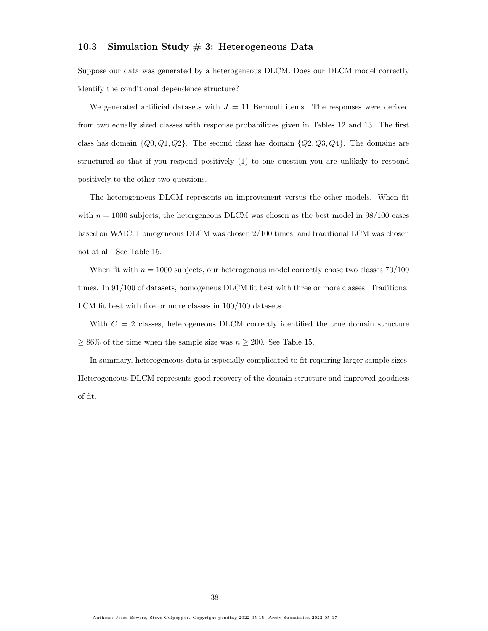### 10.3 Simulation Study # 3: Heterogeneous Data

Suppose our data was generated by a heterogeneous DLCM. Does our DLCM model correctly identify the conditional dependence structure?

We generated artificial datasets with  $J = 11$  Bernouli items. The responses were derived from two equally sized classes with response probabilities given in Tables [12](#page-38-0) and [13.](#page-39-0) The first class has domain  $\{Q_0, Q_1, Q_2\}$ . The second class has domain  $\{Q_2, Q_3, Q_4\}$ . The domains are structured so that if you respond positively (1) to one question you are unlikely to respond positively to the other two questions.

The heterogenoeus DLCM represents an improvement versus the other models. When fit with  $n = 1000$  subjects, the hetergeneous DLCM was chosen as the best model in  $98/100$  cases based on WAIC. Homogeneous DLCM was chosen 2/100 times, and traditional LCM was chosen not at all. See Table [15.](#page-40-0)

When fit with  $n = 1000$  subjects, our heterogenous model correctly chose two classes  $70/100$ times. In 91/100 of datasets, homogeneus DLCM fit best with three or more classes. Traditional LCM fit best with five or more classes in 100/100 datasets.

With  $C = 2$  classes, heterogeneous DLCM correctly identified the true domain structure  $\geq 86\%$  of the time when the sample size was  $n \geq 200$ . See Table [15.](#page-40-0)

In summary, heterogeneous data is especially complicated to fit requiring larger sample sizes. Heterogeneous DLCM represents good recovery of the domain structure and improved goodness of fit.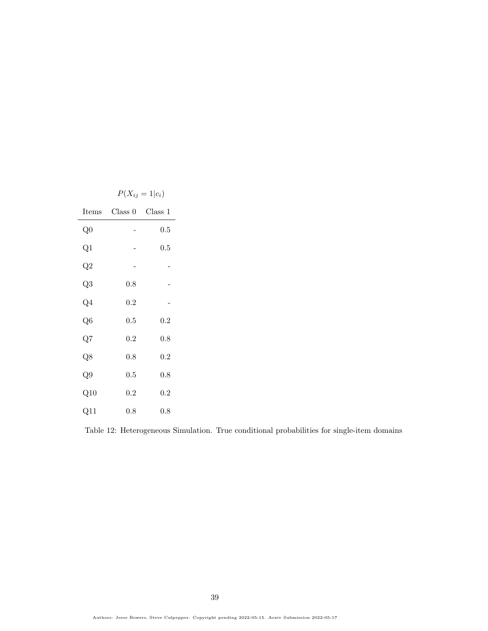|                 | $P(X_{ij} = 1   c_i)$ |           |  |  |  |
|-----------------|-----------------------|-----------|--|--|--|
| Items           | Class 0               | Class 1   |  |  |  |
| Q <sub>0</sub>  |                       | $0.5\,$   |  |  |  |
| $_{\rm Q1}$     |                       | $\rm 0.5$ |  |  |  |
| $\overline{Q}2$ |                       |           |  |  |  |
| Q3              | 0.8                   |           |  |  |  |
| $Q_4$           | $_{0.2}$              |           |  |  |  |
| Q6              | 0.5                   | 0.2       |  |  |  |
| Q7              | 0.2                   | $_{0.8}$  |  |  |  |
| $\overline{Q8}$ | 0.8                   | 0.2       |  |  |  |
| Q9              | $0.5\,$               | $_{0.8}$  |  |  |  |
| Q10             | $_{0.2}$              | $_{0.2}$  |  |  |  |
| $_{\rm Q11}$    | 0.8                   | $0.8\,$   |  |  |  |

<span id="page-38-0"></span>Table 12: Heterogeneous Simulation. True conditional probabilities for single-item domains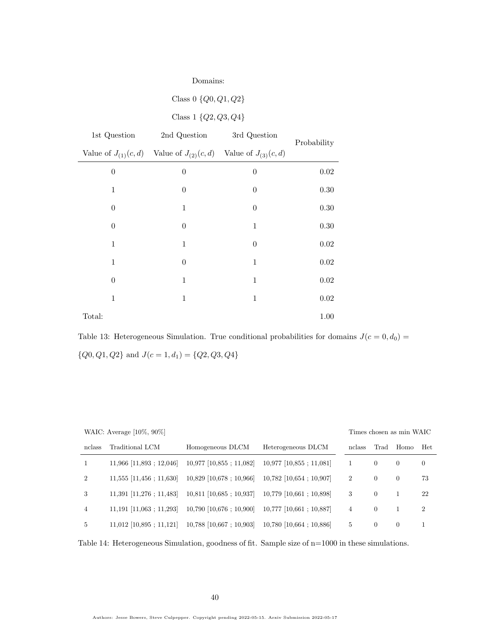| Domains:         |                                                                         |                  |             |  |  |
|------------------|-------------------------------------------------------------------------|------------------|-------------|--|--|
|                  | Class $0 \{Q_0, Q_1, Q_2\}$                                             |                  |             |  |  |
|                  | Class 1 $\{Q2, Q3, Q4\}$                                                |                  |             |  |  |
| 1st Question     | 2nd Question                                                            | 3rd Question     | Probability |  |  |
|                  | Value of $J_{(1)}(c,d)$ Value of $J_{(2)}(c,d)$ Value of $J_{(3)}(c,d)$ |                  |             |  |  |
| $\boldsymbol{0}$ | $\boldsymbol{0}$                                                        | $\boldsymbol{0}$ | $0.02\,$    |  |  |
| $\,1$            | 0                                                                       | $\overline{0}$   | 0.30        |  |  |
| $\overline{0}$   | 1                                                                       | $\boldsymbol{0}$ | 0.30        |  |  |
| $\boldsymbol{0}$ | $\boldsymbol{0}$                                                        | $\,1\,$          | $0.30\,$    |  |  |
| 1                | 1                                                                       | $\overline{0}$   | $0.02\,$    |  |  |
| $\mathbf{1}$     | $\boldsymbol{0}$                                                        | $\mathbf{1}$     | $0.02\,$    |  |  |
| $\overline{0}$   | 1                                                                       | $\mathbf{1}$     | $0.02\,$    |  |  |
| $\mathbf{1}$     | $\mathbf{1}$                                                            | $\mathbf{1}$     | 0.02        |  |  |
| Total:           |                                                                         |                  | 1.00        |  |  |

<span id="page-39-0"></span>Table 13: Heterogeneous Simulation. True conditional probabilities for domains  $J(c = 0, d_0) =$  $\{Q0,Q1,Q2\}$  and  $J(c=1,d_1)=\{Q2,Q3,Q4\}$ 

WAIC: Average [10%, 90%]

#### Times chosen as min WAIC

| nclass         | Traditional LCM            | Homogeneous DLCM          | Heterogeneous DLCM         | nclass         | Trad     | Homo     | Het            |
|----------------|----------------------------|---------------------------|----------------------------|----------------|----------|----------|----------------|
|                | $11,966$ [11,893 ; 12,046] | $10,977$ [10,855; 11,082] | $10,977$ [10,855; 11,081]  |                | $\left($ | $\Omega$ | $\overline{0}$ |
| $\overline{2}$ | $11,555$ [11,456; 11,630]  | $10,829$ [10,678; 10,966] | $10,782$ [10,654 : 10,907] | $\overline{2}$ | $\left($ | $\Omega$ | 73             |
| 3              | $11,391$ [11,276 ; 11,483] | $10,811$ [10,685; 10,937] | $10,779$ [10,661; 10,898]  | 3              | $\left($ |          | 22             |
| 4              | $11,191$ [11,063 ; 11,293] | $10,790$ [10,676; 10,900] | $10,777$ [10,661 : 10,887] | 4              | $\Omega$ |          | 2              |
| 5              | $11,012$ [10,895 ; 11,121] | $10,788$ [10,667; 10,903] | $10,780$ [10,664 ; 10,886] | 5              | $\left($ | $\theta$ |                |

Table 14: Heterogeneous Simulation, goodness of fit. Sample size of n=1000 in these simulations.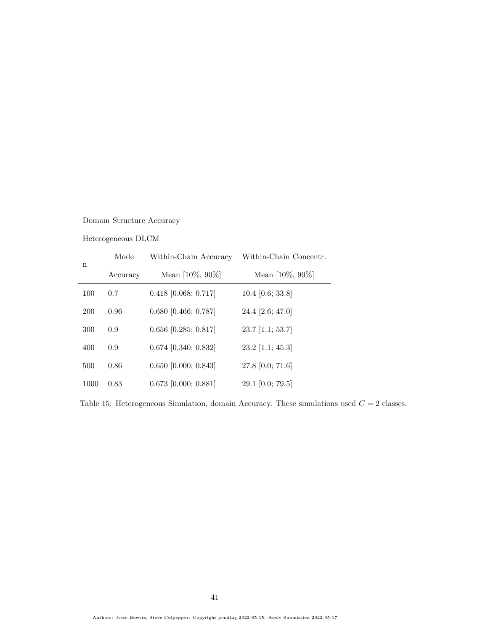## Domain Structure Accuracy

### Heterogeneous DLCM

| n    | Mode     | Within-Chain Accuracy  | Within-Chain Concentr. |
|------|----------|------------------------|------------------------|
|      | Accuracy | Mean $[10\%, 90\%]$    | Mean $[10\%, 90\%]$    |
| 100  | 0.7      | $0.418$ [0.068; 0.717] | $10.4$ [0.6; 33.8]     |
| 200  | 0.96     | $0.680$ [0.466; 0.787] | 24.4 [2.6; 47.0]       |
| 300  | 0.9      | $0.656$ [0.285; 0.817] | $23.7$ [1.1; 53.7]     |
| 400  | 0.9      | $0.674$ [0.340; 0.832] | $23.2$ [1.1; 45.3]     |
| 500  | 0.86     | $0.650$ [0.000; 0.843] | 27.8 $[0.0; 71.6]$     |
| 1000 | 0.83     | $0.673$ [0.000; 0.881] | 29.1 $[0.0; 79.5]$     |

<span id="page-40-0"></span>Table 15: Heterogeneous Simulation, domain Accuracy. These simulations used  $C = 2$  classes.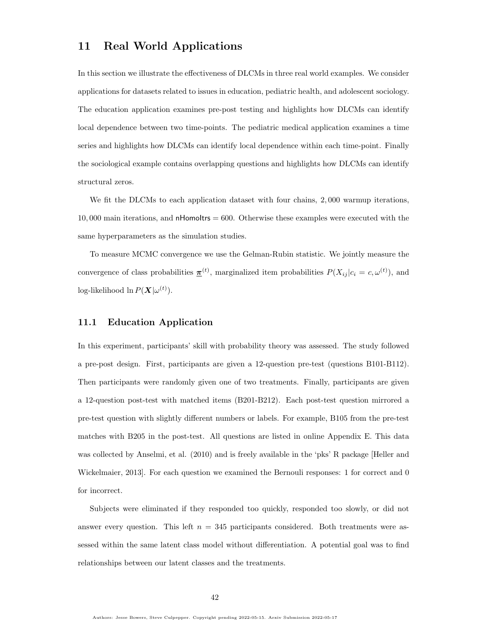### 11 Real World Applications

In this section we illustrate the effectiveness of DLCMs in three real world examples. We consider applications for datasets related to issues in education, pediatric health, and adolescent sociology. The education application examines pre-post testing and highlights how DLCMs can identify local dependence between two time-points. The pediatric medical application examines a time series and highlights how DLCMs can identify local dependence within each time-point. Finally the sociological example contains overlapping questions and highlights how DLCMs can identify structural zeros.

We fit the DLCMs to each application dataset with four chains, 2,000 warmup iterations,  $10,000$  main iterations, and nHomoltrs = 600. Otherwise these examples were executed with the same hyperparameters as the simulation studies.

To measure MCMC convergence we use the Gelman-Rubin statistic. We jointly measure the convergence of class probabilities  $\underline{\pi}^{(t)}$ , marginalized item probabilities  $P(X_{ij}|c_i = c, \omega^{(t)})$ , and log-likelihood ln  $P(\boldsymbol{X}|\omega^{(t)})$ .

### 11.1 Education Application

In this experiment, participants' skill with probability theory was assessed. The study followed a pre-post design. First, participants are given a 12-question pre-test (questions B101-B112). Then participants were randomly given one of two treatments. Finally, participants are given a 12-question post-test with matched items (B201-B212). Each post-test question mirrored a pre-test question with slightly different numbers or labels. For example, B105 from the pre-test matches with B205 in the post-test. All questions are listed in online Appendix [E.](#page-70-0) This data was collected by Anselmi, et al. (2010) and is freely available in the 'pks' R package [\[Heller and](#page-57-0) [Wickelmaier, 2013\]](#page-57-0). For each question we examined the Bernouli responses: 1 for correct and 0 for incorrect.

Subjects were eliminated if they responded too quickly, responded too slowly, or did not answer every question. This left  $n = 345$  participants considered. Both treatments were assessed within the same latent class model without differentiation. A potential goal was to find relationships between our latent classes and the treatments.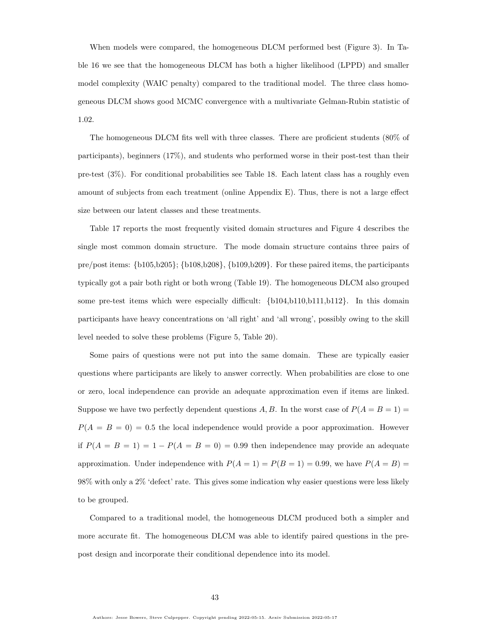When models were compared, the homogeneous DLCM performed best (Figure [3\)](#page-43-0). In Table [16](#page-43-1) we see that the homogeneous DLCM has both a higher likelihood (LPPD) and smaller model complexity (WAIC penalty) compared to the traditional model. The three class homogeneous DLCM shows good MCMC convergence with a multivariate Gelman-Rubin statistic of 1.02.

The homogeneous DLCM fits well with three classes. There are proficient students (80% of participants), beginners (17%), and students who performed worse in their post-test than their pre-test (3%). For conditional probabilities see Table [18.](#page-45-0) Each latent class has a roughly even amount of subjects from each treatment (online Appendix [E\)](#page-70-0). Thus, there is not a large effect size between our latent classes and these treatments.

Table [17](#page-43-2) reports the most frequently visited domain structures and Figure [4](#page-44-0) describes the single most common domain structure. The mode domain structure contains three pairs of pre/post items: {b105,b205}; {b108,b208}, {b109,b209}. For these paired items, the participants typically got a pair both right or both wrong (Table [19\)](#page-45-1). The homogeneous DLCM also grouped some pre-test items which were especially difficult: {b104,b110,b111,b112}. In this domain participants have heavy concentrations on 'all right' and 'all wrong', possibly owing to the skill level needed to solve these problems (Figure [5,](#page-44-1) Table [20\)](#page-46-0).

Some pairs of questions were not put into the same domain. These are typically easier questions where participants are likely to answer correctly. When probabilities are close to one or zero, local independence can provide an adequate approximation even if items are linked. Suppose we have two perfectly dependent questions A, B. In the worst case of  $P(A = B = 1)$  $P(A = B = 0) = 0.5$  the local independence would provide a poor approximation. However if  $P(A = B = 1) = 1 - P(A = B = 0) = 0.99$  then independence may provide an adequate approximation. Under independence with  $P(A = 1) = P(B = 1) = 0.99$ , we have  $P(A = B) =$ 98% with only a 2% 'defect' rate. This gives some indication why easier questions were less likely to be grouped.

Compared to a traditional model, the homogeneous DLCM produced both a simpler and more accurate fit. The homogeneous DLCM was able to identify paired questions in the prepost design and incorporate their conditional dependence into its model.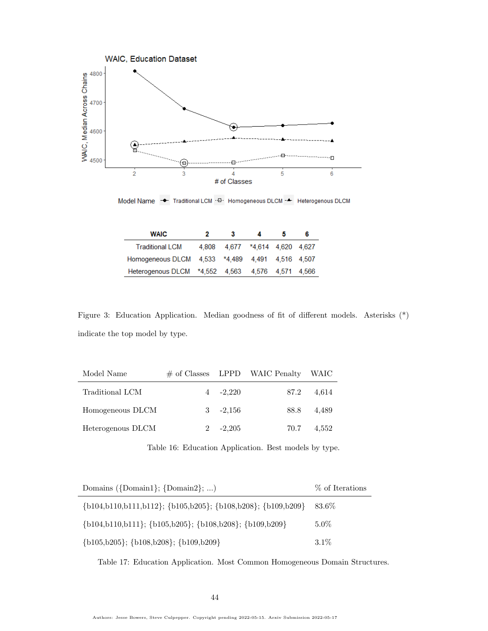

Model Name → Traditional LCM · D· Homogeneous DLCM - A Heterogenous DLCM

| <b>WAIC</b>                                      | 2     | з |                          | 6 |
|--------------------------------------------------|-------|---|--------------------------|---|
| <b>Traditional LCM</b>                           | 4.808 |   | 4.677 *4.614 4.620 4.627 |   |
| Homogeneous DLCM 4,533 *4,489 4,491 4,516 4,507  |       |   |                          |   |
| Heterogenous DLCM *4.552 4.563 4.576 4.571 4.566 |       |   |                          |   |

<span id="page-43-0"></span>Figure 3: Education Application. Median goodness of fit of different models. Asterisks (\*) indicate the top model by type.

| Model Name        |             | $\#$ of Classes LPPD WAIC Penalty WAIC |       |
|-------------------|-------------|----------------------------------------|-------|
| Traditional LCM   | $4 -2.220$  | 87.2                                   | 4.614 |
| Homogeneous DLCM  | $3 - 2,156$ | 88.8                                   | 4.489 |
| Heterogenous DLCM | $-2,205$    | 70.7                                   | 4,552 |

<span id="page-43-1"></span>Table 16: Education Application. Best models by type.

| Domains $({\text{Domain}}; {\text{Domain}}; \ldots)$                         | % of Iterations |
|------------------------------------------------------------------------------|-----------------|
| $\{b104, b110, b111, b112\}; \{b105, b205\}; \{b108, b208\}; \{b109, b209\}$ | 83.6%           |
| $\{b104, b110, b111\}; \{b105, b205\}; \{b108, b208\}; \{b109, b209\}$       | $5.0\%$         |
| $\{b105, b205\}; \{b108, b208\}; \{b109, b209\}$                             | $3.1\%$         |

<span id="page-43-2"></span>Table 17: Education Application. Most Common Homogeneous Domain Structures.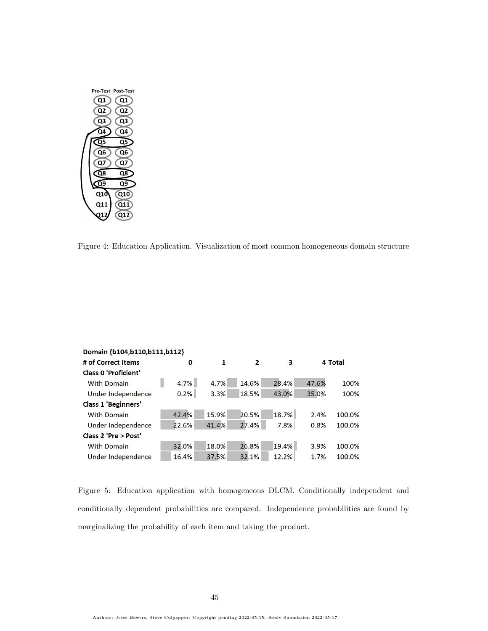

Figure 4: Education Application. Visualization of most common homogeneous domain structure

<span id="page-44-0"></span>

| Domain {b104,b110,b111,b112} |       |       |       |       |       |         |  |
|------------------------------|-------|-------|-------|-------|-------|---------|--|
| # of Correct Items           | 0     | 1     | 2     | з     |       | 4 Total |  |
| <b>Class 0 'Proficient'</b>  |       |       |       |       |       |         |  |
| <b>With Domain</b>           | 4.7%  | 4.7%  | 14.6% | 28.4% | 47.6% | 100%    |  |
| Under Independence           | 0.2%  | 3.3%  | 18.5% | 43.0% | 35.0% | 100%    |  |
| <b>Class 1 'Beginners'</b>   |       |       |       |       |       |         |  |
| <b>With Domain</b>           | 42.4% | 15.9% | 20.5% | 18.7% | 2.4%  | 100.0%  |  |
| Under Independence           | 22.6% | 41.4% | 27.4% | 7.8%  | 0.8%  | 100.0%  |  |
| Class 2 'Pre > Post'         |       |       |       |       |       |         |  |
| <b>With Domain</b>           | 32.0% | 18.0% | 26.8% | 19.4% | 3.9%  | 100.0%  |  |
| Under Independence           | 16.4% | 37.5% | 32.1% | 12.2% | 1.7%  | 100.0%  |  |

<span id="page-44-1"></span>Figure 5: Education application with homogeneous DLCM. Conditionally independent and conditionally dependent probabilities are compared. Independence probabilities are found by marginalizing the probability of each item and taking the product.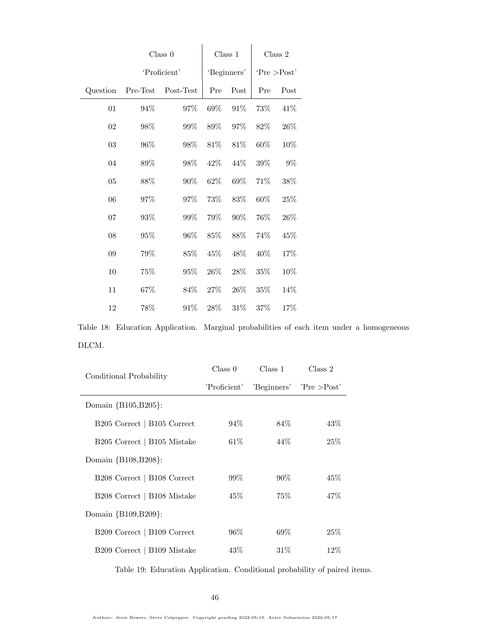|          | Class 0  |              |        | Class 1     |              | Class 2 |  |
|----------|----------|--------------|--------|-------------|--------------|---------|--|
|          |          | 'Proficient' |        | 'Beginners' | 'Pre > Post' |         |  |
| Question | Pre-Test | Post-Test    | Pre    | Post        | Pre          | Post    |  |
| 01       | 94%      | 97%          | 69%    | 91%         | 73%          | 41%     |  |
| 02       | 98%      | 99%          | 89%    | 97%         | 82\%         | 26%     |  |
| 03       | 96%      | 98%          | $81\%$ | 81%         | 60%          | 10%     |  |
| 04       | 89%      | 98%          | 42%    | 44%         | 39%          | $9\%$   |  |
| 05       | 88%      | 90%          | 62%    | 69%         | 71%          | 38%     |  |
| 06       | 97%      | 97%          | 73%    | 83\%        | 60%          | 25%     |  |
| 07       | $93\%$   | $99\%$       | 79%    | 90%         | 76%          | 26%     |  |
| 08       | 95%      | 96%          | 85%    | 88%         | 74%          | 45%     |  |
| 09       | 79%      | 85%          | 45%    | 48\%        | 40\%         | 17%     |  |
| 10       | 75%      | 95%          | 26%    | 28\%        | 35%          | 10%     |  |
| 11       | 67%      | 84%          | 27%    | 26%         | 35%          | 14%     |  |
| 12       | 78%      | 91\%         | 28\%   | 31%         | 37%          | 17%     |  |

<span id="page-45-0"></span>Table 18: Education Application. Marginal probabilities of each item under a homogeneous DLCM.

| Conditional Probability                             | Class 0      | Class 1 | Class 2                    |  |
|-----------------------------------------------------|--------------|---------|----------------------------|--|
|                                                     | 'Proficient' |         | 'Beginners' 'Pre $>$ Post' |  |
| Domain {B105,B205}:                                 |              |         |                            |  |
| B <sub>205</sub> Correct   B <sub>105</sub> Correct | $94\%$       | 84\%    | 43\%                       |  |
| B205 Correct   B105 Mistake                         | $61\%$       | $44\%$  | 25%                        |  |
| Domain {B108, B208}:                                |              |         |                            |  |
| B208 Correct   B108 Correct                         | $99\%$       | $90\%$  | 45%                        |  |
| B208 Correct   B108 Mistake                         | $45\%$       | 75%     | 47\%                       |  |
| Domain {B109,B209}:                                 |              |         |                            |  |
| B209 Correct   B109 Correct                         | $96\%$       | 69%     | 25%                        |  |
| B209 Correct   B109 Mistake                         | 43\%         | $31\%$  | 12%                        |  |

<span id="page-45-1"></span>Table 19: Education Application. Conditional probability of paired items.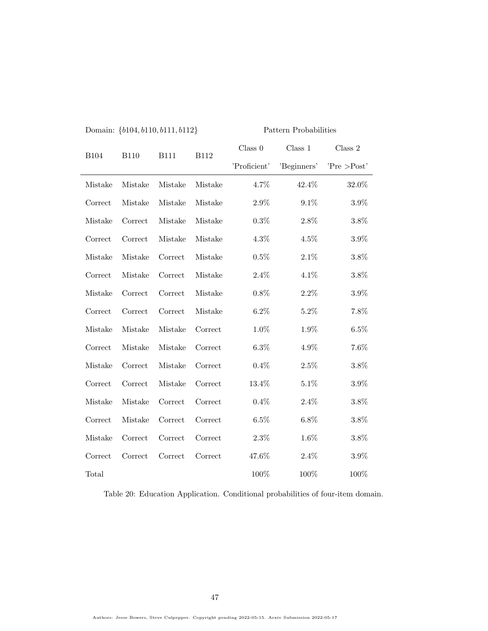| <b>B104</b> | <b>B110</b> | <b>B111</b> | <b>B112</b> | Class 0      | Class 1     | Class 2      |
|-------------|-------------|-------------|-------------|--------------|-------------|--------------|
|             |             |             |             | 'Proficient' | 'Beginners' | 'Pre > Post' |
| Mistake     | Mistake     | Mistake     | Mistake     | 4.7%         | 42.4%       | 32.0%        |
| Correct     | Mistake     | Mistake     | Mistake     | $2.9\%$      | 9.1%        | 3.9%         |
| Mistake     | Correct     | Mistake     | Mistake     | 0.3%         | 2.8%        | 3.8%         |
| Correct     | Correct     | Mistake     | Mistake     | 4.3%         | 4.5%        | 3.9%         |
| Mistake     | Mistake     | Correct     | Mistake     | $0.5\%$      | $2.1\%$     | 3.8%         |
| Correct     | Mistake     | Correct     | Mistake     | $2.4\%$      | 4.1%        | 3.8%         |
| Mistake     | Correct     | Correct     | Mistake     | $0.8\%$      | $2.2\%$     | $3.9\%$      |
| Correct     | Correct     | Correct     | Mistake     | $6.2\%$      | $5.2\%$     | 7.8%         |
| Mistake     | Mistake     | Mistake     | Correct     | $1.0\%$      | 1.9%        | 6.5%         |
| Correct     | Mistake     | Mistake     | Correct     | $6.3\%$      | $4.9\%$     | $7.6\%$      |
| Mistake     | Correct     | Mistake     | Correct     | $0.4\%$      | $2.5\%$     | $3.8\%$      |
| Correct     | Correct     | Mistake     | Correct     | 13.4%        | $5.1\%$     | $3.9\%$      |
| Mistake     | Mistake     | Correct     | Correct     | $0.4\%$      | $2.4\%$     | $3.8\%$      |
| Correct     | Mistake     | Correct     | Correct     | $6.5\%$      | $6.8\%$     | 3.8%         |
| Mistake     | Correct     | Correct     | Correct     | $2.3\%$      | $1.6\%$     | $3.8\%$      |
| Correct     | Correct     | Correct     | Correct     | 47.6%        | $2.4\%$     | $3.9\%$      |
| Total       |             |             |             | 100%         | 100%        | 100%         |

Domain: {b104, b110, b111, b112} Pattern Probabilities

<span id="page-46-0"></span>Table 20: Education Application. Conditional probabilities of four-item domain.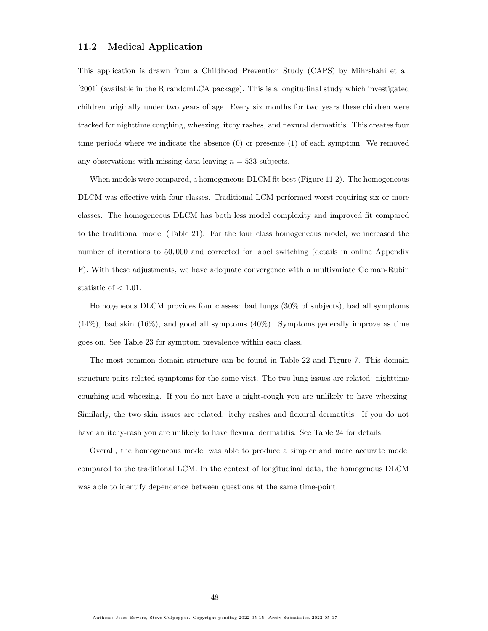### <span id="page-47-0"></span>11.2 Medical Application

This application is drawn from a Childhood Prevention Study (CAPS) by [Mihrshahi et al.](#page-58-0) [\[2001\]](#page-58-0) (available in the R randomLCA package). This is a longitudinal study which investigated children originally under two years of age. Every six months for two years these children were tracked for nighttime coughing, wheezing, itchy rashes, and flexural dermatitis. This creates four time periods where we indicate the absence (0) or presence (1) of each symptom. We removed any observations with missing data leaving  $n = 533$  subjects.

When models were compared, a homogeneous DLCM fit best (Figure [11.2\)](#page-47-0). The homogeneous DLCM was effective with four classes. Traditional LCM performed worst requiring six or more classes. The homogeneous DLCM has both less model complexity and improved fit compared to the traditional model (Table [21\)](#page-48-0). For the four class homogeneous model, we increased the number of iterations to 50, 000 and corrected for label switching (details in online Appendix [F\)](#page-73-0). With these adjustments, we have adequate convergence with a multivariate Gelman-Rubin statistic of  $< 1.01$ .

Homogeneous DLCM provides four classes: bad lungs (30% of subjects), bad all symptoms (14%), bad skin (16%), and good all symptoms (40%). Symptoms generally improve as time goes on. See Table [23](#page-49-0) for symptom prevalence within each class.

The most common domain structure can be found in Table [22](#page-48-1) and Figure [7.](#page-49-1) This domain structure pairs related symptoms for the same visit. The two lung issues are related: nighttime coughing and wheezing. If you do not have a night-cough you are unlikely to have wheezing. Similarly, the two skin issues are related: itchy rashes and flexural dermatitis. If you do not have an itchy-rash you are unlikely to have flexural dermatitis. See Table [24](#page-50-0) for details.

Overall, the homogeneous model was able to produce a simpler and more accurate model compared to the traditional LCM. In the context of longitudinal data, the homogenous DLCM was able to identify dependence between questions at the same time-point.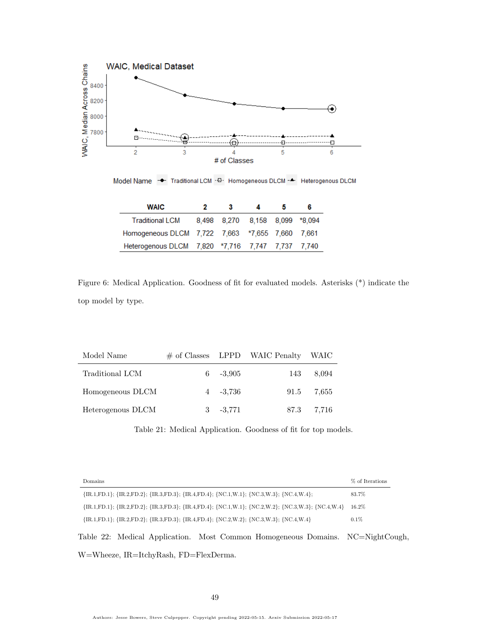

Model Name  $\rightarrow$  Traditional LCM · D· Homogeneous DLCM · A Heterogenous DLCM

| <b>WAIC</b>                                      | 2 | з                              |  | 6 |
|--------------------------------------------------|---|--------------------------------|--|---|
| <b>Traditional LCM</b>                           |   | 8,498 8,270 8,158 8,099 *8,094 |  |   |
| Homogeneous DLCM 7,722 7,663 *7,655 7,660 7,661  |   |                                |  |   |
| Heterogenous DLCM 7,820 *7,716 7,747 7,737 7,740 |   |                                |  |   |

Figure 6: Medical Application. Goodness of fit for evaluated models. Asterisks (\*) indicate the top model by type.

| Model Name        |             | $\#$ of Classes LPPD WAIC Penalty WAIC |            |
|-------------------|-------------|----------------------------------------|------------|
| Traditional LCM   | $6 - 3.905$ | 143                                    | 8.094      |
| Homogeneous DLCM  | $4 - 3.736$ |                                        | 91.5 7.655 |
| Heterogenous DLCM | $3 - 3,771$ |                                        | 87.3 7.716 |

<span id="page-48-0"></span>Table 21: Medical Application. Goodness of fit for top models.

| Domains                                                                                                                                           | % of Iterations |
|---------------------------------------------------------------------------------------------------------------------------------------------------|-----------------|
| $\{IR.1, FD.1\}; \{IR.2, FD.2\}; \{IR.3, FD.3\}; \{IR.4, FD.4\}; \{NC.1, W.1\}; \{NC.3, W.3\}; \{NC.4, W.4\};$                                    | 83.7%           |
| $\{IR.1, FD.1\}$ ; $\{IR.2, FD.2\}$ ; $\{IR.3, FD.3\}$ ; $\{IR.4, FD.4\}$ ; $\{NC.1, W.1\}$ ; $\{NC.2, W.2\}$ ; $\{NC.3, W.3\}$ ; $\{NC.4, W.4\}$ | $16.2\%$        |
| $\{IR.1, FD.1\}$ ; $\{IR.2, FD.2\}$ ; $\{IR.3, FD.3\}$ ; $\{IR.4, FD.4\}$ ; $\{NC.2, W.2\}$ ; $\{NC.3, W.3\}$ ; $\{NC.4, W.4\}$                   | $0.1\%$         |
| Table 22: Medical Application. Most Common Homogeneous Domains. NC=NightCough,                                                                    |                 |

<span id="page-48-1"></span>W=Wheeze, IR=ItchyRash, FD=FlexDerma.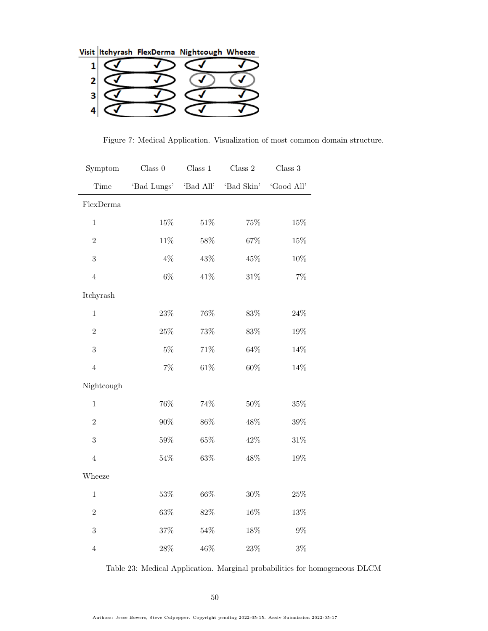Visit |Itchyrash FlexDerma Nightcough Wheeze

| $\mathbf{1}$ | ~ |  |
|--------------|---|--|
| 2            |   |  |
| 3            | V |  |
|              |   |  |

<span id="page-49-1"></span>Figure 7: Medical Application. Visualization of most common domain structure.

| Symptom        | Class 0               | Class 1 | Class $2$  | Class $3$  |
|----------------|-----------------------|---------|------------|------------|
| Time           | 'Bad Lungs' 'Bad All' |         | 'Bad Skin' | 'Good All' |
| FlexDerma      |                       |         |            |            |
| $\mathbf{1}$   | $15\%$                | $51\%$  | $75\%$     | 15%        |
| $\overline{2}$ | $11\%$                | $58\%$  | $67\%$     | $15\%$     |
| 3              | $4\%$                 | 43%     | $45\%$     | $10\%$     |
| $\overline{4}$ | $6\%$                 | 41%     | $31\%$     | $7\%$      |
| Itchyrash      |                       |         |            |            |
| $\mathbf{1}$   | $23\%$                | $76\%$  | $83\%$     | $24\%$     |
| $\overline{2}$ | $25\%$                | $73\%$  | $83\%$     | $19\%$     |
| 3              | $5\%$                 | $71\%$  | $64\%$     | $14\%$     |
| $\overline{4}$ | $7\%$                 | $61\%$  | $60\%$     | 14%        |
| Nightcough     |                       |         |            |            |
| $\mathbf{1}$   | $76\%$                | 74%     | $50\%$     | $35\%$     |
| $\overline{2}$ | $90\%$                | $86\%$  | 48%        | $39\%$     |
| 3              | $59\%$                | $65\%$  | 42%        | $31\%$     |
| $\overline{4}$ | $54\%$                | $63\%$  | 48%        | 19%        |
| Wheeze         |                       |         |            |            |
| $\mathbf 1$    | $53\%$                | $66\%$  | $30\%$     | $25\%$     |
| $\overline{2}$ | $63\%$                | $82\%$  | $16\%$     | $13\%$     |
| 3              | $37\%$                | $54\%$  | $18\%$     | $9\%$      |
| $\,4\,$        | $28\%$                | 46%     | $23\%$     | $3\%$      |

<span id="page-49-0"></span>Table 23: Medical Application. Marginal probabilities for homogeneous DLCM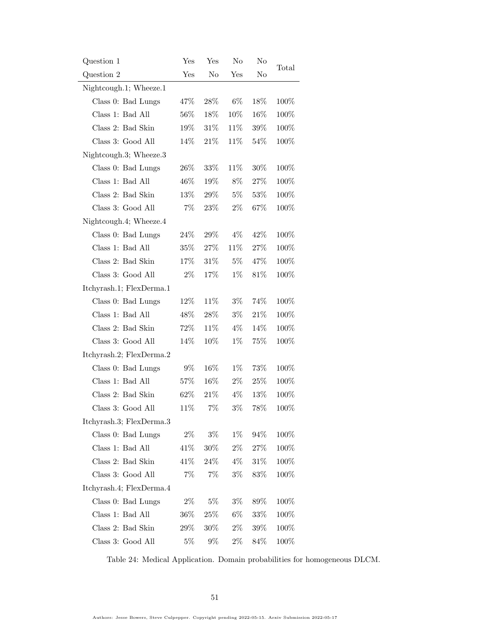| Question 1               | Yes    | $_{\rm Yes}$   | $\rm No$ | No     | Total   |
|--------------------------|--------|----------------|----------|--------|---------|
| Question 2               | Yes    | N <sub>o</sub> | Yes      | No     |         |
| Nightcough.1; Wheeze.1   |        |                |          |        |         |
| Class 0: Bad Lungs       | 47\%   | 28\%           | $6\%$    | 18%    | 100%    |
| Class 1: Bad All         | 56%    | 18%            | 10%      | 16%    | 100%    |
| Class 2: Bad Skin        | 19%    | 31%            | 11%      | $39\%$ | 100%    |
| Class 3: Good All        | 14%    | 21\%           | 11%      | 54%    | 100%    |
| Nightcough.3; Wheeze.3   |        |                |          |        |         |
| Class 0: Bad Lungs       | $26\%$ | 33%            | 11\%     | 30%    | 100%    |
| Class 1: Bad All         | 46%    | 19%            | 8%       | 27%    | 100%    |
| Class 2: Bad Skin        | 13%    | 29%            | $5\%$    | 53%    | 100%    |
| Class 3: Good All        | $7\%$  | 23%            | $2\%$    | 67%    | 100%    |
| Nightcough.4; Wheeze.4   |        |                |          |        |         |
| Class 0: Bad Lungs       | $24\%$ | 29\%           | $4\%$    | 42%    | 100%    |
| Class 1: Bad All         | 35%    | 27%            | 11%      | 27%    | 100%    |
| Class 2: Bad Skin        | 17%    | 31%            | $5\%$    | 47%    | 100%    |
| Class 3: Good All        | $2\%$  | 17%            | $1\%$    | 81%    | 100%    |
| Itchyrash.1; FlexDerma.1 |        |                |          |        |         |
| Class 0: Bad Lungs       | 12%    | 11%            | $3\%$    | 74%    | 100%    |
| Class 1: Bad All         | 48%    | 28%            | $3\%$    | 21\%   | 100%    |
| Class 2: Bad Skin        | 72%    | 11%            | $4\%$    | 14%    | 100%    |
| Class 3: Good All        | 14%    | 10%            | $1\%$    | 75%    | 100%    |
| Itchyrash.2; FlexDerma.2 |        |                |          |        |         |
| Class 0: Bad Lungs       | $9\%$  | 16%            | $1\%$    | 73%    | 100%    |
| Class 1: Bad All         | 57%    | 16%            | $2\%$    | $25\%$ | 100%    |
| Class 2: Bad Skin        | 62%    | 21\%           | $4\%$    | 13%    | 100%    |
| Class 3: Good All        | 11%    | $7\%$          | $3\%$    | 78%    | 100%    |
| Itchyrash.3; FlexDerma.3 |        |                |          |        |         |
| Class 0: Bad Lungs       | $2\%$  | $3\%$          | $1\%$    | 94%    | 100%    |
| Class 1: Bad All         | 41\%   | $30\%$         | $2\%$    | 27%    | 100%    |
| Class 2: Bad Skin        | 41\%   | 24%            | $4\%$    | 31%    | $100\%$ |
| Class 3: Good All        | $7\%$  | $7\%$          | $3\%$    | 83%    | 100%    |
| Itchyrash.4; FlexDerma.4 |        |                |          |        |         |
| Class 0: Bad Lungs       | $2\%$  | $5\%$          | $3\%$    | 89%    | 100%    |
| Class 1: Bad All         | 36%    | 25%            | $6\%$    | 33%    | 100%    |
| Class 2: Bad Skin        | $29\%$ | 30%            | $2\%$    | 39%    | $100\%$ |
| Class 3: Good All        | $5\%$  | $9\%$          | $2\%$    | 84%    | 100%    |

<span id="page-50-0"></span>Table 24: Medical Application. Domain probabilities for homogeneous DLCM.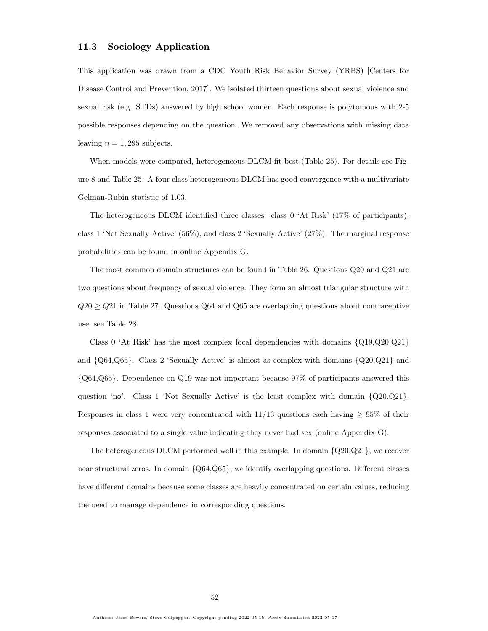### 11.3 Sociology Application

This application was drawn from a CDC Youth Risk Behavior Survey (YRBS) [\[Centers for](#page-57-1) [Disease Control and Prevention, 2017\]](#page-57-1). We isolated thirteen questions about sexual violence and sexual risk (e.g. STDs) answered by high school women. Each response is polytomous with 2-5 possible responses depending on the question. We removed any observations with missing data leaving  $n = 1,295$  subjects.

When models were compared, heterogeneous DLCM fit best (Table [25\)](#page-52-0). For details see Figure [8](#page-52-1) and Table [25.](#page-52-0) A four class heterogeneous DLCM has good convergence with a multivariate Gelman-Rubin statistic of 1.03.

The heterogeneous DLCM identified three classes: class 0 'At Risk' (17% of participants), class 1 'Not Sexually Active' (56%), and class 2 'Sexually Active' (27%). The marginal response probabilities can be found in online Appendix [G.](#page-73-1)

The most common domain structures can be found in Table [26.](#page-53-0) Questions Q20 and Q21 are two questions about frequency of sexual violence. They form an almost triangular structure with  $Q20 \geq Q21$  in Table [27.](#page-54-0) Questions  $Q64$  and  $Q65$  are overlapping questions about contraceptive use; see Table [28.](#page-55-0)

Class 0 'At Risk' has the most complex local dependencies with domains  $\{Q19,Q20,Q21\}$ and  $\{Q64,Q65\}$ . Class 2 'Sexually Active' is almost as complex with domains  $\{Q20,Q21\}$  and {Q64,Q65}. Dependence on Q19 was not important because 97% of participants answered this question 'no'. Class 1 'Not Sexually Active' is the least complex with domain  $\{Q20,Q21\}$ . Responses in class 1 were very concentrated with  $11/13$  questions each having  $\geq 95\%$  of their responses associated to a single value indicating they never had sex (online Appendix [G\)](#page-73-1).

The heterogeneous DLCM performed well in this example. In domain {Q20,Q21}, we recover near structural zeros. In domain {Q64,Q65}, we identify overlapping questions. Different classes have different domains because some classes are heavily concentrated on certain values, reducing the need to manage dependence in corresponding questions.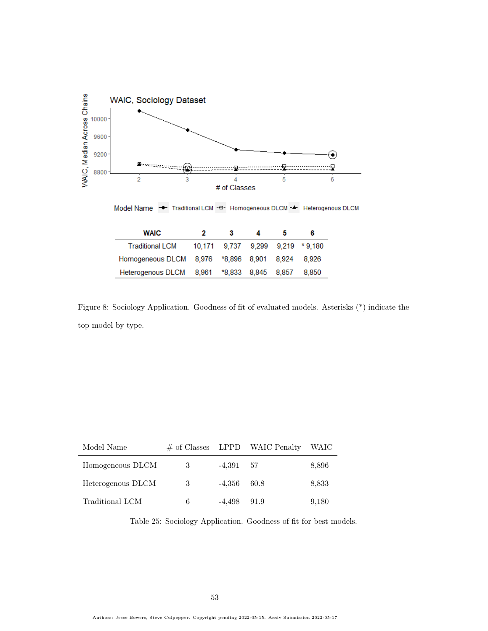

<span id="page-52-1"></span>Figure 8: Sociology Application. Goodness of fit of evaluated models. Asterisks (\*) indicate the top model by type.

| Model Name        |    |               | $\#$ of Classes LPPD WAIC Penalty | - WAIC |
|-------------------|----|---------------|-----------------------------------|--------|
| Homogeneous DLCM  | 3  | $-4.391$ 57   |                                   | 8,896  |
| Heterogenous DLCM | -3 | $-4.356$ 60.8 |                                   | 8.833  |
| Traditional LCM   | 6  | $-4.498$ 91.9 |                                   | 9.180  |

<span id="page-52-0"></span>Table 25: Sociology Application. Goodness of fit for best models.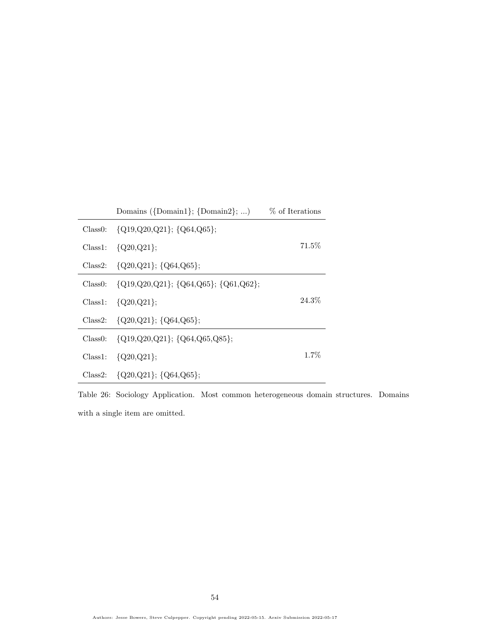|          | Domains $({\text{Domain}}; {\text{Domain}}); \ldots)$ | % of Iterations |
|----------|-------------------------------------------------------|-----------------|
| Class0:  | $\{Q19,Q20,Q21\}; \{Q64,Q65\};$                       |                 |
| Class 1: | ${Q20,Q21};$                                          | $71.5\%$        |
| Class 2: | ${Q20,Q21}; {Q64,Q65};$                               |                 |
| Class0:  | $\{Q19,Q20,Q21\}; \{Q64,Q65\}; \{Q61,Q62\};$          |                 |
| Class 1: | ${Q20,Q21};$                                          | 24.3%           |
| Class2:  | $\{Q20,Q21\}; \{Q64,Q65\};$                           |                 |
| Class0:  | $\{Q19,Q20,Q21\}; \{Q64,Q65,Q85\};$                   |                 |
| Class 1: | ${Q20,Q21};$                                          | $1.7\%$         |
| Class2:  | $\{Q20,Q21\}; \{Q64,Q65\};$                           |                 |

<span id="page-53-0"></span>Table 26: Sociology Application. Most common heterogeneous domain structures. Domains with a single item are omitted.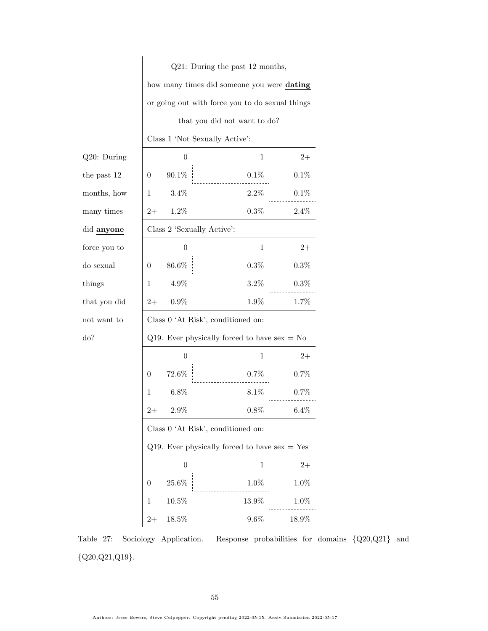|              | Q21: During the past 12 months,                 |                                                 |              |         |  |  |
|--------------|-------------------------------------------------|-------------------------------------------------|--------------|---------|--|--|
|              |                                                 | how many times did someone you were dating      |              |         |  |  |
|              |                                                 | or going out with force you to do sexual things |              |         |  |  |
|              |                                                 | that you did not want to do?                    |              |         |  |  |
|              |                                                 | Class 1 'Not Sexually Active':                  |              |         |  |  |
| Q20: During  |                                                 | $\overline{0}$<br>1<br>$2+$                     |              |         |  |  |
| the past 12  | 0                                               | 90.1\%                                          | 0.1%         | 0.1%    |  |  |
| months, how  | 1                                               | $3.4\%$                                         | $2.2\%$      | 0.1%    |  |  |
| many times   | $2+$                                            | 1.2%                                            | 0.3%         | 2.4%    |  |  |
| did anyone   |                                                 | Class 2 'Sexually Active':                      |              |         |  |  |
| force you to |                                                 | $\theta$                                        | $\mathbf{1}$ | $2+$    |  |  |
| do sexual    | 0                                               | 86.6%                                           | $0.3\%$      | 0.3%    |  |  |
| things       | 1                                               | $4.9\%$                                         | $3.2\%$      | $0.3\%$ |  |  |
| that you did | $2+$                                            | $0.9\%$                                         | 1.9%         | 1.7%    |  |  |
| not want to  |                                                 | Class 0 'At Risk', conditioned on:              |              |         |  |  |
| do?          |                                                 | Q19. Ever physically forced to have $sex = No$  |              |         |  |  |
|              |                                                 | $\boldsymbol{0}$                                | 1            | $2+$    |  |  |
|              | 0                                               | $72.6\%$                                        | 0.7%         | 0.7%    |  |  |
|              | 1                                               | $6.8\%$                                         | $8.1\%$      | 0.7%    |  |  |
|              | $2+$                                            | $2.9\%$                                         | $0.8\%$      | 6.4%    |  |  |
|              |                                                 | Class 0 'At Risk', conditioned on:              |              |         |  |  |
|              | Q19. Ever physically forced to have $sex = Yes$ |                                                 |              |         |  |  |
|              |                                                 | $\boldsymbol{0}$                                | $\mathbf 1$  | $2+$    |  |  |
|              | $\overline{0}$                                  | 25.6%                                           | $1.0\%$      | 1.0%    |  |  |
|              | 1                                               | 10.5%                                           | 13.9%        | 1.0%    |  |  |
|              | $2+$                                            | 18.5%                                           | $9.6\%$      | 18.9%   |  |  |

<span id="page-54-0"></span>Table 27: Sociology Application. Response probabilities for domains {Q20,Q21} and  $\{ {\rm Q}20, {\rm Q}21, {\rm Q}19 \}.$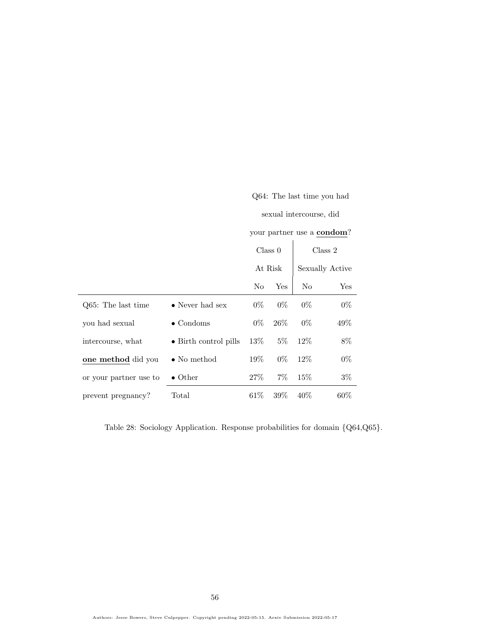|                        |                         | sexual intercourse, did |         |       |                                    |  |
|------------------------|-------------------------|-------------------------|---------|-------|------------------------------------|--|
|                        |                         |                         |         |       | your partner use a <b>condom</b> ? |  |
|                        |                         |                         | Class 0 |       | Class 2                            |  |
|                        |                         |                         | At Risk |       | Sexually Active                    |  |
|                        |                         | No                      | Yes     | No    | Yes                                |  |
| Q65: The last time     | $\bullet$ Never had sex | $0\%$                   | $0\%$   | $0\%$ | $0\%$                              |  |
| you had sexual         | $\bullet$ Condoms       | $0\%$                   | $26\%$  | $0\%$ | $49\%$                             |  |
| intercourse, what      | • Birth control pills   | 13%                     | $5\%$   | 12\%  | $8\%$                              |  |
| one method did you     | $\bullet$ No method     | $19\%$                  | $0\%$   | 12%   | $0\%$                              |  |
| or your partner use to | $\bullet$ Other         | 27\%                    | $7\%$   | 15\%  | $3\%$                              |  |
| prevent pregnancy?     | Total                   | $61\%$                  | $39\%$  | 40%   | $60\%$                             |  |

Q64: The last time you had

<span id="page-55-0"></span>Table 28: Sociology Application. Response probabilities for domain {Q64,Q65}.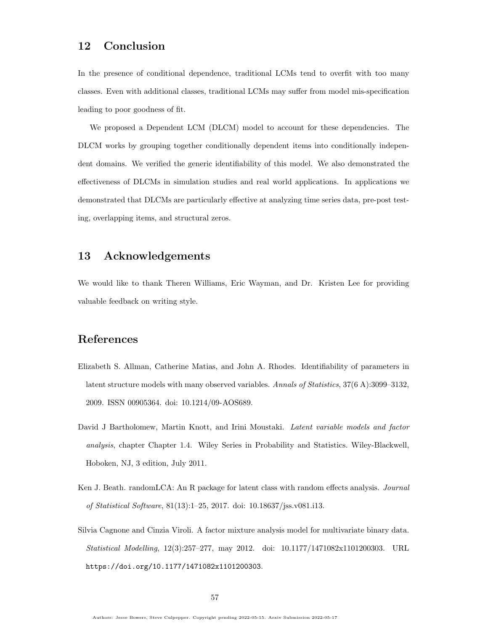# 12 Conclusion

In the presence of conditional dependence, traditional LCMs tend to overfit with too many classes. Even with additional classes, traditional LCMs may suffer from model mis-specification leading to poor goodness of fit.

We proposed a Dependent LCM (DLCM) model to account for these dependencies. The DLCM works by grouping together conditionally dependent items into conditionally independent domains. We verified the generic identifiability of this model. We also demonstrated the effectiveness of DLCMs in simulation studies and real world applications. In applications we demonstrated that DLCMs are particularly effective at analyzing time series data, pre-post testing, overlapping items, and structural zeros.

## 13 Acknowledgements

We would like to thank Theren Williams, Eric Wayman, and Dr. Kristen Lee for providing valuable feedback on writing style.

# References

- <span id="page-56-0"></span>Elizabeth S. Allman, Catherine Matias, and John A. Rhodes. Identifiability of parameters in latent structure models with many observed variables. Annals of Statistics, 37(6 A):3099–3132, 2009. ISSN 00905364. doi: 10.1214/09-AOS689.
- David J Bartholomew, Martin Knott, and Irini Moustaki. Latent variable models and factor analysis, chapter Chapter 1.4. Wiley Series in Probability and Statistics. Wiley-Blackwell, Hoboken, NJ, 3 edition, July 2011.
- Ken J. Beath. randomLCA: An R package for latent class with random effects analysis. *Journal* of Statistical Software, 81(13):1–25, 2017. doi: 10.18637/jss.v081.i13.
- Silvia Cagnone and Cinzia Viroli. A factor mixture analysis model for multivariate binary data. Statistical Modelling, 12(3):257–277, may 2012. doi: 10.1177/1471082x1101200303. URL <https://doi.org/10.1177/1471082x1101200303>.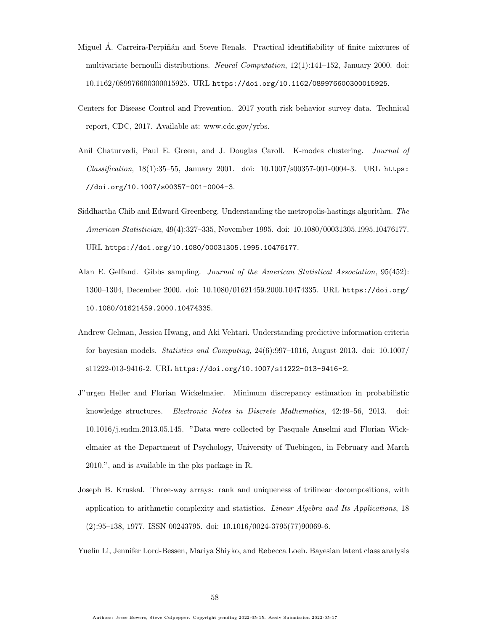- Miguel Á. Carreira-Perpiñán and Steve Renals. Practical identifiability of finite mixtures of multivariate bernoulli distributions. Neural Computation, 12(1):141–152, January 2000. doi: 10.1162/089976600300015925. URL <https://doi.org/10.1162/089976600300015925>.
- <span id="page-57-1"></span>Centers for Disease Control and Prevention. 2017 youth risk behavior survey data. Technical report, CDC, 2017. Available at: www.cdc.gov/yrbs.
- Anil Chaturvedi, Paul E. Green, and J. Douglas Caroll. K-modes clustering. Journal of Classification, 18(1):35–55, January 2001. doi: 10.1007/s00357-001-0004-3. URL [https:](https://doi.org/10.1007/s00357-001-0004-3) [//doi.org/10.1007/s00357-001-0004-3](https://doi.org/10.1007/s00357-001-0004-3).
- Siddhartha Chib and Edward Greenberg. Understanding the metropolis-hastings algorithm. The American Statistician, 49(4):327–335, November 1995. doi: 10.1080/00031305.1995.10476177. URL <https://doi.org/10.1080/00031305.1995.10476177>.
- Alan E. Gelfand. Gibbs sampling. Journal of the American Statistical Association, 95(452): 1300–1304, December 2000. doi: 10.1080/01621459.2000.10474335. URL [https://doi.org/](https://doi.org/10.1080/01621459.2000.10474335) [10.1080/01621459.2000.10474335](https://doi.org/10.1080/01621459.2000.10474335).
- Andrew Gelman, Jessica Hwang, and Aki Vehtari. Understanding predictive information criteria for bayesian models. Statistics and Computing, 24(6):997–1016, August 2013. doi: 10.1007/ s11222-013-9416-2. URL <https://doi.org/10.1007/s11222-013-9416-2>.
- <span id="page-57-0"></span>J"urgen Heller and Florian Wickelmaier. Minimum discrepancy estimation in probabilistic knowledge structures. Electronic Notes in Discrete Mathematics, 42:49–56, 2013. doi: 10.1016/j.endm.2013.05.145. "Data were collected by Pasquale Anselmi and Florian Wickelmaier at the Department of Psychology, University of Tuebingen, in February and March 2010.", and is available in the pks package in R.
- Joseph B. Kruskal. Three-way arrays: rank and uniqueness of trilinear decompositions, with application to arithmetic complexity and statistics. Linear Algebra and Its Applications, 18 (2):95–138, 1977. ISSN 00243795. doi: 10.1016/0024-3795(77)90069-6.

<span id="page-57-2"></span>Yuelin Li, Jennifer Lord-Bessen, Mariya Shiyko, and Rebecca Loeb. Bayesian latent class analysis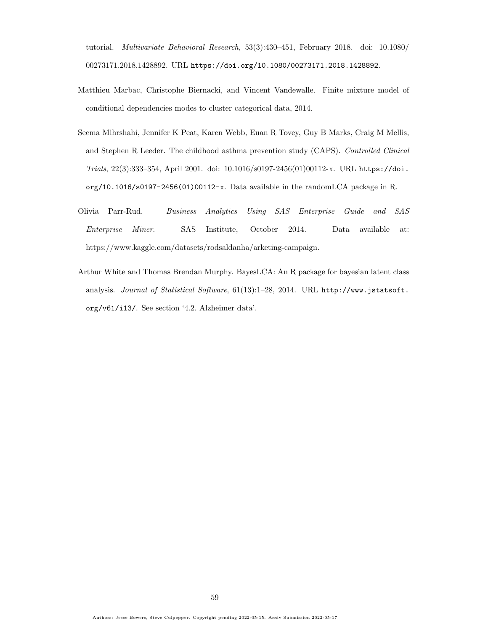tutorial. Multivariate Behavioral Research, 53(3):430–451, February 2018. doi: 10.1080/ 00273171.2018.1428892. URL <https://doi.org/10.1080/00273171.2018.1428892>.

- <span id="page-58-1"></span>Matthieu Marbac, Christophe Biernacki, and Vincent Vandewalle. Finite mixture model of conditional dependencies modes to cluster categorical data, 2014.
- <span id="page-58-0"></span>Seema Mihrshahi, Jennifer K Peat, Karen Webb, Euan R Tovey, Guy B Marks, Craig M Mellis, and Stephen R Leeder. The childhood asthma prevention study (CAPS). Controlled Clinical Trials, 22(3):333–354, April 2001. doi: 10.1016/s0197-2456(01)00112-x. URL [https://doi.](https://doi.org/10.1016/s0197-2456(01)00112-x) [org/10.1016/s0197-2456\(01\)00112-x](https://doi.org/10.1016/s0197-2456(01)00112-x). Data available in the randomLCA package in R.
- Olivia Parr-Rud. Business Analytics Using SAS Enterprise Guide and SAS Enterprise Miner. SAS Institute, October 2014. Data available at: https://www.kaggle.com/datasets/rodsaldanha/arketing-campaign.
- Arthur White and Thomas Brendan Murphy. BayesLCA: An R package for bayesian latent class analysis. Journal of Statistical Software, 61(13):1–28, 2014. URL [http://www.jstatsoft.](http://www.jstatsoft.org/v61/i13/) [org/v61/i13/](http://www.jstatsoft.org/v61/i13/). See section '4.2. Alzheimer data'.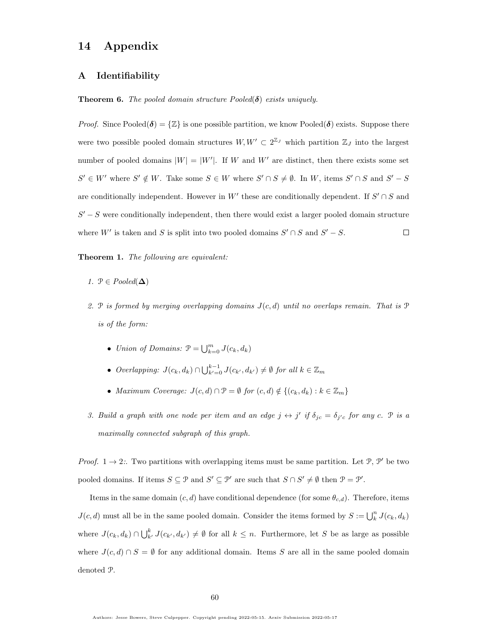## 14 Appendix

### A Identifiability

**Theorem 6.** The pooled domain structure  $Pooled(\delta)$  exists uniquely.

*Proof.* Since Pooled( $\delta$ ) =  $\{Z\}$  is one possible partition, we know Pooled( $\delta$ ) exists. Suppose there were two possible pooled domain structures  $W, W' \subset 2^{\mathbb{Z}_J}$  which partition  $\mathbb{Z}_J$  into the largest number of pooled domains  $|W| = |W'|$ . If W and W' are distinct, then there exists some set  $S' \in W'$  where  $S' \notin W$ . Take some  $S \in W$  where  $S' \cap S \neq \emptyset$ . In W, items  $S' \cap S$  and  $S' - S$ are conditionally independent. However in W' these are conditionally dependent. If  $S' \cap S$  and  $S' - S$  were conditionally independent, then there would exist a larger pooled domain structure where  $W'$  is taken and S is split into two pooled domains  $S' \cap S$  and  $S' - S$ .  $\Box$ 

Theorem 1. The following are equivalent:

- 1.  $P \in Pooled(\Delta)$
- 2. P is formed by merging overlapping domains  $J(c, d)$  until no overlaps remain. That is P is of the form:
	- Union of Domains:  $\mathcal{P} = \bigcup_{k=0}^{m} J(c_k, d_k)$
	- Overlapping:  $J(c_k, d_k) \cap \bigcup_{k'=0}^{k-1} J(c_{k'}, d_{k'}) \neq \emptyset$  for all  $k \in \mathbb{Z}_m$
	- Maximum Coverage:  $J(c,d) \cap \mathcal{P} = \emptyset$  for  $(c,d) \notin \{(c_k, d_k) : k \in \mathbb{Z}_m\}$
- 3. Build a graph with one node per item and an edge  $j \leftrightarrow j'$  if  $\delta_{jc} = \delta_{j'c}$  for any c.  $\mathcal P$  is a maximally connected subgraph of this graph.

*Proof.*  $1 \rightarrow 2$ :. Two partitions with overlapping items must be same partition. Let  $\mathcal{P}, \mathcal{P}'$  be two pooled domains. If items  $S \subseteq \mathcal{P}$  and  $S' \subseteq \mathcal{P}'$  are such that  $S \cap S' \neq \emptyset$  then  $\mathcal{P} = \mathcal{P}'$ .

Items in the same domain  $(c, d)$  have conditional dependence (for some  $\theta_{c,d}$ ). Therefore, items  $J(c, d)$  must all be in the same pooled domain. Consider the items formed by  $S := \bigcup_{k=0}^{n} J(c_k, d_k)$ where  $J(c_k, d_k) \cap \bigcup_{k'}^k J(c_{k'}, d_{k'}) \neq \emptyset$  for all  $k \leq n$ . Furthermore, let S be as large as possible where  $J(c, d) \cap S = \emptyset$  for any additional domain. Items S are all in the same pooled domain denoted P.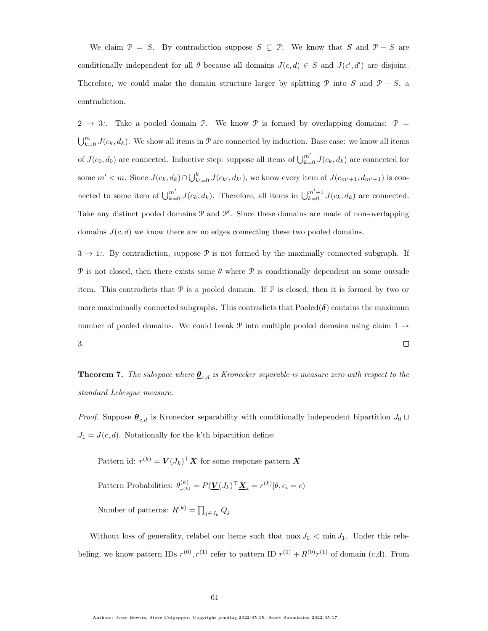We claim  $\mathcal{P} = S$ . By contradiction suppose  $S \subsetneq \mathcal{P}$ . We know that S and  $\mathcal{P} - S$  are conditionally independent for all  $\theta$  because all domains  $J(c,d) \in S$  and  $J(c',d')$  are disjoint. Therefore, we could make the domain structure larger by splitting  $\mathcal{P}$  into S and  $\mathcal{P} - S$ , a contradiction.

 $2 \rightarrow 3$ :. Take a pooled domain  $\mathcal{P}$ . We know  $\mathcal{P}$  is formed by overlapping domains:  $\mathcal{P}$  =  $\bigcup_{k=0}^m J(c_k, d_k)$ . We show all items in  $\mathcal P$  are connected by induction. Base case: we know all items of  $J(c_0, d_0)$  are connected. Inductive step: suppose all items of  $\bigcup_{k=0}^{m'} J(c_k, d_k)$  are connected for some  $m' < m$ . Since  $J(c_k, d_k) \cap \bigcup_{k'=0}^k J(c_{k'}, d_{k'})$ , we know every item of  $J(c_{m'+1}, d_{m'+1})$  is connected to some item of  $\bigcup_{k=0}^{m'} J(c_k, d_k)$ . Therefore, all items in  $\bigcup_{k=0}^{m'+1} J(c_k, d_k)$  are connected. Take any distinct pooled domains  $P$  and  $P'$ . Since these domains are made of non-overlapping domains  $J(c, d)$  we know there are no edges connecting these two pooled domains.

 $3 \rightarrow 1$ :. By contradiction, suppose  $\mathcal{P}$  is not formed by the maximally connected subgraph. If P is not closed, then there exists some  $\theta$  where P is conditionally dependent on some outside item. This contradicts that  $P$  is a pooled domain. If  $P$  is closed, then it is formed by two or more maximimally connected subgraphs. This contradicts that  $Pooled(\delta)$  contains the maximum number of pooled domains. We could break P into multiple pooled domains using claim  $1 \rightarrow$  $\Box$ 3.

<span id="page-60-0"></span>**Theorem 7.** The subspace where  $\underline{\theta}_{c,d}$  is Kronecker separable is measure zero with respect to the standard Lebesgue measure.

*Proof.* Suppose  $\underline{\theta}_{c,d}$  is Kronecker separability with conditionally independent bipartition  $J_0 \sqcup$  $J_1 = J(c, d)$ . Notationally for the k'th bipartition define:

Pattern id:  $r^{(k)} = \underline{V}(J_k)^{\top} \underline{X}$  for some response pattern  $\underline{X}$ Pattern Probabilities:  $\theta_{n(k)}^{(k)}$  $r_{r^{(k)}}^{(k)} = P(\underline{\boldsymbol{V}}(J_k)^\top \underline{\boldsymbol{X}}_i = r^{(k)} | \theta, c_i = c)$ Number of patterns:  $R^{(k)} = \prod_{j \in J_k} Q_j$ 

Without loss of generality, relabel our items such that max  $J_0 < \min J_1$ . Under this relabeling, we know pattern IDs  $r^{(0)}, r^{(1)}$  refer to pattern ID  $r^{(0)} + R^{(0)}r^{(1)}$  of domain (c,d). From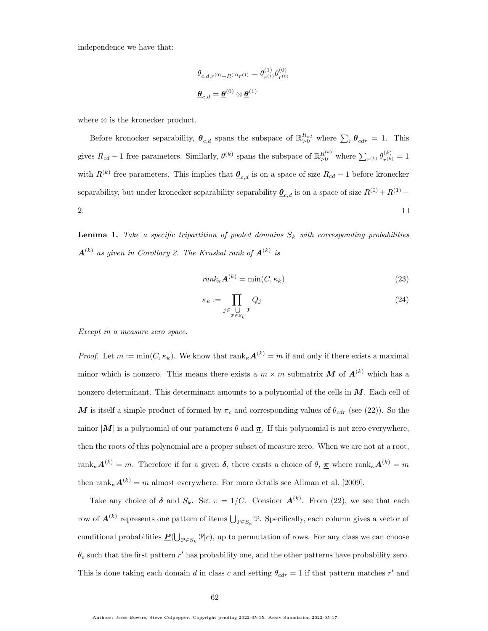independence we have that:

$$
\theta_{c,d,r^{(0)}+R^{(0)}r^{(1)}} = \theta_{r^{(1)}}^{(1)} \theta_{r^{(0)}}^{(0)}
$$

$$
\underline{\theta}_{c,d} = \underline{\theta}^{(0)} \otimes \underline{\theta}^{(1)}
$$

where ⊗ is the kronecker product.

Before kronocker separability,  $\underline{\theta}_{c,d}$  spans the subspace of  $\mathbb{R}_{>0}^{R_{cd}}$  where  $\sum_{r} \underline{\theta}_{cdr} = 1$ . This gives  $R_{cd} - 1$  free parameters. Similarly,  $\theta^{(k)}$  spans the subspace of  $\mathbb{R}_{\geq 0}^{R^{(k)}}$  where  $\sum_{r^{(k)}} \theta_{r^{(k)}}^{(k)}$  $r^{(k)}_{r^{(k)}} = 1$ with  $R^{(k)}$  free parameters. This implies that  $\underline{\theta}_{c,d}$  is on a space of size  $R_{cd} - 1$  before kronecker separability, but under kronecker separability separability  $\underline{\theta}_{c,d}$  is on a space of size  $R^{(0)} + R^{(1)} -$ 2.  $\Box$ 

**Lemma 1.** Take a specific tripartition of pooled domains  $S_k$  with corresponding probabilities  $\boldsymbol{A}^{(k)}$  as given in Corollary [2.](#page-17-0) The Kruskal rank of  $\boldsymbol{A}^{(k)}$  is

$$
rank_{\kappa} \mathbf{A}^{(k)} = \min(C, \kappa_k) \tag{23}
$$

$$
\kappa_k := \prod_{j \in \bigcup_{\mathcal{P} \in S_k} \mathcal{P}} Q_j \tag{24}
$$

Except in a measure zero space.

*Proof.* Let  $m := min(C, \kappa_k)$ . We know that  $rank_{\kappa} \mathbf{A}^{(k)} = m$  if and only if there exists a maximal minor which is nonzero. This means there exists a  $m \times m$  submatrix M of  $A^{(k)}$  which has a nonzero determinant. This determinant amounts to a polynomial of the cells in  $M$ . Each cell of M is itself a simple product of formed by  $\pi_c$  and corresponding values of  $\theta_{cdr}$  (see [\(22\)](#page-17-1)). So the minor  $|M|$  is a polynomial of our parameters  $\theta$  and  $\pi$ . If this polynomial is not zero everywhere, then the roots of this polynomial are a proper subset of measure zero. When we are not at a root,  $\text{rank}_{\kappa} \mathbf{A}^{(k)} = m$ . Therefore if for a given  $\boldsymbol{\delta}$ , there exists a choice of  $\theta$ ,  $\underline{\boldsymbol{\pi}}$  where  $\text{rank}_{\kappa} \mathbf{A}^{(k)} = m$ then  $\text{rank}_{\kappa} \mathbf{A}^{(k)} = m$  almost everywhere. For more details see [Allman et al.](#page-56-0) [\[2009\]](#page-56-0).

Take any choice of  $\delta$  and  $S_k$ . Set  $\pi = 1/C$ . Consider  $\mathbf{A}^{(k)}$ . From [\(22\)](#page-17-1), we see that each row of  $A^{(k)}$  represents one pattern of items  $\bigcup_{\mathcal{P} \in S_k} \mathcal{P}$ . Specifically, each column gives a vector of conditional probabilities  $\underline{P}(\bigcup_{\mathcal{P}\in S_k} \mathcal{P}|c)$ , up to permutation of rows. For any class we can choose  $\theta_c$  such that the first pattern r' has probability one, and the other patterns have probability zero. This is done taking each domain d in class c and setting  $\theta_{cdr} = 1$  if that pattern matches r' and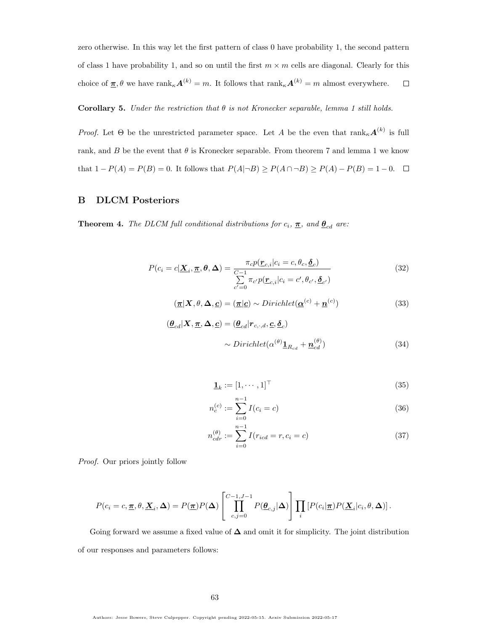zero otherwise. In this way let the first pattern of class 0 have probability 1, the second pattern of class 1 have probability 1, and so on until the first  $m \times m$  cells are diagonal. Clearly for this choice of  $\underline{\pi}, \theta$  we have  $\text{rank}_{\kappa} \mathbf{A}^{(k)} = m$ . It follows that  $\text{rank}_{\kappa} \mathbf{A}^{(k)} = m$  almost everywhere.  $\Box$ 

#### Corollary 5. Under the restriction that  $\theta$  is not Kronecker separable, lemma [1](#page-17-2) still holds.

*Proof.* Let  $\Theta$  be the unrestricted parameter space. Let A be the even that  $\text{rank}_{\kappa} \mathbf{A}^{(k)}$  is full rank, and B be the event that  $\theta$  is Kronecker separable. From theorem [7](#page-60-0) and lemma [1](#page-17-2) we know that  $1 - P(A) = P(B) = 0$ . It follows that  $P(A|\neg B) \ge P(A \cap \neg B) \ge P(A) - P(B) = 1 - 0$ .  $\Box$ 

### B DLCM Posteriors

**Theorem 4.** The DLCM full conditional distributions for  $c_i$ ,  $\pi$ , and  $\theta_{cd}$  are:

$$
P(c_i = c | \underline{\mathbf{X}}_i, \underline{\boldsymbol{\pi}}, \boldsymbol{\theta}, \Delta) = \frac{\pi_c p(\underline{\boldsymbol{r}}_{c,i} | c_i = c, \theta_c, \underline{\boldsymbol{\delta}}_c)}{\sum\limits_{c'=0}^{C-1} \pi_{c'} p(\underline{\boldsymbol{r}}_{c,i} | c_i = c', \theta_{c'}, \underline{\boldsymbol{\delta}}_{c'})}
$$
(32)

$$
(\underline{\boldsymbol{\pi}}|\boldsymbol{X},\boldsymbol{\theta},\boldsymbol{\Delta},\underline{\boldsymbol{c}}) = (\underline{\boldsymbol{\pi}}|\underline{\boldsymbol{c}}) \sim Dirichlet(\underline{\boldsymbol{\alpha}}^{(c)} + \underline{\boldsymbol{n}}^{(c)})
$$
(33)

$$
(\underline{\theta}_{cd}|\mathbf{X}, \underline{\pi}, \Delta, \underline{c}) = (\underline{\theta}_{cd} | r_{c,\cdot,d}, \underline{c}, \underline{\delta}_c)
$$
  
~ 
$$
\sim Dirichlet(\alpha^{(\theta)} \underline{\mathbf{1}}_{R_{cd}} + \underline{\mathbf{n}}_{cd}^{(\theta)})
$$
 (34)

$$
\mathbf{\underline{1}}_k := [1, \cdots, 1]^\top \tag{35}
$$

$$
n_c^{(c)} := \sum_{i=0}^{n-1} I(c_i = c)
$$
\n(36)

$$
n_{cdr}^{(\theta)} := \sum_{i=0}^{n-1} I(r_{icd} = r, c_i = c)
$$
\n(37)

Proof. Our priors jointly follow

$$
P(c_i = c, \underline{\pi}, \theta, \underline{\mathbf{X}}_i, \Delta) = P(\underline{\pi}) P(\Delta) \left[ \prod_{c,j=0}^{C-1, J-1} P(\underline{\theta}_{c,j} | \Delta) \right] \prod_i \left[ P(c_i | \underline{\pi}) P(\underline{\mathbf{X}}_i | c_i, \theta, \Delta) \right].
$$

Going forward we assume a fixed value of  $\Delta$  and omit it for simplicity. The joint distribution of our responses and parameters follows: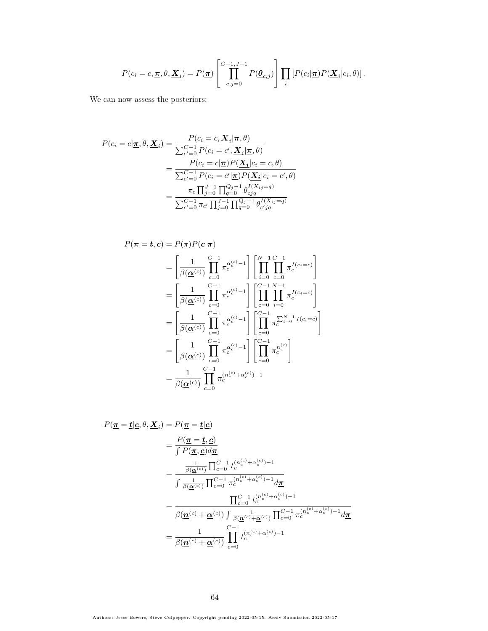$$
P(c_i = c, \underline{\pi}, \theta, \underline{\mathbf{X}}_i) = P(\underline{\pi}) \left[ \prod_{c,j=0}^{C-1, J-1} P(\underline{\theta}_{c,j}) \right] \prod_i \left[ P(c_i | \underline{\pi}) P(\underline{\mathbf{X}}_i | c_i, \theta) \right].
$$

We can now assess the posteriors:

$$
P(c_i = c | \underline{\pi}, \theta, \underline{X}_i) = \frac{P(c_i = c, \underline{X}_i | \underline{\pi}, \theta)}{\sum_{c'=0}^{C-1} P(c_i = c', \underline{X}_i | \underline{\pi}, \theta)}
$$
  
= 
$$
\frac{P(c_i = c | \underline{\pi}) P(\underline{X}_i | c_i = c, \theta)}{\sum_{c'=0}^{C-1} P(c_i = c' | \underline{\pi}) P(\underline{X}_i | c_i = c', \theta)}
$$
  
= 
$$
\frac{\pi_c \prod_{j=0}^{J-1} \prod_{q=0}^{Q_j - 1} \theta_{cjq}^{I(X_{ij} = q)}}{\sum_{c'=0}^{C-1} \pi_{c'} \prod_{j=0}^{J-1} \prod_{q=0}^{Q_j - 1} \theta_{c'jq}^{I(X_{ij} = q)}}
$$

$$
P(\underline{\pi} = \underline{t}, \underline{c}) = P(\pi)P(\underline{c}|\underline{\pi})
$$
  
\n
$$
= \left[\frac{1}{\beta(\underline{\alpha}^{(c)})} \prod_{c=0}^{C-1} \pi_c^{\alpha_c^{(c)}-1} \right] \left[\prod_{i=0}^{N-1} \prod_{c=0}^{C-1} \pi_c^{I(c_i=c)}\right]
$$
  
\n
$$
= \left[\frac{1}{\beta(\underline{\alpha}^{(c)})} \prod_{c=0}^{C-1} \pi_c^{\alpha_c^{(c)}-1} \right] \left[\prod_{c=0}^{C-1} \prod_{i=0}^{N-1} \pi_c^{I(c_i=c)}\right]
$$
  
\n
$$
= \left[\frac{1}{\beta(\underline{\alpha}^{(c)})} \prod_{c=0}^{C-1} \pi_c^{\alpha_c^{(c)}-1} \right] \left[\prod_{c=0}^{C-1} \pi_c^{\sum_{i=0}^{N-1} I(c_i=c)}\right]
$$
  
\n
$$
= \left[\frac{1}{\beta(\underline{\alpha}^{(c)})} \prod_{c=0}^{C-1} \pi_c^{\alpha_c^{(c)}-1} \right] \left[\prod_{c=0}^{C-1} \pi_c^{\sum_{i=0}^{N-1} I(c_i=c)}\right]
$$
  
\n
$$
= \frac{1}{\beta(\underline{\alpha}^{(c)})} \prod_{c=0}^{C-1} \pi_c^{(n_c^{(c)}+\alpha_c^{(c)})-1}
$$

$$
P(\mathbf{\underline{\pi}} = \underline{\mathbf{t}} | \underline{\mathbf{c}}, \theta, \underline{\mathbf{X}}_i) = P(\underline{\pi} = \underline{\mathbf{t}} | \underline{\mathbf{c}})
$$
  
\n
$$
= \frac{P(\underline{\pi} = \underline{\mathbf{t}}, \underline{\mathbf{c}})}{\int P(\underline{\pi}, \underline{\mathbf{c}}) d\underline{\pi}}
$$
  
\n
$$
= \frac{\frac{1}{\beta(\underline{\alpha}^{(c)})} \prod_{c=0}^{C-1} t_c^{(n_c^{(c)} + \alpha_c^{(c)}) - 1}}{\int \frac{1}{\beta(\underline{\alpha}^{(c)})} \prod_{c=0}^{C-1} \pi_c^{(n_c^{(c)} + \alpha_c^{(c)}) - 1} d\underline{\pi}}
$$
  
\n
$$
= \frac{\prod_{c=0}^{C-1} t_c^{(n_c^{(c)} + \alpha_c^{(c)}) - 1}}{\beta(\underline{\mathbf{n}}^{(c)} + \underline{\alpha}^{(c)}) \int \frac{1}{\beta(\underline{\mathbf{n}}^{(c)} + \underline{\alpha}^{(c)})} \prod_{c=0}^{C-1} \pi_c^{(n_c^{(c)} + \alpha_c^{(c)}) - 1} d\underline{\pi}}
$$
  
\n
$$
= \frac{1}{\beta(\underline{\mathbf{n}}^{(c)} + \underline{\alpha}^{(c)})} \prod_{c=0}^{C-1} t_c^{(n_c^{(c)} + \alpha_c^{(c)}) - 1}
$$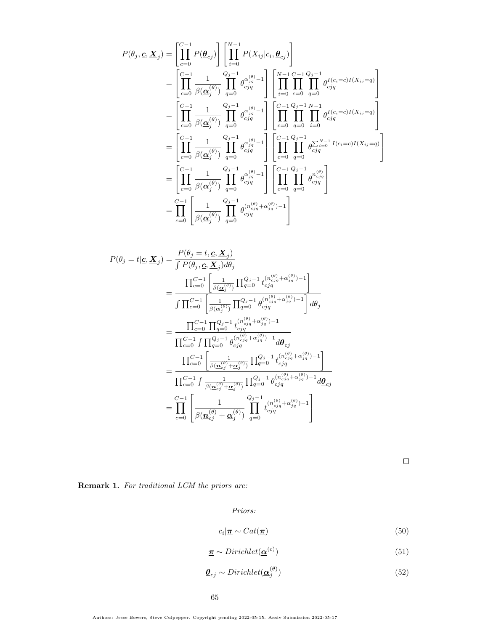$$
P(\theta_j, \underline{c}, \underline{X}_j) = \left[ \prod_{c=0}^{C-1} P(\underline{\theta}_{cj}) \right] \left[ \prod_{i=0}^{N-1} P(X_{ij}|c_i, \underline{\theta}_{cj}) \right]
$$
  
\n
$$
= \left[ \prod_{c=0}^{C-1} \frac{1}{\beta(\underline{\alpha}_j^{(\theta)})} \prod_{q=0}^{Q_j-1} \theta_{cjq}^{(\frac{\theta_j}{jq}-1} \right] \left[ \prod_{i=0}^{N-1} \prod_{c=0}^{C-1} \prod_{q=0}^{Q_j(q)} \theta_{cjq}^{I(c_i=c)I(X_{ij}=q)} \right]
$$
  
\n
$$
= \left[ \prod_{c=0}^{C-1} \frac{1}{\beta(\underline{\alpha}_j^{(\theta)})} \prod_{q=0}^{Q_j-1} \theta_{cjq}^{(\frac{\theta_j}{jq}-1} \right] \left[ \prod_{c=0}^{C-1} \prod_{q=0}^{Q_j-1} \prod_{i=0}^{N-1} \theta_{cjq}^{I(c_i=c)I(X_{ij}=q)} \right]
$$
  
\n
$$
= \left[ \prod_{c=0}^{C-1} \frac{1}{\beta(\underline{\alpha}_j^{(\theta)})} \prod_{q=0}^{Q_j-1} \theta_{cjq}^{(\frac{\theta_j}{jq}-1} \right] \left[ \prod_{c=0}^{C-1} \prod_{q=0}^{Q_j-1} \theta_{cjq}^{\sum_{i=0}^{N-1} I(c_i=c)I(X_{ij}=q)} \right]
$$
  
\n
$$
= \left[ \prod_{c=0}^{C-1} \frac{1}{\beta(\underline{\alpha}_j^{(\theta)})} \prod_{q=0}^{Q_j-1} \theta_{cjq}^{(\frac{\theta_j}{jq}-1} \right] \left[ \prod_{c=0}^{C-1} \prod_{q=0}^{Q_j-1} \theta_{cjq}^{n_{cjq}^{(\theta)}} \right]
$$
  
\n
$$
= \prod_{c=0}^{C-1} \left[ \frac{1}{\beta(\underline{\alpha}_j^{(\theta)})} \prod_{q=0}^{Q_j-1} \theta_{cjq}^{(n_{cjq}^{(\theta)}+ \alpha_{jq}^{(\theta)})-1} \right]
$$

$$
P(\theta_j = t | \mathbf{c}, \mathbf{X}_j) = \frac{P(\theta_j = t, \mathbf{c}, \mathbf{X}_j)}{\int P(\theta_j, \mathbf{c}, \mathbf{X}_j) d\theta_j}
$$
  
\n
$$
= \frac{\prod_{c=0}^{C-1} \left[ \frac{1}{\beta(\mathbf{a}_j^{(\theta)})} \prod_{q=0}^{Q_j - 1} t_{cj q}^{(n_{cj q}^{(\theta)} + \alpha_{jq}^{(\theta)}) - 1} \right]}{\int \prod_{c=0}^{C-1} \left[ \frac{1}{\beta(\mathbf{a}_j^{(\theta)})} \prod_{q=0}^{Q_j - 1} \theta_{cj q}^{(n_{cj q}^{(\theta)} + \alpha_{jq}^{(\theta)}) - 1} \right] d\theta_j}
$$
  
\n
$$
= \frac{\prod_{c=0}^{C-1} \prod_{q=0}^{Q_j - 1} t_{cj q}^{(n_{cj q}^{(\theta)} + \alpha_{jq}^{(\theta)}) - 1}}{\prod_{c=0}^{C-1} \int \prod_{q=0}^{Q_j - 1} \theta_{cj q}^{(n_{cj q}^{(\theta)} + \alpha_{jq}^{(\theta)}) - 1} d\theta_{cj}}
$$
  
\n
$$
= \frac{\prod_{c=0}^{C-1} \left[ \frac{1}{\beta(\mathbf{n}_{cj}^{(\theta)} + \mathbf{\alpha}_j^{(\theta)})} \prod_{q=0}^{Q_j - 1} t_{cj q}^{(n_{cj q}^{(\theta)} + \alpha_{jq}^{(\theta)}) - 1} \right]}{\prod_{c=0}^{C-1} \int \frac{1}{\beta(\mathbf{n}_{cj}^{(\theta)} + \mathbf{\alpha}_j^{(\theta)})} \prod_{q=0}^{Q_j - 1} \theta_{cj q}^{(n_{cj q}^{(\theta)} + \alpha_{jq}^{(\theta)}) - 1} d\theta_{cj}}
$$
  
\n
$$
= \prod_{c=0}^{C-1} \left[ \frac{1}{\beta(\mathbf{n}_{cj}^{(\theta)} + \mathbf{\alpha}_j^{(\theta)})} \prod_{q=0}^{Q_j - 1} t_{cj q}^{(n_{cj q}^{(\theta)} + \alpha_{jq}^{(\theta)}) - 1} \right]
$$

 $\Box$ 

Remark 1. For traditional LCM the priors are:

Priors:

$$
c_i | \underline{\pi} \sim \text{Cat}(\underline{\pi}) \tag{50}
$$

$$
\underline{\boldsymbol{\pi}} \sim Dirichlet(\underline{\boldsymbol{\alpha}}^{(c)})
$$
\n<sup>(51)</sup>

$$
\underline{\theta}_{cj} \sim Dirichlet(\underline{\alpha}_j^{(\theta)})\tag{52}
$$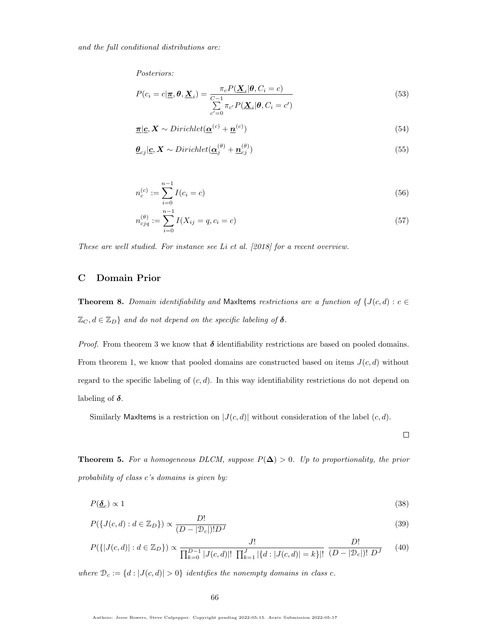Posteriors:

$$
P(c_i = c | \underline{\boldsymbol{\pi}}, \boldsymbol{\theta}, \underline{\boldsymbol{X}}_i) = \frac{\pi_c P(\underline{\boldsymbol{X}}_i | \boldsymbol{\theta}, C_i = c)}{\sum\limits_{c'=0}^{C-1} \pi_{c'} P(\underline{\boldsymbol{X}}_i | \boldsymbol{\theta}, C_i = c')}
$$
(53)

$$
\underline{\boldsymbol{\pi}}|\underline{\boldsymbol{c}}, \boldsymbol{X} \sim Dirichlet(\underline{\boldsymbol{\alpha}}^{(c)} + \underline{\boldsymbol{n}}^{(c)})
$$
\n(54)

$$
\underline{\boldsymbol{\theta}}_{cj} | \underline{\mathbf{c}}, \mathbf{X} \sim Dirichlet(\underline{\boldsymbol{\alpha}}_j^{(\theta)} + \underline{\boldsymbol{n}}_{cj}^{(\theta)})
$$
\n(55)

$$
n_c^{(c)} := \sum_{i=0}^{n-1} I(c_i = c)
$$
\n(56)

$$
n_{cjq}^{(\theta)} := \sum_{i=0}^{n-1} I(X_{ij} = q, c_i = c)
$$
\n(57)

These are well studied. For instance see [Li et al.](#page-57-2) [\[2018\]](#page-57-2) for a recent overview.

### C Domain Prior

**Theorem 8.** Domain identifiability and MaxItems restrictions are a function of  $\{J(c, d) : c \in$  $\mathbb{Z}_C, d \in \mathbb{Z}_D$  and do not depend on the specific labeling of  $\delta$ .

*Proof.* From theorem [3](#page-19-0) we know that  $\delta$  identifiability restrictions are based on pooled domains. From theorem [1,](#page-14-0) we know that pooled domains are constructed based on items  $J(c, d)$  without regard to the specific labeling of  $(c, d)$ . In this way identifiability restrictions do not depend on labeling of  $\delta$ .

Similarly MaxItems is a restriction on  $|J(c, d)|$  without consideration of the label  $(c, d)$ .

 $\Box$ 

**Theorem 5.** For a homogeneous DLCM, suppose  $P(\Delta) > 0$ . Up to proportionality, the prior probability of class c's domains is given by:

$$
P(\underline{\delta}_c) \propto 1\tag{38}
$$

$$
P(\lbrace J(c,d) : d \in \mathbb{Z}_D \rbrace) \propto \frac{D!}{(D - |\mathcal{D}_c|)! D^J}
$$
\n(39)

$$
P({|J(c,d)| : d \in \mathbb{Z}_D}) \propto \frac{J!}{\prod_{k=0}^{D-1} |J(c,d)|! \prod_{k=1}^{J} |{d : |J(c,d)| = k}|!} \frac{D!}{(D-|\mathcal{D}_c|)! \ D^J}
$$
(40)

where  $\mathcal{D}_c := \{d : |J(c, d)| > 0\}$  identifies the nonempty domains in class c.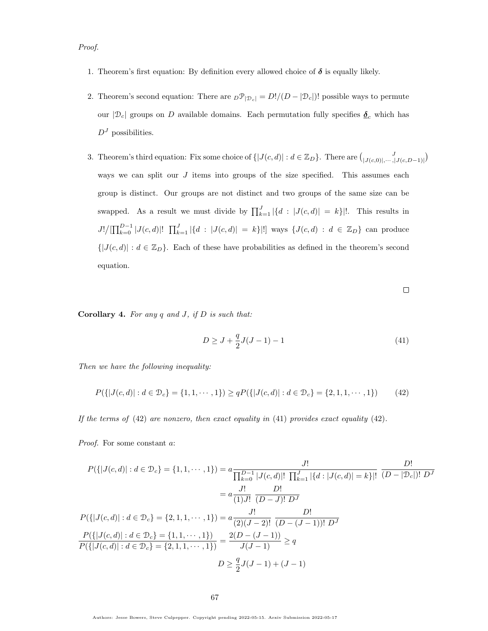Proof.

- 1. Theorem's first equation: By definition every allowed choice of  $\delta$  is equally likely.
- 2. Theorem's second equation: There are  $D^{\mathcal{P}}|_{D_c} = D!/(D |\mathcal{D}_c|)!$  possible ways to permute our  $|\mathcal{D}_c|$  groups on D available domains. Each permutation fully specifies  $\underline{\delta}_c$  which has  $D<sup>J</sup>$  possibilities.
- 3. Theorem's third equation: Fix some choice of  $\{|J(c,d)| : d \in \mathbb{Z}_D\}$ . There are  $\binom{J}{|J(c,0)|,\cdots,|J(c,D-1)|}$ ways we can split our  $J$  items into groups of the size specified. This assumes each group is distinct. Our groups are not distinct and two groups of the same size can be swapped. As a result we must divide by  $\prod_{k=1}^{J} |\{d : |J(c,d)| = k\}|!$ . This results in  $J!/[\prod_{k=0}^{D-1} |J(c,d)|! \prod_{k=1}^{J} |\{d : |J(c,d)| = k\}|]$  ways  $\{J(c,d) : d \in \mathbb{Z}_D\}$  can produce  $\{|J(c, d)| : d \in \mathbb{Z}_D\}$ . Each of these have probabilities as defined in the theorem's second equation.

 $\Box$ 

**Corollary 4.** For any  $q$  and  $J$ , if  $D$  is such that:

$$
D \ge J + \frac{q}{2}J(J-1) - 1\tag{41}
$$

Then we have the following inequality:

$$
P({ |J(c, d)| : d \in \mathcal{D}_c} = {1, 1, \cdots, 1}) \ge qP({ |J(c, d)| : d \in \mathcal{D}_c} = {2, 1, 1, \cdots, 1})
$$
(42)

If the terms of  $(42)$  are nonzero, then exact equality in  $(41)$  provides exact equality  $(42)$ .

Proof. For some constant  $a$ :

$$
P(\{|J(c,d)| : d \in \mathcal{D}_c\} = \{1, 1, \dots, 1\}) = a \frac{J!}{\prod_{k=0}^{D-1} |J(c,d)|!} \frac{J!}{\prod_{k=1}^{J} |\{d : |J(c,d)| = k\}|!} \frac{D!}{(D - |\mathcal{D}_c|)! D^J}
$$

$$
= a \frac{J!}{(1)J!} \frac{D!}{(D - J)! D^J}
$$

$$
P(\{|J(c,d)| : d \in \mathcal{D}_c\} = \{2, 1, 1, \dots, 1\}) = a \frac{J!}{(2)(J - 2)!} \frac{D!}{(D - (J - 1))! D^J}
$$

$$
\frac{P(\{|J(c,d)| : d \in \mathcal{D}_c\} = \{1, 1, \dots, 1\})}{P(\{|J(c,d)| : d \in \mathcal{D}_c\} = \{2, 1, 1, \dots, 1\})} = \frac{2(D - (J - 1))}{J(J - 1)} \ge q
$$

$$
D \ge \frac{q}{2} J(J - 1) + (J - 1)
$$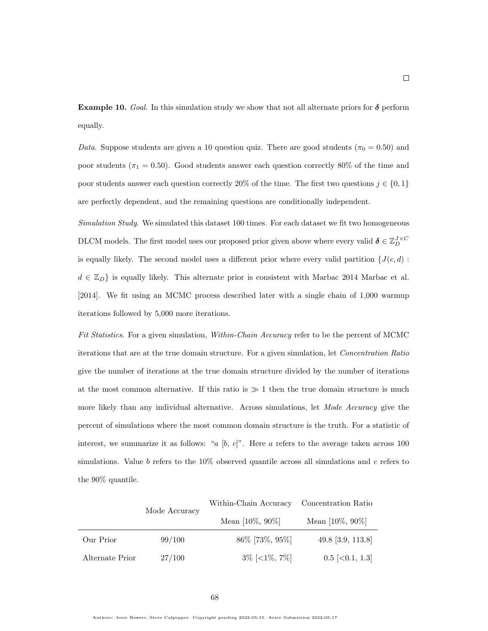**Example 10.** Goal. In this simulation study we show that not all alternate priors for  $\delta$  perform equally.

Data. Suppose students are given a 10 question quiz. There are good students ( $\pi_0 = 0.50$ ) and poor students ( $\pi_1 = 0.50$ ). Good students answer each question correctly 80% of the time and poor students answer each question correctly 20% of the time. The first two questions  $j \in \{0, 1\}$ are perfectly dependent, and the remaining questions are conditionally independent.

Simulation Study. We simulated this dataset 100 times. For each dataset we fit two homogeneous DLCM models. The first model uses our proposed prior given above where every valid  $\delta \in \mathbb{Z}_{D}^{J \times C}$ is equally likely. The second model uses a different prior where every valid partition  ${J(c, d)}$ :  $d \in \mathbb{Z}_D$  is equally likely. This alternate prior is consistent with Marbac 2014 [Marbac et al.](#page-58-1) [\[2014\]](#page-58-1). We fit using an MCMC process described later with a single chain of 1,000 warmup iterations followed by 5,000 more iterations.

Fit Statistics. For a given simulation, Within-Chain Accuracy refer to be the percent of MCMC iterations that are at the true domain structure. For a given simulation, let Concentration Ratio give the number of iterations at the true domain structure divided by the number of iterations at the most common alternative. If this ratio is  $\gg 1$  then the true domain structure is much more likely than any individual alternative. Across simulations, let Mode Accuracy give the percent of simulations where the most common domain structure is the truth. For a statistic of interest, we summarize it as follows: "a  $[b, c]$ ". Here a refers to the average taken across 100 simulations. Value b refers to the  $10\%$  observed quantile across all simulations and c refers to the 90% quantile.

|                 | Mode Accuracy | Within-Chain Accuracy | Concentration Ratio  |  |
|-----------------|---------------|-----------------------|----------------------|--|
|                 |               | Mean $[10\%, 90\%]$   | Mean $[10\%, 90\%]$  |  |
| Our Prior       | 99/100        | 86\% [73\%, 95\%]     | 49.8 [3.9, 113.8]    |  |
| Alternate Prior | 27/100        | $3\%$ [<1\%\; 7\%\]   | $0.5$ $\in$ 0.1, 1.3 |  |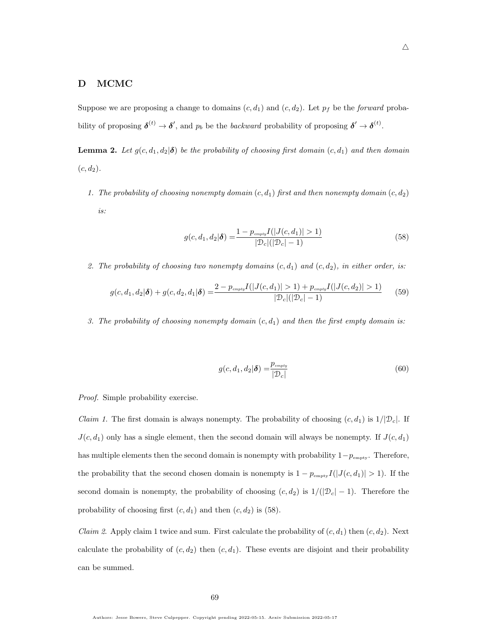### D MCMC

Suppose we are proposing a change to domains  $(c, d_1)$  and  $(c, d_2)$ . Let  $p_f$  be the forward probability of proposing  $\delta^{(t)} \to \delta'$ , and  $p_b$  be the backward probability of proposing  $\delta' \to \delta^{(t)}$ .

<span id="page-68-2"></span>**Lemma 2.** Let  $g(c, d_1, d_2 | \delta)$  be the probability of choosing first domain  $(c, d_1)$  and then domain  $(c, d_2).$ 

1. The probability of choosing nonempty domain  $(c, d_1)$  first and then nonempty domain  $(c, d_2)$ is:

<span id="page-68-0"></span>
$$
g(c, d_1, d_2 | \boldsymbol{\delta}) = \frac{1 - p_{\text{empty}} I(|J(c, d_1)| > 1)}{|\mathcal{D}_c|(|\mathcal{D}_c| - 1)}\tag{58}
$$

2. The probability of choosing two nonempty domains  $(c, d_1)$  and  $(c, d_2)$ , in either order, is:

$$
g(c, d_1, d_2 | \boldsymbol{\delta}) + g(c, d_2, d_1 | \boldsymbol{\delta}) = \frac{2 - p_{\text{empty}} I(|J(c, d_1)| > 1) + p_{\text{empty}} I(|J(c, d_2)| > 1)}{|\mathcal{D}_c| (|\mathcal{D}_c| - 1)} \tag{59}
$$

3. The probability of choosing nonempty domain  $(c, d_1)$  and then the first empty domain is:

<span id="page-68-1"></span>
$$
g(c, d_1, d_2 | \boldsymbol{\delta}) = \frac{p_{\text{empty}}}{|\mathcal{D}_c|} \tag{60}
$$

Proof. Simple probability exercise.

*Claim 1.* The first domain is always nonempty. The probability of choosing  $(c, d_1)$  is  $1/|\mathcal{D}_c|$ . If  $J(c, d_1)$  only has a single element, then the second domain will always be nonempty. If  $J(c, d_1)$ has multiple elements then the second domain is nonempty with probability  $1-p_{\text{empty}}$ . Therefore, the probability that the second chosen domain is nonempty is  $1 - p_{\text{empty}}I(|J(c, d_1)| > 1)$ . If the second domain is nonempty, the probability of choosing  $(c, d_2)$  is  $1/(|\mathcal{D}_c| - 1)$ . Therefore the probability of choosing first  $(c, d_1)$  and then  $(c, d_2)$  is  $(58)$ .

*Claim 2.* Apply claim 1 twice and sum. First calculate the probability of  $(c, d_1)$  then  $(c, d_2)$ . Next calculate the probability of  $(c, d_2)$  then  $(c, d_1)$ . These events are disjoint and their probability can be summed.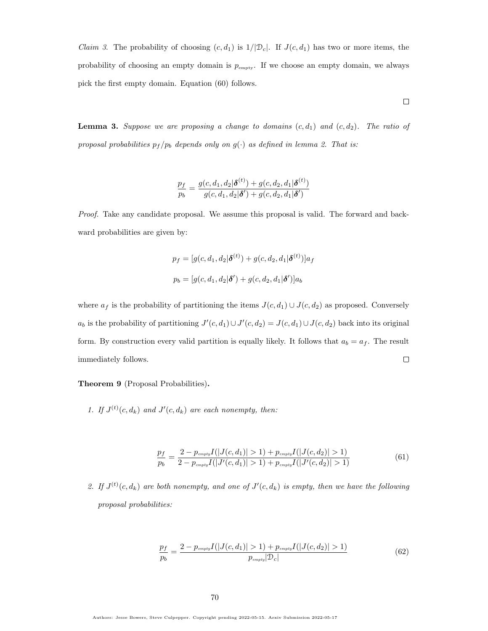*Claim 3.* The probability of choosing  $(c, d_1)$  is  $1/|\mathcal{D}_c|$ . If  $J(c, d_1)$  has two or more items, the probability of choosing an empty domain is  $p_{\text{empty}}$ . If we choose an empty domain, we always pick the first empty domain. Equation [\(60\)](#page-68-1) follows.

<span id="page-69-0"></span>**Lemma 3.** Suppose we are proposing a change to domains  $(c, d_1)$  and  $(c, d_2)$ . The ratio of proposal probabilities  $p_f / p_b$  depends only on  $g(\cdot)$  as defined in lemma [2.](#page-68-2) That is:

$$
\frac{p_f}{p_b} = \frac{g(c, d_1, d_2 | \boldsymbol{\delta}^{(t)}) + g(c, d_2, d_1 | \boldsymbol{\delta}^{(t)})}{g(c, d_1, d_2 | \boldsymbol{\delta}') + g(c, d_2, d_1 | \boldsymbol{\delta}')
$$

Proof. Take any candidate proposal. We assume this proposal is valid. The forward and backward probabilities are given by:

$$
p_f = [g(c, d_1, d_2 | \boldsymbol{\delta}^{(t)}) + g(c, d_2, d_1 | \boldsymbol{\delta}^{(t)})] a_f
$$

$$
p_b = [g(c, d_1, d_2 | \boldsymbol{\delta}') + g(c, d_2, d_1 | \boldsymbol{\delta}')] a_b
$$

where  $a_f$  is the probability of partitioning the items  $J(c, d_1) \cup J(c, d_2)$  as proposed. Conversely  $a_b$  is the probability of partitioning  $J'(c, d_1) \cup J'(c, d_2) = J(c, d_1) \cup J(c, d_2)$  back into its original form. By construction every valid partition is equally likely. It follows that  $a_b = a_f$ . The result  $\Box$ immediately follows.

Theorem 9 (Proposal Probabilities).

1. If  $J^{(t)}(c, d_k)$  and  $J'(c, d_k)$  are each nonempty, then:

$$
\frac{p_f}{p_b} = \frac{2 - p_{empty} I(|J(c, d_1)| > 1) + p_{empty} I(|J(c, d_2)| > 1)}{2 - p_{empty} I(|J'(c, d_1)| > 1) + p_{empty} I(|J'(c, d_2)| > 1)}
$$
(61)

2. If  $J^{(t)}(c, d_k)$  are both nonempty, and one of  $J'(c, d_k)$  is empty, then we have the following proposal probabilities:

$$
\frac{p_f}{p_b} = \frac{2 - p_{empty} I(|J(c, d_1)| > 1) + p_{empty} I(|J(c, d_2)| > 1)}{p_{empty}|D_c|}
$$
(62)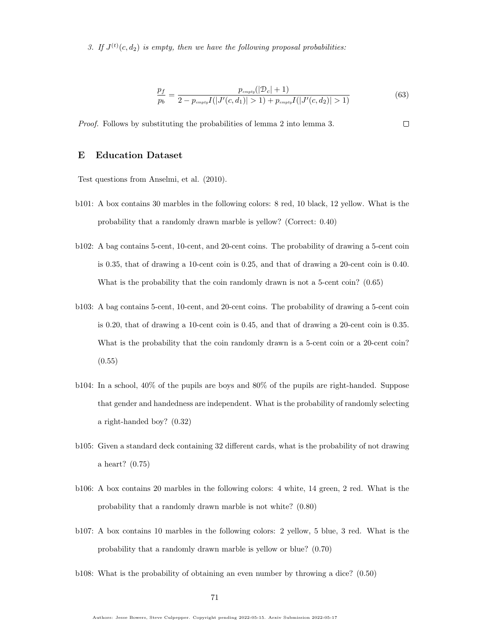3. If  $J^{(t)}(c, d_2)$  is empty, then we have the following proposal probabilities:

$$
\frac{p_f}{p_b} = \frac{p_{empty}(|\mathcal{D}_c| + 1)}{2 - p_{empty}I(|J'(c, d_1)| > 1) + p_{empty}I(|J'(c, d_2)| > 1)}
$$
(63)

Proof. Follows by substituting the probabilities of lemma [2](#page-68-2) into lemma [3.](#page-69-0)  $\Box$ 

#### <span id="page-70-0"></span>E Education Dataset

Test questions from Anselmi, et al. (2010).

- b101: A box contains 30 marbles in the following colors: 8 red, 10 black, 12 yellow. What is the probability that a randomly drawn marble is yellow? (Correct: 0.40)
- b102: A bag contains 5-cent, 10-cent, and 20-cent coins. The probability of drawing a 5-cent coin is 0.35, that of drawing a 10-cent coin is 0.25, and that of drawing a 20-cent coin is 0.40. What is the probability that the coin randomly drawn is not a 5-cent coin?  $(0.65)$
- b103: A bag contains 5-cent, 10-cent, and 20-cent coins. The probability of drawing a 5-cent coin is 0.20, that of drawing a 10-cent coin is 0.45, and that of drawing a 20-cent coin is 0.35. What is the probability that the coin randomly drawn is a 5-cent coin or a 20-cent coin?  $(0.55)$
- b104: In a school, 40% of the pupils are boys and 80% of the pupils are right-handed. Suppose that gender and handedness are independent. What is the probability of randomly selecting a right-handed boy? (0.32)
- b105: Given a standard deck containing 32 different cards, what is the probability of not drawing a heart? (0.75)
- b106: A box contains 20 marbles in the following colors: 4 white, 14 green, 2 red. What is the probability that a randomly drawn marble is not white? (0.80)
- b107: A box contains 10 marbles in the following colors: 2 yellow, 5 blue, 3 red. What is the probability that a randomly drawn marble is yellow or blue? (0.70)
- b108: What is the probability of obtaining an even number by throwing a dice? (0.50)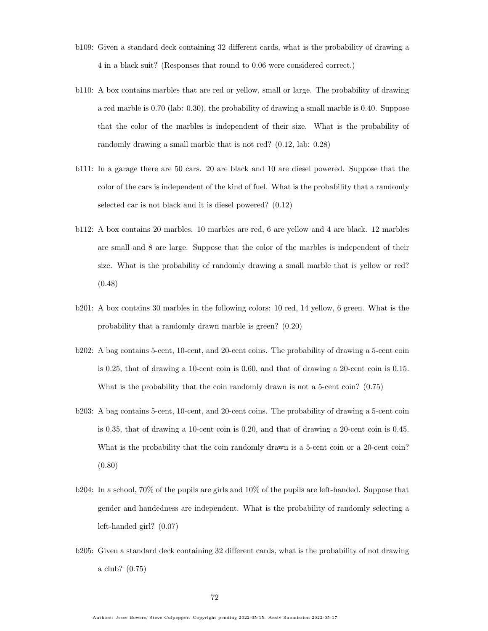- b109: Given a standard deck containing 32 different cards, what is the probability of drawing a 4 in a black suit? (Responses that round to 0.06 were considered correct.)
- b110: A box contains marbles that are red or yellow, small or large. The probability of drawing a red marble is 0.70 (lab: 0.30), the probability of drawing a small marble is 0.40. Suppose that the color of the marbles is independent of their size. What is the probability of randomly drawing a small marble that is not red? (0.12, lab: 0.28)
- b111: In a garage there are 50 cars. 20 are black and 10 are diesel powered. Suppose that the color of the cars is independent of the kind of fuel. What is the probability that a randomly selected car is not black and it is diesel powered? (0.12)
- b112: A box contains 20 marbles. 10 marbles are red, 6 are yellow and 4 are black. 12 marbles are small and 8 are large. Suppose that the color of the marbles is independent of their size. What is the probability of randomly drawing a small marble that is yellow or red? (0.48)
- b201: A box contains 30 marbles in the following colors: 10 red, 14 yellow, 6 green. What is the probability that a randomly drawn marble is green? (0.20)
- b202: A bag contains 5-cent, 10-cent, and 20-cent coins. The probability of drawing a 5-cent coin is 0.25, that of drawing a 10-cent coin is 0.60, and that of drawing a 20-cent coin is 0.15. What is the probability that the coin randomly drawn is not a 5-cent coin?  $(0.75)$
- b203: A bag contains 5-cent, 10-cent, and 20-cent coins. The probability of drawing a 5-cent coin is 0.35, that of drawing a 10-cent coin is 0.20, and that of drawing a 20-cent coin is 0.45. What is the probability that the coin randomly drawn is a 5-cent coin or a 20-cent coin? (0.80)
- b204: In a school, 70% of the pupils are girls and 10% of the pupils are left-handed. Suppose that gender and handedness are independent. What is the probability of randomly selecting a left-handed girl? (0.07)
- b205: Given a standard deck containing 32 different cards, what is the probability of not drawing a club? (0.75)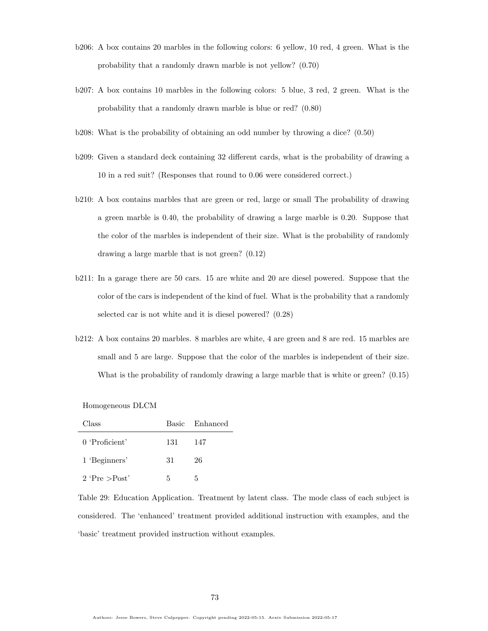- b206: A box contains 20 marbles in the following colors: 6 yellow, 10 red, 4 green. What is the probability that a randomly drawn marble is not yellow? (0.70)
- b207: A box contains 10 marbles in the following colors: 5 blue, 3 red, 2 green. What is the probability that a randomly drawn marble is blue or red? (0.80)
- b208: What is the probability of obtaining an odd number by throwing a dice? (0.50)
- b209: Given a standard deck containing 32 different cards, what is the probability of drawing a 10 in a red suit? (Responses that round to 0.06 were considered correct.)
- b210: A box contains marbles that are green or red, large or small The probability of drawing a green marble is 0.40, the probability of drawing a large marble is 0.20. Suppose that the color of the marbles is independent of their size. What is the probability of randomly drawing a large marble that is not green? (0.12)
- b211: In a garage there are 50 cars. 15 are white and 20 are diesel powered. Suppose that the color of the cars is independent of the kind of fuel. What is the probability that a randomly selected car is not white and it is diesel powered? (0.28)
- b212: A box contains 20 marbles. 8 marbles are white, 4 are green and 8 are red. 15 marbles are small and 5 are large. Suppose that the color of the marbles is independent of their size. What is the probability of randomly drawing a large marble that is white or green? (0.15)

Homogeneous DLCM

| Class              |     | Basic Enhanced |
|--------------------|-----|----------------|
| 0 'Proficient'     | 131 | - 147          |
| 1 'Beginners'      | 31  | 26             |
| $2$ 'Pre $>$ Post' | 5   | 5              |

Table 29: Education Application. Treatment by latent class. The mode class of each subject is considered. The 'enhanced' treatment provided additional instruction with examples, and the 'basic' treatment provided instruction without examples.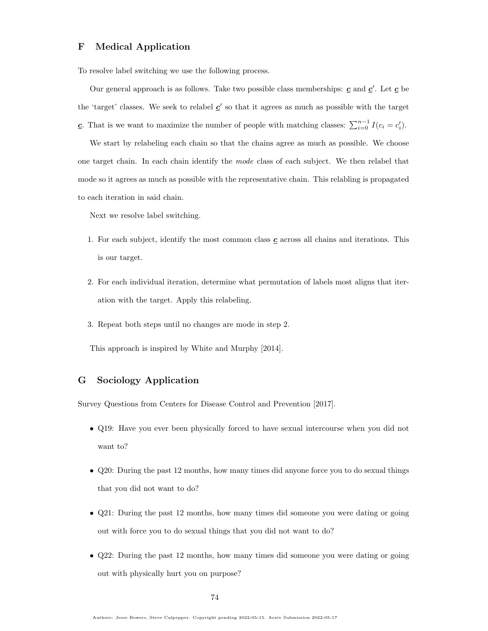## F Medical Application

To resolve label switching we use the following process.

Our general approach is as follows. Take two possible class memberships:  $\underline{c}$  and  $\underline{c}'$ . Let  $\underline{c}$  be the 'target' classes. We seek to relabel  $\underline{c}$ ' so that it agrees as much as possible with the target **c**. That is we want to maximize the number of people with matching classes:  $\sum_{i=0}^{n-1} I(c_i = c'_i)$ .

We start by relabeling each chain so that the chains agree as much as possible. We choose one target chain. In each chain identify the mode class of each subject. We then relabel that mode so it agrees as much as possible with the representative chain. This relabling is propagated to each iteration in said chain.

Next we resolve label switching.

- 1. For each subject, identify the most common class  $c$  across all chains and iterations. This is our target.
- 2. For each individual iteration, determine what permutation of labels most aligns that iteration with the target. Apply this relabeling.
- 3. Repeat both steps until no changes are mode in step 2.

This approach is inspired by [White and Murphy](#page-58-0) [\[2014\]](#page-58-0).

## G Sociology Application

Survey Questions from [Centers for Disease Control and Prevention](#page-57-0) [\[2017\]](#page-57-0).

- Q19: Have you ever been physically forced to have sexual intercourse when you did not want to?
- Q20: During the past 12 months, how many times did anyone force you to do sexual things that you did not want to do?
- Q21: During the past 12 months, how many times did someone you were dating or going out with force you to do sexual things that you did not want to do?
- Q22: During the past 12 months, how many times did someone you were dating or going out with physically hurt you on purpose?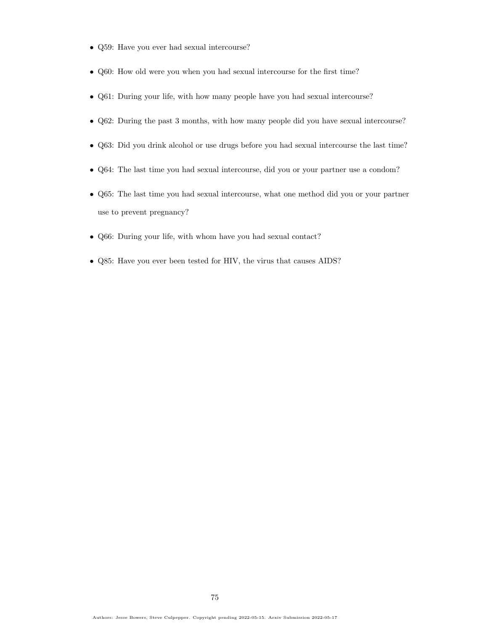- Q59: Have you ever had sexual intercourse?
- Q60: How old were you when you had sexual intercourse for the first time?
- Q61: During your life, with how many people have you had sexual intercourse?
- Q62: During the past 3 months, with how many people did you have sexual intercourse?
- Q63: Did you drink alcohol or use drugs before you had sexual intercourse the last time?
- Q64: The last time you had sexual intercourse, did you or your partner use a condom?
- Q65: The last time you had sexual intercourse, what one method did you or your partner use to prevent pregnancy?
- Q66: During your life, with whom have you had sexual contact?
- Q85: Have you ever been tested for HIV, the virus that causes AIDS?